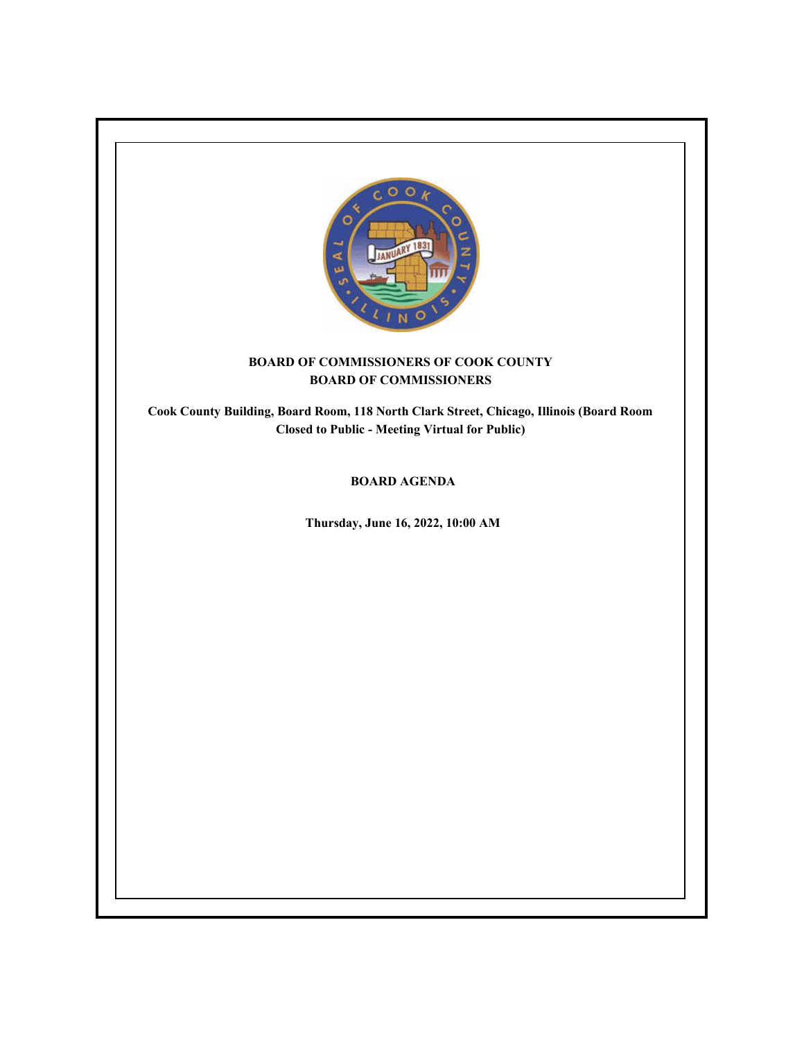

# **BOARD OF COMMISSIONERS OF COOK COUNTY BOARD OF COMMISSIONERS**

**Cook County Building, Board Room, 118 North Clark Street, Chicago, Illinois (Board Room Closed to Public - Meeting Virtual for Public)**

# **BOARD AGENDA**

**Thursday, June 16, 2022, 10:00 AM**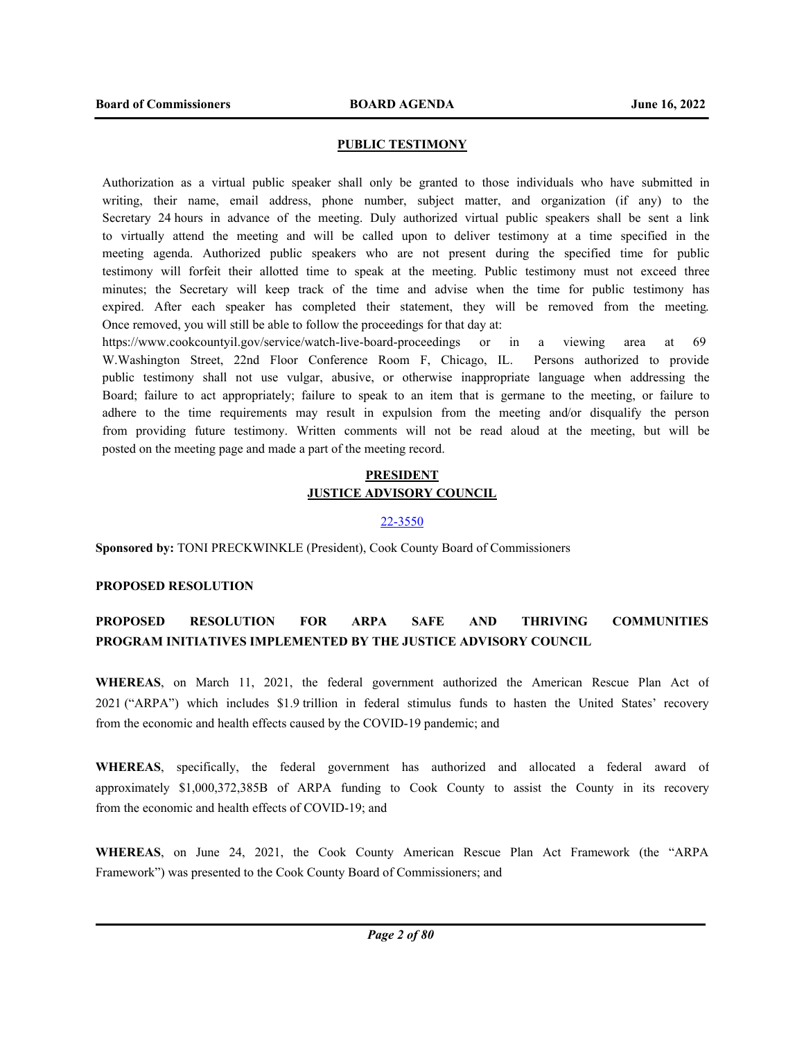## **PUBLIC TESTIMONY**

Authorization as a virtual public speaker shall only be granted to those individuals who have submitted in writing, their name, email address, phone number, subject matter, and organization (if any) to the Secretary 24 hours in advance of the meeting. Duly authorized virtual public speakers shall be sent a link to virtually attend the meeting and will be called upon to deliver testimony at a time specified in the meeting agenda. Authorized public speakers who are not present during the specified time for public testimony will forfeit their allotted time to speak at the meeting. Public testimony must not exceed three minutes; the Secretary will keep track of the time and advise when the time for public testimony has expired. After each speaker has completed their statement, they will be removed from the meeting. Once removed, you will still be able to follow the proceedings for that day at:

https://www.cookcountyil.gov/service/watch-live-board-proceedings or in a viewing area at 69 W.Washington Street, 22nd Floor Conference Room F, Chicago, IL. Persons authorized to provide public testimony shall not use vulgar, abusive, or otherwise inappropriate language when addressing the Board; failure to act appropriately; failure to speak to an item that is germane to the meeting, or failure to adhere to the time requirements may result in expulsion from the meeting and/or disqualify the person from providing future testimony. Written comments will not be read aloud at the meeting, but will be posted on the meeting page and made a part of the meeting record.

# **PRESIDENT JUSTICE ADVISORY COUNCIL**

#### 22-3550

**Sponsored by:** TONI PRECKWINKLE (President), Cook County Board of Commissioners

# **PROPOSED RESOLUTION**

# **PROPOSED RESOLUTION FOR ARPA SAFE AND THRIVING COMMUNITIES PROGRAM INITIATIVES IMPLEMENTED BY THE JUSTICE ADVISORY COUNCIL**

**WHEREAS**, on March 11, 2021, the federal government authorized the American Rescue Plan Act of 2021 ("ARPA") which includes \$1.9 trillion in federal stimulus funds to hasten the United States' recovery from the economic and health effects caused by the COVID-19 pandemic; and

**WHEREAS**, specifically, the federal government has authorized and allocated a federal award of approximately \$1,000,372,385B of ARPA funding to Cook County to assist the County in its recovery from the economic and health effects of COVID-19; and

**WHEREAS**, on June 24, 2021, the Cook County American Rescue Plan Act Framework (the "ARPA Framework") was presented to the Cook County Board of Commissioners; and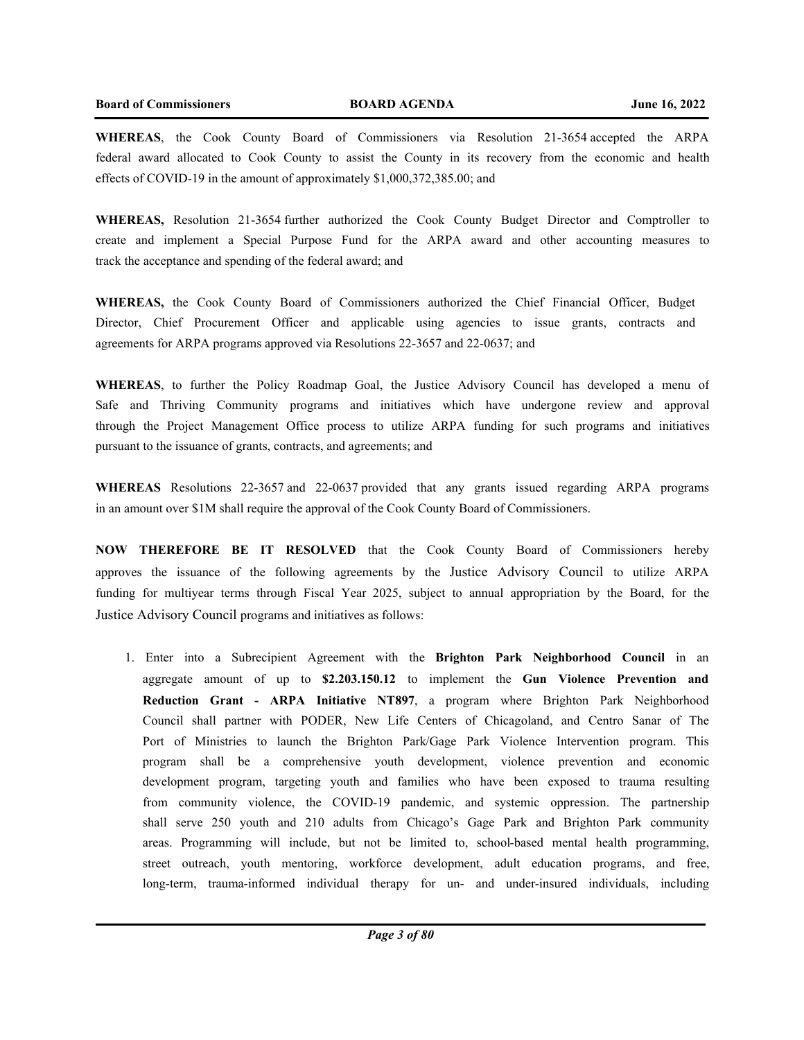**WHEREAS**, the Cook County Board of Commissioners via Resolution 21-3654 accepted the ARPA federal award allocated to Cook County to assist the County in its recovery from the economic and health effects of COVID-19 in the amount of approximately \$1,000,372,385.00; and

**WHEREAS,** Resolution 21-3654 further authorized the Cook County Budget Director and Comptroller to create and implement a Special Purpose Fund for the ARPA award and other accounting measures to track the acceptance and spending of the federal award; and

**WHEREAS,** the Cook County Board of Commissioners authorized the Chief Financial Officer, Budget Director, Chief Procurement Officer and applicable using agencies to issue grants, contracts and agreements for ARPA programs approved via Resolutions 22-3657 and 22-0637; and

**WHEREAS**, to further the Policy Roadmap Goal, the Justice Advisory Council has developed a menu of Safe and Thriving Community programs and initiatives which have undergone review and approval through the Project Management Office process to utilize ARPA funding for such programs and initiatives pursuant to the issuance of grants, contracts, and agreements; and

**WHEREAS** Resolutions 22-3657 and 22-0637 provided that any grants issued regarding ARPA programs in an amount over \$1M shall require the approval of the Cook County Board of Commissioners.

**NOW THEREFORE BE IT RESOLVED** that the Cook County Board of Commissioners hereby approves the issuance of the following agreements by the Justice Advisory Council to utilize ARPA funding for multiyear terms through Fiscal Year 2025, subject to annual appropriation by the Board, for the Justice Advisory Council programs and initiatives as follows:

1. Enter into a Subrecipient Agreement with the **Brighton Park Neighborhood Council** in an aggregate amount of up to **\$2.203.150.12** to implement the **Gun Violence Prevention and Reduction Grant - ARPA Initiative NT897**, a program where Brighton Park Neighborhood Council shall partner with PODER, New Life Centers of Chicagoland, and Centro Sanar of The Port of Ministries to launch the Brighton Park/Gage Park Violence Intervention program. This program shall be a comprehensive youth development, violence prevention and economic development program, targeting youth and families who have been exposed to trauma resulting from community violence, the COVID-19 pandemic, and systemic oppression. The partnership shall serve 250 youth and 210 adults from Chicago's Gage Park and Brighton Park community areas. Programming will include, but not be limited to, school-based mental health programming, street outreach, youth mentoring, workforce development, adult education programs, and free, long-term, trauma-informed individual therapy for un- and under-insured individuals, including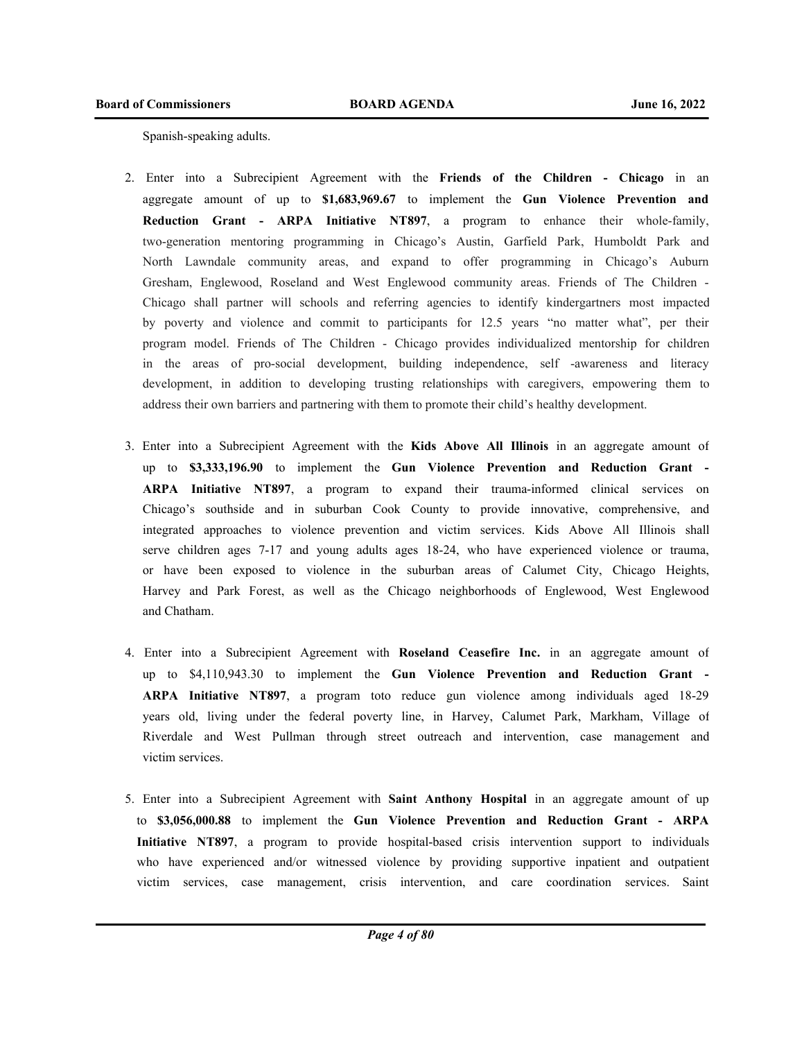Spanish-speaking adults.

- 2. Enter into a Subrecipient Agreement with the **Friends of the Children Chicago** in an aggregate amount of up to **\$1,683,969.67** to implement the **Gun Violence Prevention and Reduction Grant - ARPA Initiative NT897**, a program to enhance their whole-family, two-generation mentoring programming in Chicago's Austin, Garfield Park, Humboldt Park and North Lawndale community areas, and expand to offer programming in Chicago's Auburn Gresham, Englewood, Roseland and West Englewood community areas. Friends of The Children - Chicago shall partner will schools and referring agencies to identify kindergartners most impacted by poverty and violence and commit to participants for 12.5 years "no matter what", per their program model. Friends of The Children - Chicago provides individualized mentorship for children in the areas of pro-social development, building independence, self -awareness and literacy development, in addition to developing trusting relationships with caregivers, empowering them to address their own barriers and partnering with them to promote their child's healthy development.
- 3. Enter into a Subrecipient Agreement with the **Kids Above All Illinois** in an aggregate amount of up to **\$3,333,196.90** to implement the **Gun Violence Prevention and Reduction Grant - ARPA Initiative NT897**, a program to expand their trauma-informed clinical services on Chicago's southside and in suburban Cook County to provide innovative, comprehensive, and integrated approaches to violence prevention and victim services. Kids Above All Illinois shall serve children ages 7-17 and young adults ages 18-24, who have experienced violence or trauma, or have been exposed to violence in the suburban areas of Calumet City, Chicago Heights, Harvey and Park Forest, as well as the Chicago neighborhoods of Englewood, West Englewood and Chatham.
- 4. Enter into a Subrecipient Agreement with **Roseland Ceasefire Inc.** in an aggregate amount of up to \$4,110,943.30 to implement the **Gun Violence Prevention and Reduction Grant - ARPA Initiative NT897**, a program toto reduce gun violence among individuals aged 18-29 years old, living under the federal poverty line, in Harvey, Calumet Park, Markham, Village of Riverdale and West Pullman through street outreach and intervention, case management and victim services.
- 5. Enter into a Subrecipient Agreement with **Saint Anthony Hospital** in an aggregate amount of up to **\$3,056,000.88** to implement the **Gun Violence Prevention and Reduction Grant - ARPA Initiative NT897**, a program to provide hospital-based crisis intervention support to individuals who have experienced and/or witnessed violence by providing supportive inpatient and outpatient victim services, case management, crisis intervention, and care coordination services. Saint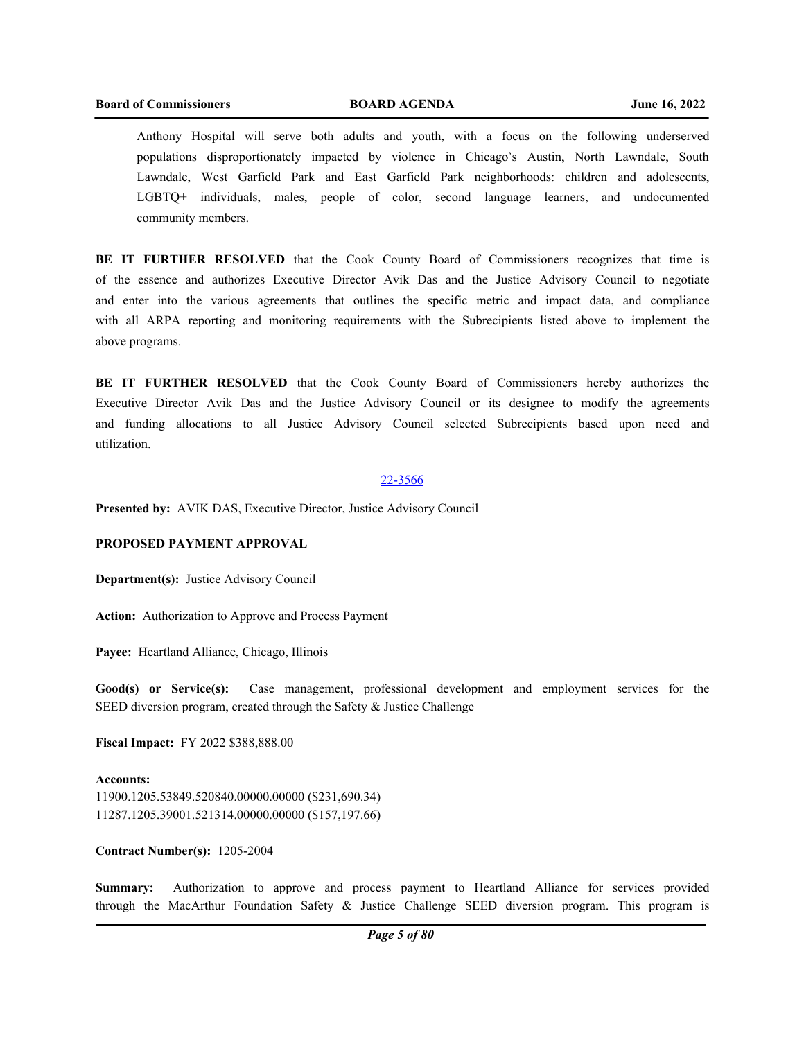Anthony Hospital will serve both adults and youth, with a focus on the following underserved populations disproportionately impacted by violence in Chicago's Austin, North Lawndale, South Lawndale, West Garfield Park and East Garfield Park neighborhoods: children and adolescents, LGBTQ+ individuals, males, people of color, second language learners, and undocumented community members.

**BE IT FURTHER RESOLVED** that the Cook County Board of Commissioners recognizes that time is of the essence and authorizes Executive Director Avik Das and the Justice Advisory Council to negotiate and enter into the various agreements that outlines the specific metric and impact data, and compliance with all ARPA reporting and monitoring requirements with the Subrecipients listed above to implement the above programs.

**BE IT FURTHER RESOLVED** that the Cook County Board of Commissioners hereby authorizes the Executive Director Avik Das and the Justice Advisory Council or its designee to modify the agreements and funding allocations to all Justice Advisory Council selected Subrecipients based upon need and utilization.

#### 22-3566

**Presented by:** AVIK DAS, Executive Director, Justice Advisory Council

# **PROPOSED PAYMENT APPROVAL**

**Department(s):** Justice Advisory Council

**Action:** Authorization to Approve and Process Payment

**Payee:** Heartland Alliance, Chicago, Illinois

**Good(s) or Service(s):** Case management, professional development and employment services for the SEED diversion program, created through the Safety & Justice Challenge

**Fiscal Impact:** FY 2022 \$388,888.00

**Accounts:** 11900.1205.53849.520840.00000.00000 (\$231,690.34) 11287.1205.39001.521314.00000.00000 (\$157,197.66)

**Contract Number(s):** 1205-2004

**Summary:** Authorization to approve and process payment to Heartland Alliance for services provided through the MacArthur Foundation Safety & Justice Challenge SEED diversion program. This program is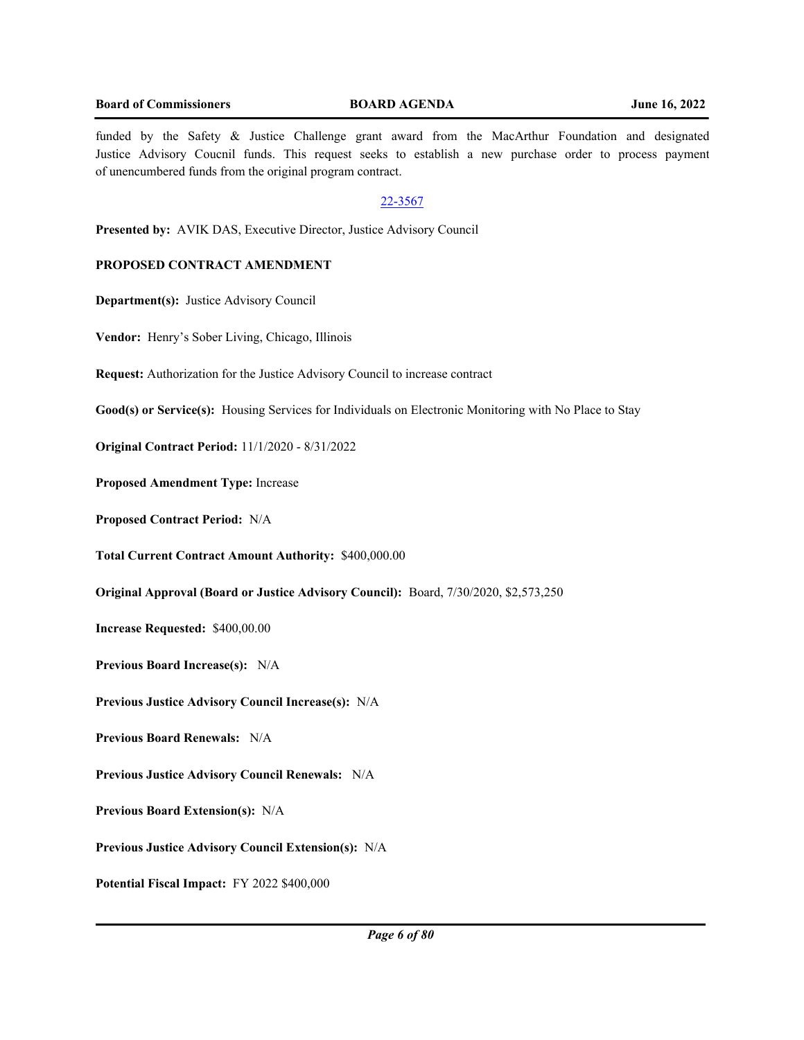funded by the Safety & Justice Challenge grant award from the MacArthur Foundation and designated Justice Advisory Coucnil funds. This request seeks to establish a new purchase order to process payment of unencumbered funds from the original program contract.

# 22-3567

**Presented by:** AVIK DAS, Executive Director, Justice Advisory Council

# **PROPOSED CONTRACT AMENDMENT**

**Department(s):** Justice Advisory Council

**Vendor:** Henry's Sober Living, Chicago, Illinois

**Request:** Authorization for the Justice Advisory Council to increase contract

**Good(s) or Service(s):** Housing Services for Individuals on Electronic Monitoring with No Place to Stay

**Original Contract Period:** 11/1/2020 - 8/31/2022

**Proposed Amendment Type:** Increase

**Proposed Contract Period:** N/A

**Total Current Contract Amount Authority:** \$400,000.00

**Original Approval (Board or Justice Advisory Council):** Board, 7/30/2020, \$2,573,250

**Increase Requested:** \$400,00.00

**Previous Board Increase(s):** N/A

**Previous Justice Advisory Council Increase(s):** N/A

**Previous Board Renewals:** N/A

**Previous Justice Advisory Council Renewals:** N/A

**Previous Board Extension(s):** N/A

**Previous Justice Advisory Council Extension(s):** N/A

**Potential Fiscal Impact:** FY 2022 \$400,000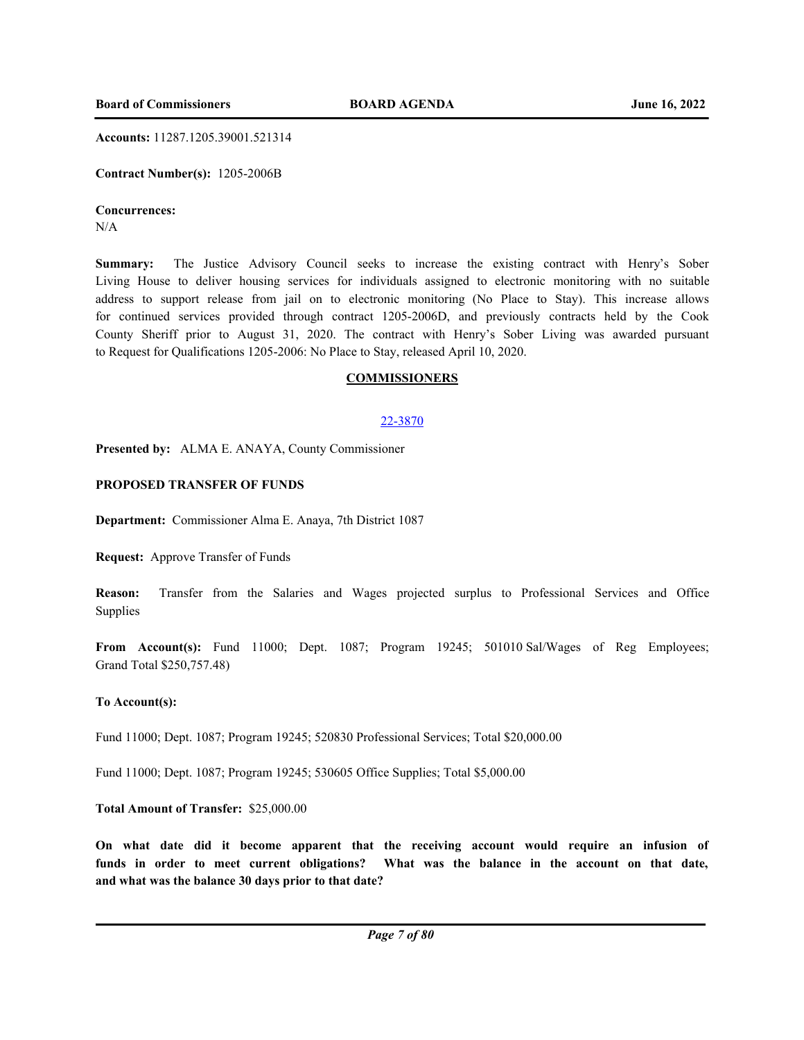**Accounts:** 11287.1205.39001.521314

**Contract Number(s):** 1205-2006B

# **Concurrences:**

N/A

**Summary:** The Justice Advisory Council seeks to increase the existing contract with Henry's Sober Living House to deliver housing services for individuals assigned to electronic monitoring with no suitable address to support release from jail on to electronic monitoring (No Place to Stay). This increase allows for continued services provided through contract 1205-2006D, and previously contracts held by the Cook County Sheriff prior to August 31, 2020. The contract with Henry's Sober Living was awarded pursuant to Request for Qualifications 1205-2006: No Place to Stay, released April 10, 2020.

## **COMMISSIONERS**

## 22-3870

**Presented by:** ALMA E. ANAYA, County Commissioner

# **PROPOSED TRANSFER OF FUNDS**

**Department:** Commissioner Alma E. Anaya, 7th District 1087

**Request:** Approve Transfer of Funds

**Reason:** Transfer from the Salaries and Wages projected surplus to Professional Services and Office Supplies

**From Account(s):** Fund 11000; Dept. 1087; Program 19245; 501010 Sal/Wages of Reg Employees; Grand Total \$250,757.48)

## **To Account(s):**

Fund 11000; Dept. 1087; Program 19245; 520830 Professional Services; Total \$20,000.00

Fund 11000; Dept. 1087; Program 19245; 530605 Office Supplies; Total \$5,000.00

# **Total Amount of Transfer:** \$25,000.00

**On what date did it become apparent that the receiving account would require an infusion of funds in order to meet current obligations? What was the balance in the account on that date, and what was the balance 30 days prior to that date?**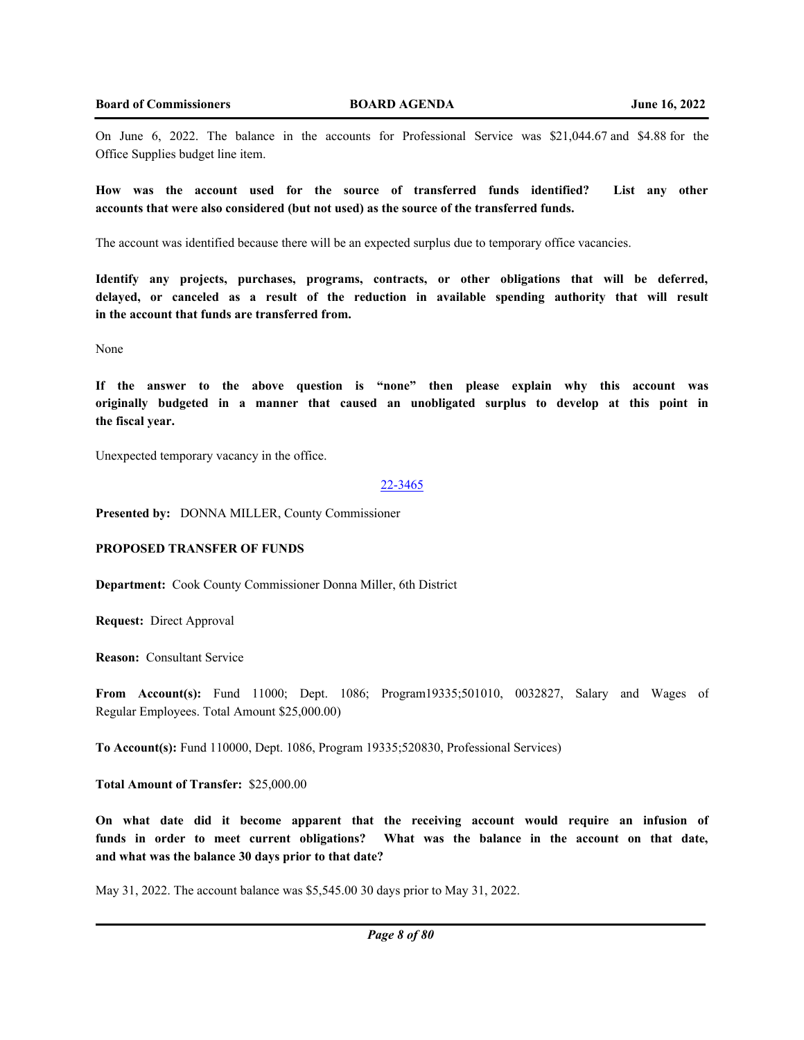On June 6, 2022. The balance in the accounts for Professional Service was \$21,044.67 and \$4.88 for the Office Supplies budget line item.

**How was the account used for the source of transferred funds identified? List any other accounts that were also considered (but not used) as the source of the transferred funds.** 

The account was identified because there will be an expected surplus due to temporary office vacancies.

**Identify any projects, purchases, programs, contracts, or other obligations that will be deferred, delayed, or canceled as a result of the reduction in available spending authority that will result in the account that funds are transferred from.**

None

**If the answer to the above question is "none" then please explain why this account was originally budgeted in a manner that caused an unobligated surplus to develop at this point in the fiscal year.**

Unexpected temporary vacancy in the office.

#### 22-3465

**Presented by:** DONNA MILLER, County Commissioner

## **PROPOSED TRANSFER OF FUNDS**

**Department:** Cook County Commissioner Donna Miller, 6th District

**Request:** Direct Approval

**Reason:** Consultant Service

**From Account(s):** Fund 11000; Dept. 1086; Program19335;501010, 0032827, Salary and Wages of Regular Employees. Total Amount \$25,000.00)

**To Account(s):** Fund 110000, Dept. 1086, Program 19335;520830, Professional Services)

**Total Amount of Transfer:** \$25,000.00

**On what date did it become apparent that the receiving account would require an infusion of funds in order to meet current obligations? What was the balance in the account on that date, and what was the balance 30 days prior to that date?**

May 31, 2022. The account balance was \$5,545.00 30 days prior to May 31, 2022.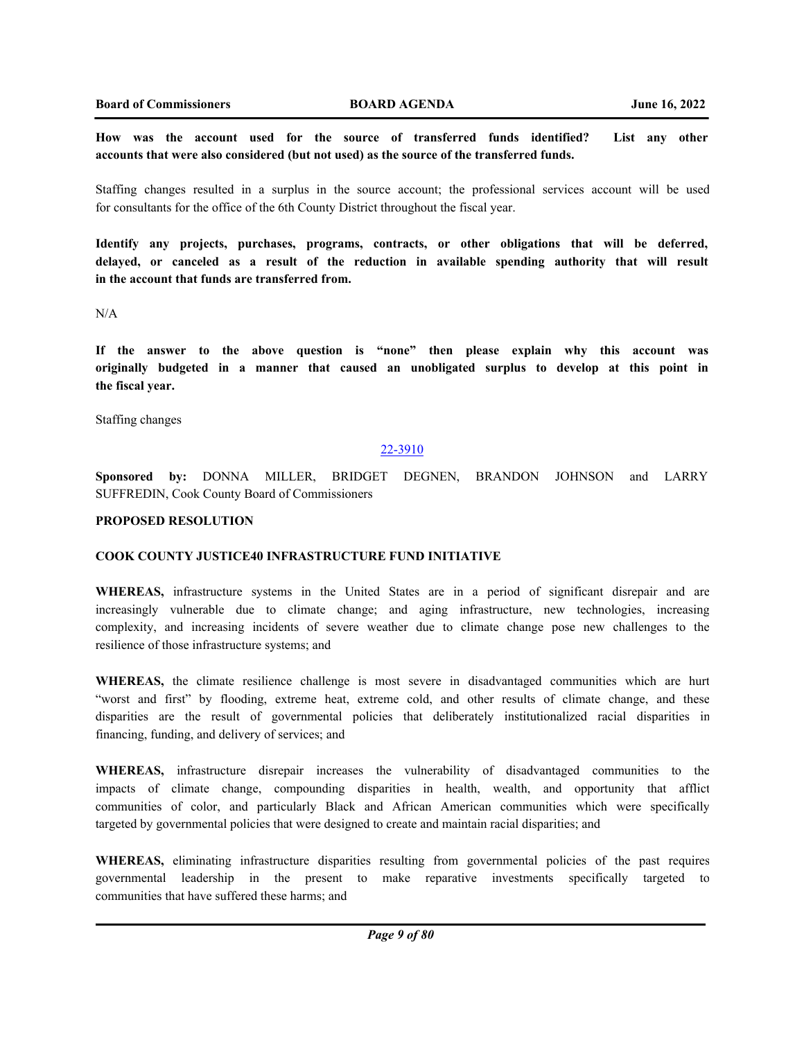**How was the account used for the source of transferred funds identified? List any other accounts that were also considered (but not used) as the source of the transferred funds.** 

Staffing changes resulted in a surplus in the source account; the professional services account will be used for consultants for the office of the 6th County District throughout the fiscal year.

**Identify any projects, purchases, programs, contracts, or other obligations that will be deferred, delayed, or canceled as a result of the reduction in available spending authority that will result in the account that funds are transferred from.**

N/A

**If the answer to the above question is "none" then please explain why this account was originally budgeted in a manner that caused an unobligated surplus to develop at this point in the fiscal year.**

Staffing changes

#### 22-3910

**Sponsored by:** DONNA MILLER, BRIDGET DEGNEN, BRANDON JOHNSON and LARRY SUFFREDIN, Cook County Board of Commissioners

# **PROPOSED RESOLUTION**

#### **COOK COUNTY JUSTICE40 INFRASTRUCTURE FUND INITIATIVE**

**WHEREAS,** infrastructure systems in the United States are in a period of significant disrepair and are increasingly vulnerable due to climate change; and aging infrastructure, new technologies, increasing complexity, and increasing incidents of severe weather due to climate change pose new challenges to the resilience of those infrastructure systems; and

**WHEREAS,** the climate resilience challenge is most severe in disadvantaged communities which are hurt "worst and first" by flooding, extreme heat, extreme cold, and other results of climate change, and these disparities are the result of governmental policies that deliberately institutionalized racial disparities in financing, funding, and delivery of services; and

**WHEREAS,** infrastructure disrepair increases the vulnerability of disadvantaged communities to the impacts of climate change, compounding disparities in health, wealth, and opportunity that afflict communities of color, and particularly Black and African American communities which were specifically targeted by governmental policies that were designed to create and maintain racial disparities; and

**WHEREAS,** eliminating infrastructure disparities resulting from governmental policies of the past requires governmental leadership in the present to make reparative investments specifically targeted to communities that have suffered these harms; and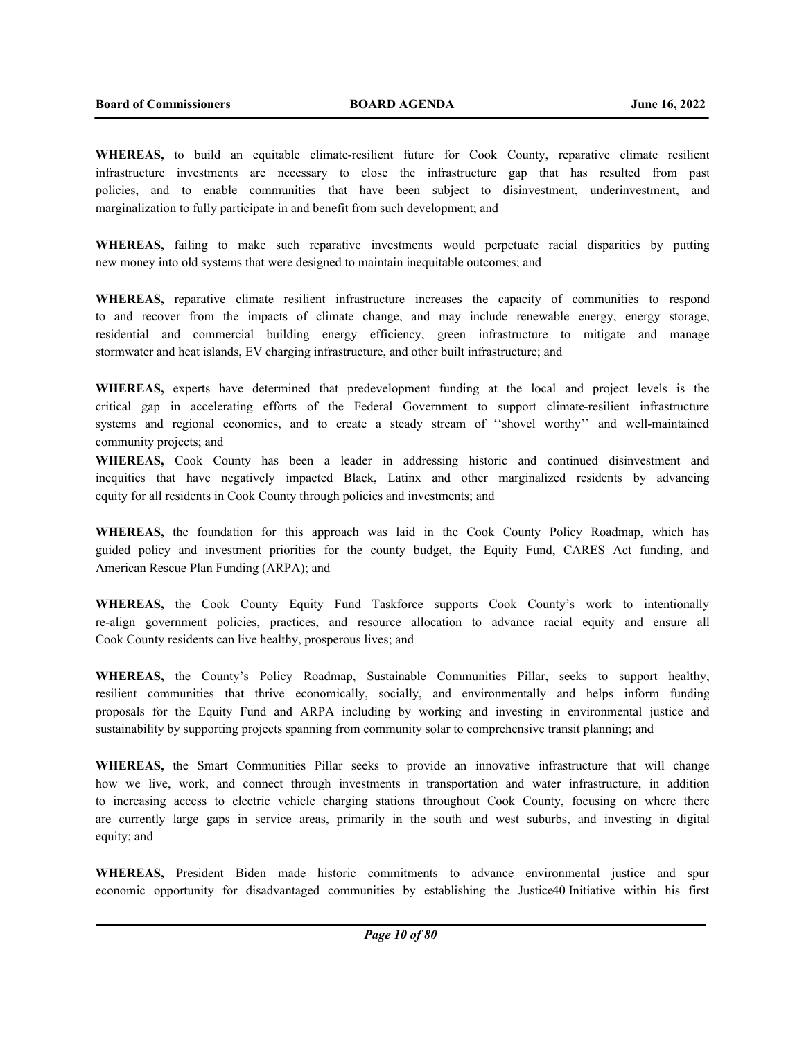**WHEREAS,** to build an equitable climate-resilient future for Cook County, reparative climate resilient infrastructure investments are necessary to close the infrastructure gap that has resulted from past policies, and to enable communities that have been subject to disinvestment, underinvestment, and marginalization to fully participate in and benefit from such development; and

**WHEREAS,** failing to make such reparative investments would perpetuate racial disparities by putting new money into old systems that were designed to maintain inequitable outcomes; and

**WHEREAS,** reparative climate resilient infrastructure increases the capacity of communities to respond to and recover from the impacts of climate change, and may include renewable energy, energy storage, residential and commercial building energy efficiency, green infrastructure to mitigate and manage stormwater and heat islands, EV charging infrastructure, and other built infrastructure; and

**WHEREAS,** experts have determined that predevelopment funding at the local and project levels is the critical gap in accelerating efforts of the Federal Government to support climate-resilient infrastructure systems and regional economies, and to create a steady stream of ''shovel worthy'' and well-maintained community projects; and

**WHEREAS,** Cook County has been a leader in addressing historic and continued disinvestment and inequities that have negatively impacted Black, Latinx and other marginalized residents by advancing equity for all residents in Cook County through policies and investments; and

**WHEREAS,** the foundation for this approach was laid in the Cook County Policy Roadmap, which has guided policy and investment priorities for the county budget, the Equity Fund, CARES Act funding, and American Rescue Plan Funding (ARPA); and

**WHEREAS,** the Cook County Equity Fund Taskforce supports Cook County's work to intentionally re-align government policies, practices, and resource allocation to advance racial equity and ensure all Cook County residents can live healthy, prosperous lives; and

**WHEREAS,** the County's Policy Roadmap, Sustainable Communities Pillar, seeks to support healthy, resilient communities that thrive economically, socially, and environmentally and helps inform funding proposals for the Equity Fund and ARPA including by working and investing in environmental justice and sustainability by supporting projects spanning from community solar to comprehensive transit planning; and

**WHEREAS,** the Smart Communities Pillar seeks to provide an innovative infrastructure that will change how we live, work, and connect through investments in transportation and water infrastructure, in addition to increasing access to electric vehicle charging stations throughout Cook County, focusing on where there are currently large gaps in service areas, primarily in the south and west suburbs, and investing in digital equity; and

**WHEREAS,** President Biden made historic commitments to advance environmental justice and spur economic opportunity for disadvantaged communities by establishing the Justice40 Initiative within his first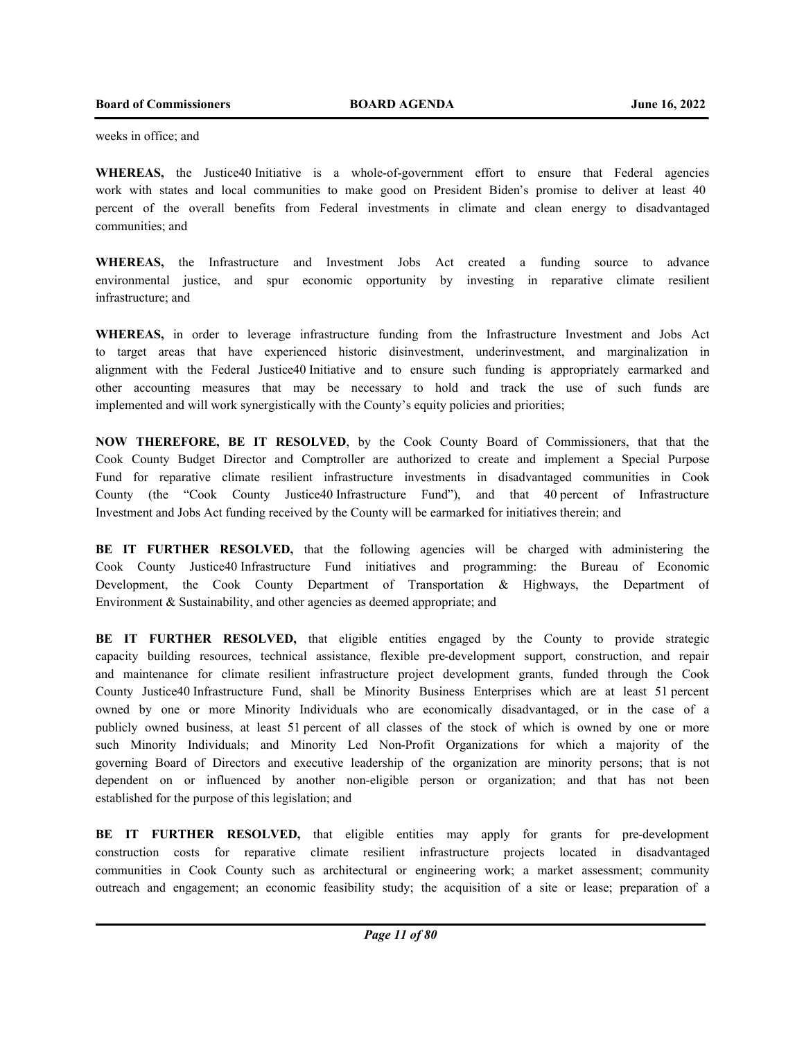weeks in office; and

**WHEREAS,** the Justice40 Initiative is a whole-of-government effort to ensure that Federal agencies work with states and local communities to make good on President Biden's promise to deliver at least 40 percent of the overall benefits from Federal investments in climate and clean energy to disadvantaged communities; and

**WHEREAS,** the Infrastructure and Investment Jobs Act created a funding source to advance environmental justice, and spur economic opportunity by investing in reparative climate resilient infrastructure; and

**WHEREAS,** in order to leverage infrastructure funding from the Infrastructure Investment and Jobs Act to target areas that have experienced historic disinvestment, underinvestment, and marginalization in alignment with the Federal Justice40 Initiative and to ensure such funding is appropriately earmarked and other accounting measures that may be necessary to hold and track the use of such funds are implemented and will work synergistically with the County's equity policies and priorities;

**NOW THEREFORE, BE IT RESOLVED**, by the Cook County Board of Commissioners, that that the Cook County Budget Director and Comptroller are authorized to create and implement a Special Purpose Fund for reparative climate resilient infrastructure investments in disadvantaged communities in Cook County (the "Cook County Justice40 Infrastructure Fund"), and that 40 percent of Infrastructure Investment and Jobs Act funding received by the County will be earmarked for initiatives therein; and

**BE IT FURTHER RESOLVED,** that the following agencies will be charged with administering the Cook County Justice40 Infrastructure Fund initiatives and programming: the Bureau of Economic Development, the Cook County Department of Transportation & Highways, the Department of Environment & Sustainability, and other agencies as deemed appropriate; and

BE IT FURTHER RESOLVED, that eligible entities engaged by the County to provide strategic capacity building resources, technical assistance, flexible pre-development support, construction, and repair and maintenance for climate resilient infrastructure project development grants, funded through the Cook County Justice40 Infrastructure Fund, shall be Minority Business Enterprises which are at least 51 percent owned by one or more Minority Individuals who are economically disadvantaged, or in the case of a publicly owned business, at least 51 percent of all classes of the stock of which is owned by one or more such Minority Individuals; and Minority Led Non-Profit Organizations for which a majority of the governing Board of Directors and executive leadership of the organization are minority persons; that is not dependent on or influenced by another non-eligible person or organization; and that has not been established for the purpose of this legislation; and

**BE IT FURTHER RESOLVED,** that eligible entities may apply for grants for pre-development construction costs for reparative climate resilient infrastructure projects located in disadvantaged communities in Cook County such as architectural or engineering work; a market assessment; community outreach and engagement; an economic feasibility study; the acquisition of a site or lease; preparation of a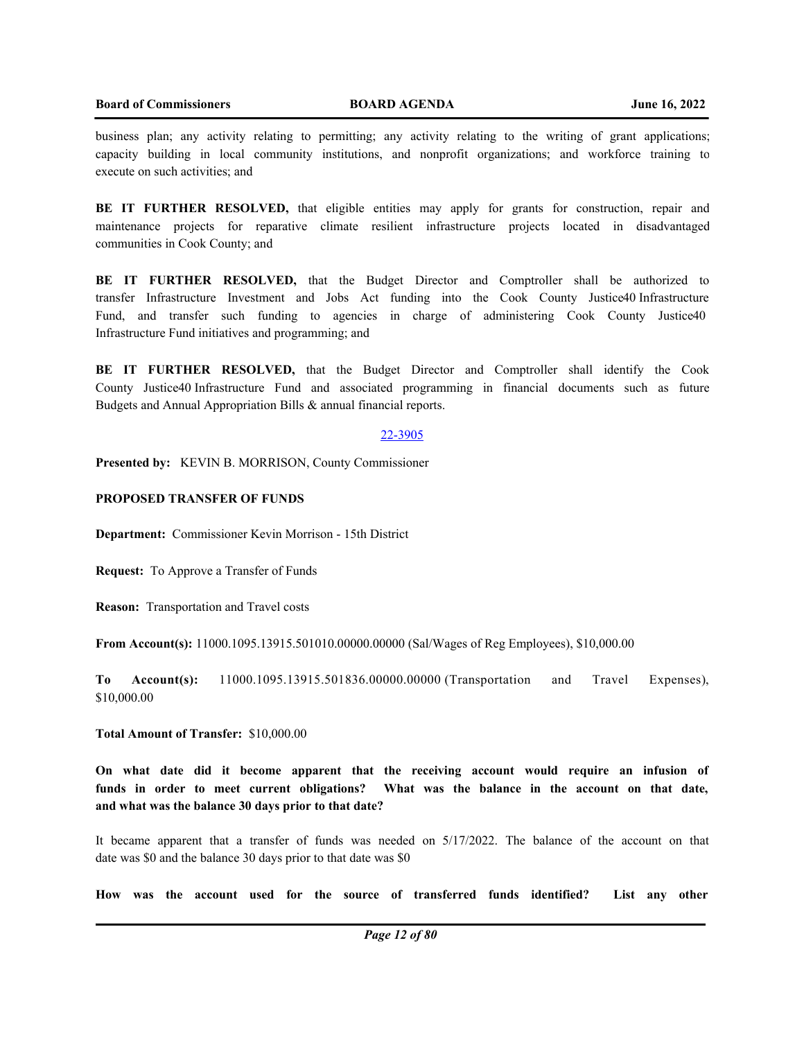business plan; any activity relating to permitting; any activity relating to the writing of grant applications; capacity building in local community institutions, and nonprofit organizations; and workforce training to execute on such activities; and

**BE IT FURTHER RESOLVED,** that eligible entities may apply for grants for construction, repair and maintenance projects for reparative climate resilient infrastructure projects located in disadvantaged communities in Cook County; and

**BE IT FURTHER RESOLVED,** that the Budget Director and Comptroller shall be authorized to transfer Infrastructure Investment and Jobs Act funding into the Cook County Justice40 Infrastructure Fund, and transfer such funding to agencies in charge of administering Cook County Justice40 Infrastructure Fund initiatives and programming; and

**BE IT FURTHER RESOLVED,** that the Budget Director and Comptroller shall identify the Cook County Justice40 Infrastructure Fund and associated programming in financial documents such as future Budgets and Annual Appropriation Bills & annual financial reports.

#### 22-3905

**Presented by:** KEVIN B. MORRISON, County Commissioner

# **PROPOSED TRANSFER OF FUNDS**

**Department:** Commissioner Kevin Morrison - 15th District

**Request:** To Approve a Transfer of Funds

**Reason:** Transportation and Travel costs

**From Account(s):** 11000.1095.13915.501010.00000.00000 (Sal/Wages of Reg Employees), \$10,000.00

**To Account(s):** 11000.1095.13915.501836.00000.00000 (Transportation and Travel Expenses), \$10,000.00

**Total Amount of Transfer:** \$10,000.00

**On what date did it become apparent that the receiving account would require an infusion of funds in order to meet current obligations? What was the balance in the account on that date, and what was the balance 30 days prior to that date?**

It became apparent that a transfer of funds was needed on 5/17/2022. The balance of the account on that date was \$0 and the balance 30 days prior to that date was \$0

**How was the account used for the source of transferred funds identified? List any other**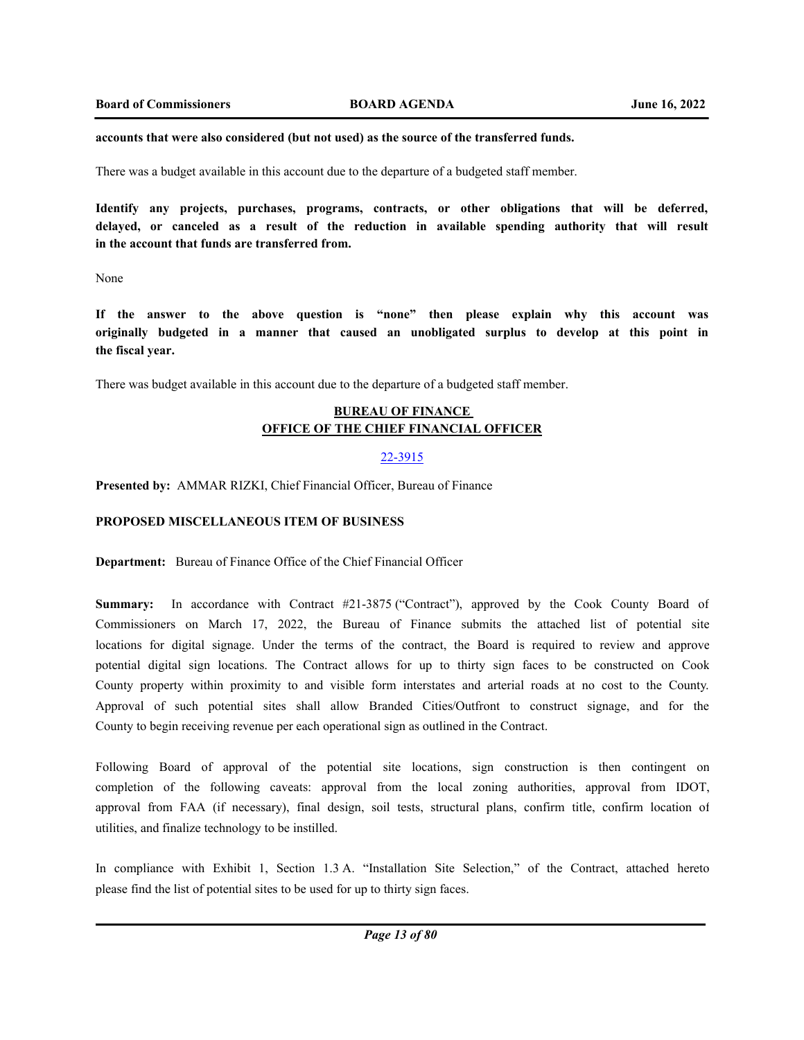#### **accounts that were also considered (but not used) as the source of the transferred funds.**

There was a budget available in this account due to the departure of a budgeted staff member.

**Identify any projects, purchases, programs, contracts, or other obligations that will be deferred, delayed, or canceled as a result of the reduction in available spending authority that will result in the account that funds are transferred from.**

None

**If the answer to the above question is "none" then please explain why this account was originally budgeted in a manner that caused an unobligated surplus to develop at this point in the fiscal year.**

There was budget available in this account due to the departure of a budgeted staff member.

# **BUREAU OF FINANCE OFFICE OF THE CHIEF FINANCIAL OFFICER**

#### 22-3915

**Presented by:** AMMAR RIZKI, Chief Financial Officer, Bureau of Finance

## **PROPOSED MISCELLANEOUS ITEM OF BUSINESS**

**Department:** Bureau of Finance Office of the Chief Financial Officer

**Summary:** In accordance with Contract #21-3875 ("Contract"), approved by the Cook County Board of Commissioners on March 17, 2022, the Bureau of Finance submits the attached list of potential site locations for digital signage. Under the terms of the contract, the Board is required to review and approve potential digital sign locations. The Contract allows for up to thirty sign faces to be constructed on Cook County property within proximity to and visible form interstates and arterial roads at no cost to the County. Approval of such potential sites shall allow Branded Cities/Outfront to construct signage, and for the County to begin receiving revenue per each operational sign as outlined in the Contract.

Following Board of approval of the potential site locations, sign construction is then contingent on completion of the following caveats: approval from the local zoning authorities, approval from IDOT, approval from FAA (if necessary), final design, soil tests, structural plans, confirm title, confirm location of utilities, and finalize technology to be instilled.

In compliance with Exhibit 1, Section 1.3 A. "Installation Site Selection," of the Contract, attached hereto please find the list of potential sites to be used for up to thirty sign faces.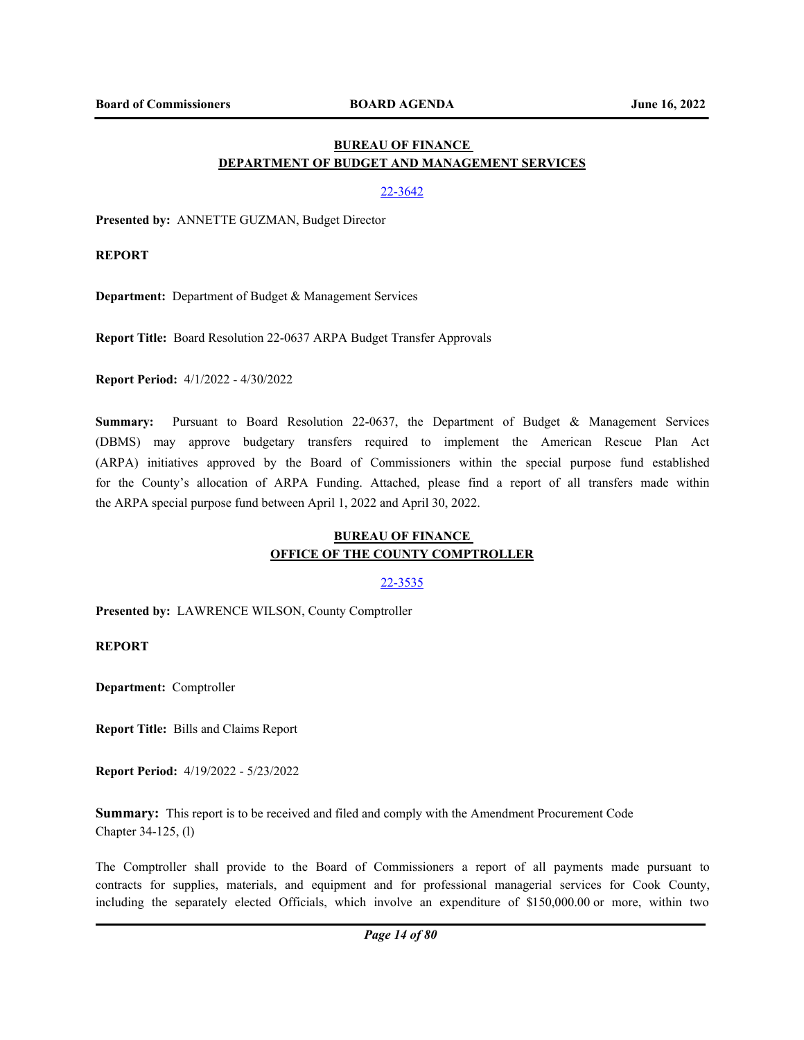# **BUREAU OF FINANCE DEPARTMENT OF BUDGET AND MANAGEMENT SERVICES**

## 22-3642

**Presented by:** ANNETTE GUZMAN, Budget Director

**REPORT**

**Department:** Department of Budget & Management Services

**Report Title:** Board Resolution 22-0637 ARPA Budget Transfer Approvals

**Report Period:** 4/1/2022 - 4/30/2022

**Summary:** Pursuant to Board Resolution 22-0637, the Department of Budget & Management Services (DBMS) may approve budgetary transfers required to implement the American Rescue Plan Act (ARPA) initiatives approved by the Board of Commissioners within the special purpose fund established for the County's allocation of ARPA Funding. Attached, please find a report of all transfers made within the ARPA special purpose fund between April 1, 2022 and April 30, 2022.

# **BUREAU OF FINANCE OFFICE OF THE COUNTY COMPTROLLER**

## 22-3535

**Presented by:** LAWRENCE WILSON, County Comptroller

**REPORT**

**Department:** Comptroller

**Report Title:** Bills and Claims Report

**Report Period:** 4/19/2022 - 5/23/2022

**Summary:** This report is to be received and filed and comply with the Amendment Procurement Code Chapter 34-125, (l)

The Comptroller shall provide to the Board of Commissioners a report of all payments made pursuant to contracts for supplies, materials, and equipment and for professional managerial services for Cook County, including the separately elected Officials, which involve an expenditure of \$150,000.00 or more, within two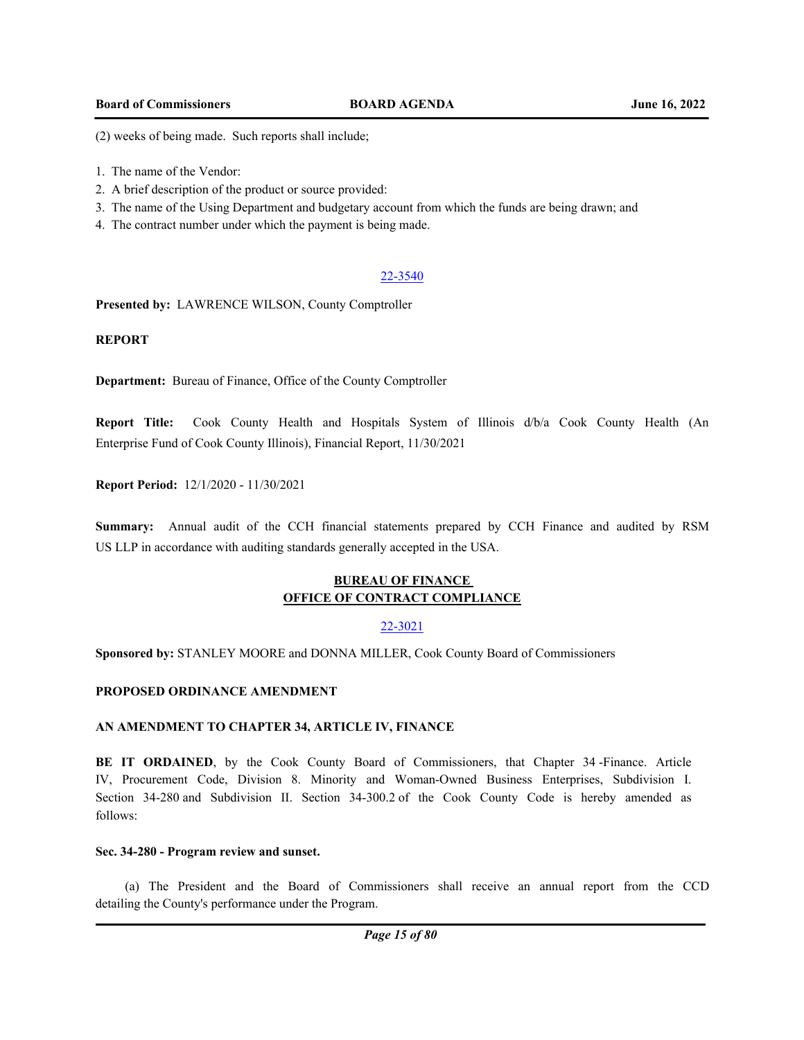(2) weeks of being made. Such reports shall include;

- 1. The name of the Vendor:
- 2. A brief description of the product or source provided:
- 3. The name of the Using Department and budgetary account from which the funds are being drawn; and
- 4. The contract number under which the payment is being made.

# 22-3540

**Presented by:** LAWRENCE WILSON, County Comptroller

# **REPORT**

**Department:** Bureau of Finance, Office of the County Comptroller

**Report Title:** Cook County Health and Hospitals System of Illinois d/b/a Cook County Health (An Enterprise Fund of Cook County Illinois), Financial Report, 11/30/2021

**Report Period:** 12/1/2020 - 11/30/2021

**Summary:** Annual audit of the CCH financial statements prepared by CCH Finance and audited by RSM US LLP in accordance with auditing standards generally accepted in the USA.

# **BUREAU OF FINANCE OFFICE OF CONTRACT COMPLIANCE**

# 22-3021

**Sponsored by:** STANLEY MOORE and DONNA MILLER, Cook County Board of Commissioners

# **PROPOSED ORDINANCE AMENDMENT**

# **AN AMENDMENT TO CHAPTER 34, ARTICLE IV, FINANCE**

BE IT ORDAINED, by the Cook County Board of Commissioners, that Chapter 34 -Finance. Article IV, Procurement Code, Division 8. Minority and Woman-Owned Business Enterprises, Subdivision I. Section 34-280 and Subdivision II. Section 34-300.2 of the Cook County Code is hereby amended as follows:

## **Sec. 34-280 - Program review and sunset.**

(a) The President and the Board of Commissioners shall receive an annual report from the CCD detailing the County's performance under the Program.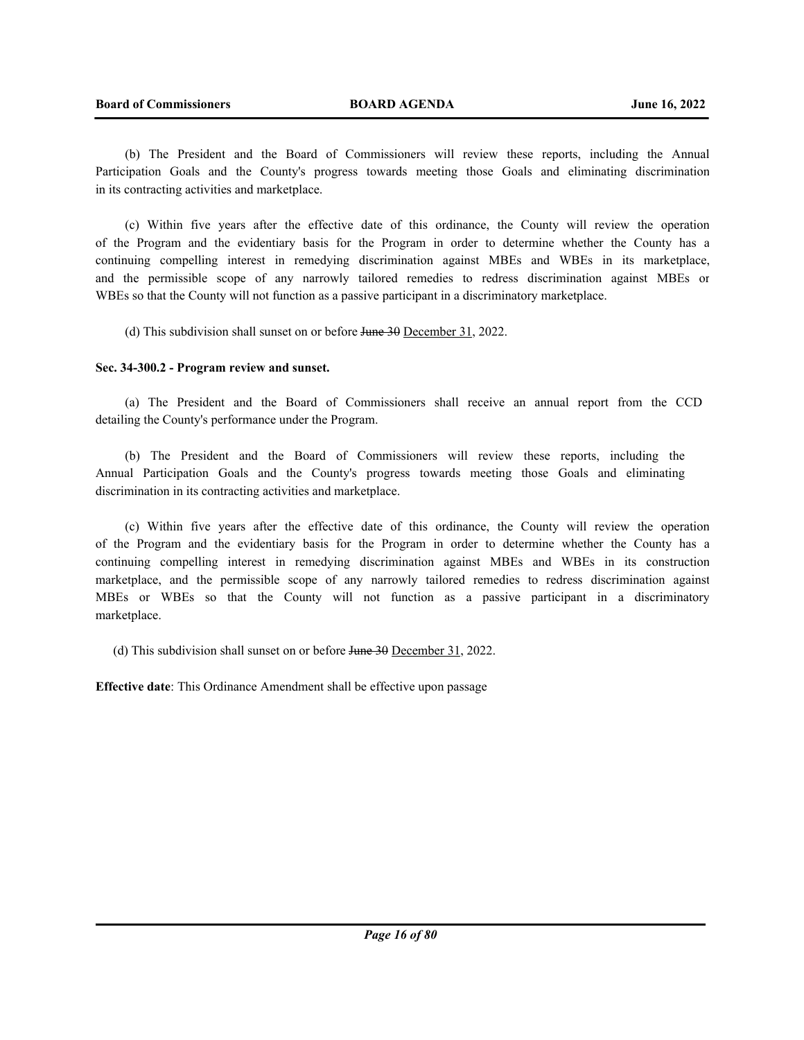(b) The President and the Board of Commissioners will review these reports, including the Annual Participation Goals and the County's progress towards meeting those Goals and eliminating discrimination in its contracting activities and marketplace.

(c) Within five years after the effective date of this ordinance, the County will review the operation of the Program and the evidentiary basis for the Program in order to determine whether the County has a continuing compelling interest in remedying discrimination against MBEs and WBEs in its marketplace, and the permissible scope of any narrowly tailored remedies to redress discrimination against MBEs or WBEs so that the County will not function as a passive participant in a discriminatory marketplace.

(d) This subdivision shall sunset on or before June 30 December 31, 2022.

## **Sec. 34-300.2 - Program review and sunset.**

(a) The President and the Board of Commissioners shall receive an annual report from the CCD detailing the County's performance under the Program.

(b) The President and the Board of Commissioners will review these reports, including the Annual Participation Goals and the County's progress towards meeting those Goals and eliminating discrimination in its contracting activities and marketplace.

(c) Within five years after the effective date of this ordinance, the County will review the operation of the Program and the evidentiary basis for the Program in order to determine whether the County has a continuing compelling interest in remedying discrimination against MBEs and WBEs in its construction marketplace, and the permissible scope of any narrowly tailored remedies to redress discrimination against MBEs or WBEs so that the County will not function as a passive participant in a discriminatory marketplace.

(d) This subdivision shall sunset on or before June 30 December 31, 2022.

**Effective date**: This Ordinance Amendment shall be effective upon passage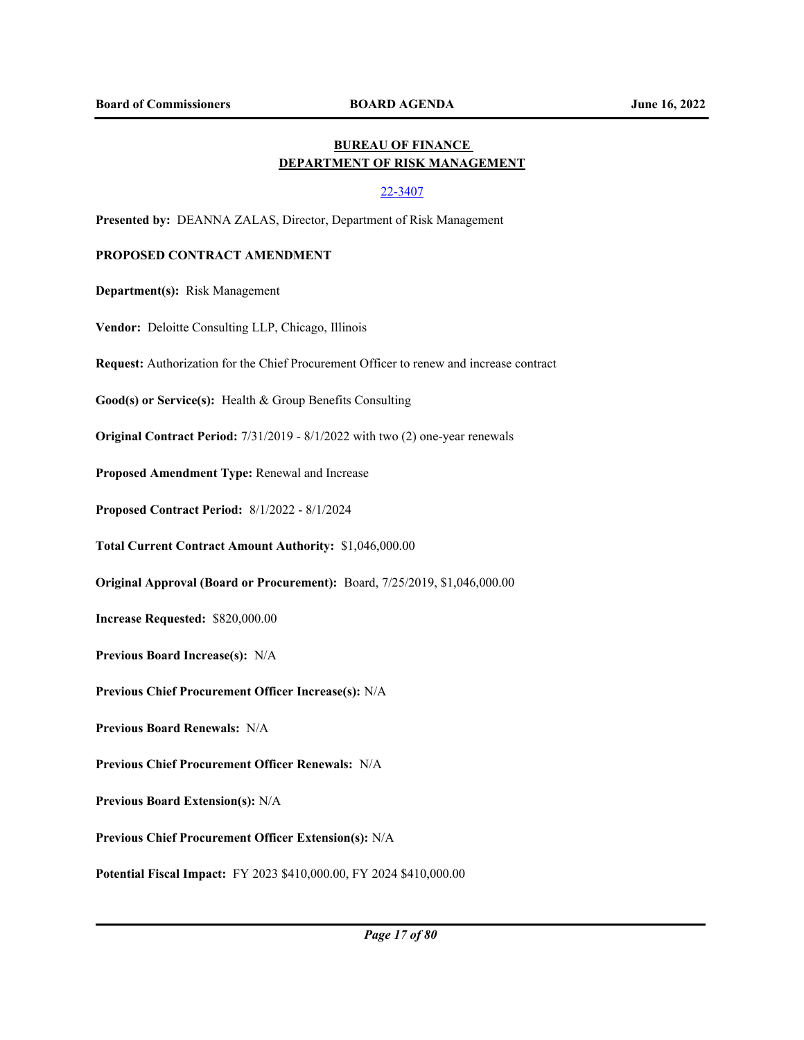# **BUREAU OF FINANCE DEPARTMENT OF RISK MANAGEMENT**

## 22-3407

**Presented by:** DEANNA ZALAS, Director, Department of Risk Management

# **PROPOSED CONTRACT AMENDMENT**

**Department(s):** Risk Management

**Vendor:** Deloitte Consulting LLP, Chicago, Illinois

**Request:** Authorization for the Chief Procurement Officer to renew and increase contract

**Good(s) or Service(s):** Health & Group Benefits Consulting

**Original Contract Period:** 7/31/2019 - 8/1/2022 with two (2) one-year renewals

**Proposed Amendment Type:** Renewal and Increase

**Proposed Contract Period:** 8/1/2022 - 8/1/2024

**Total Current Contract Amount Authority:** \$1,046,000.00

**Original Approval (Board or Procurement):** Board, 7/25/2019, \$1,046,000.00

**Increase Requested:** \$820,000.00

**Previous Board Increase(s):** N/A

**Previous Chief Procurement Officer Increase(s):** N/A

**Previous Board Renewals:** N/A

**Previous Chief Procurement Officer Renewals:** N/A

**Previous Board Extension(s):** N/A

**Previous Chief Procurement Officer Extension(s):** N/A

**Potential Fiscal Impact:** FY 2023 \$410,000.00, FY 2024 \$410,000.00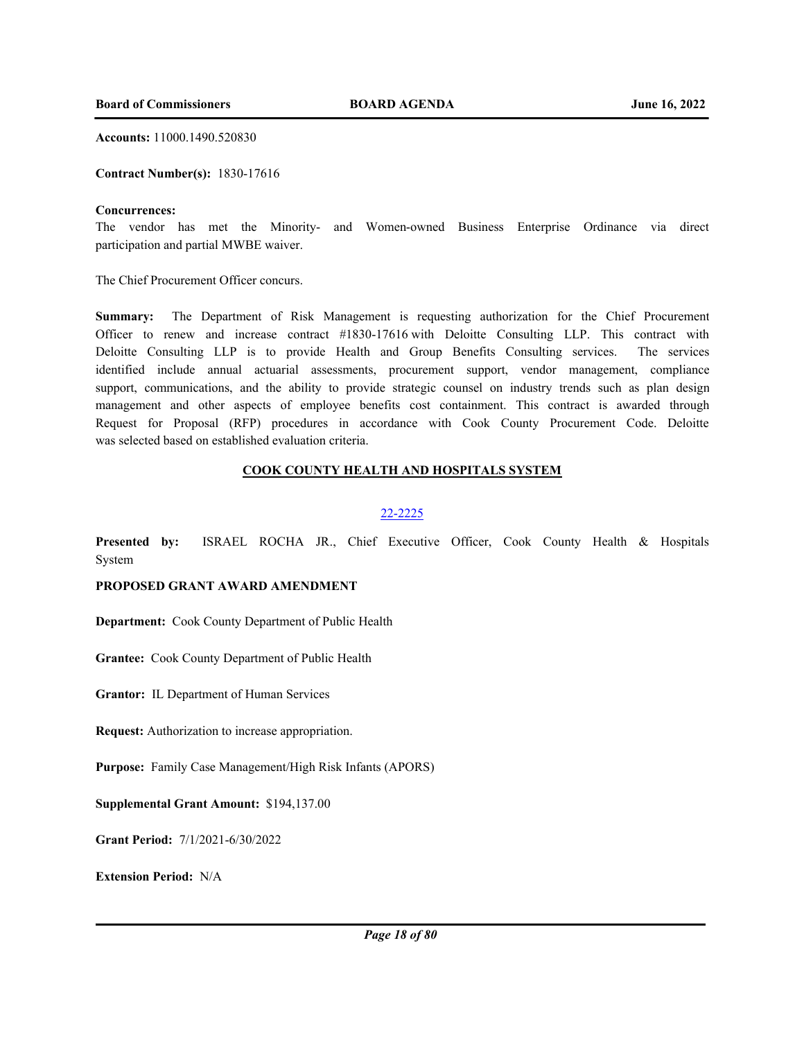**Accounts:** 11000.1490.520830

**Contract Number(s):** 1830-17616

#### **Concurrences:**

The vendor has met the Minority- and Women-owned Business Enterprise Ordinance via direct participation and partial MWBE waiver.

The Chief Procurement Officer concurs.

**Summary:** The Department of Risk Management is requesting authorization for the Chief Procurement Officer to renew and increase contract #1830-17616 with Deloitte Consulting LLP. This contract with Deloitte Consulting LLP is to provide Health and Group Benefits Consulting services. The services identified include annual actuarial assessments, procurement support, vendor management, compliance support, communications, and the ability to provide strategic counsel on industry trends such as plan design management and other aspects of employee benefits cost containment. This contract is awarded through Request for Proposal (RFP) procedures in accordance with Cook County Procurement Code. Deloitte was selected based on established evaluation criteria.

# **COOK COUNTY HEALTH AND HOSPITALS SYSTEM**

#### 22-2225

**Presented by:** ISRAEL ROCHA JR., Chief Executive Officer, Cook County Health & Hospitals System

# **PROPOSED GRANT AWARD AMENDMENT**

**Department:** Cook County Department of Public Health

**Grantee:** Cook County Department of Public Health

**Grantor:** IL Department of Human Services

**Request:** Authorization to increase appropriation.

**Purpose:** Family Case Management/High Risk Infants (APORS)

**Supplemental Grant Amount:** \$194,137.00

**Grant Period:** 7/1/2021-6/30/2022

**Extension Period:** N/A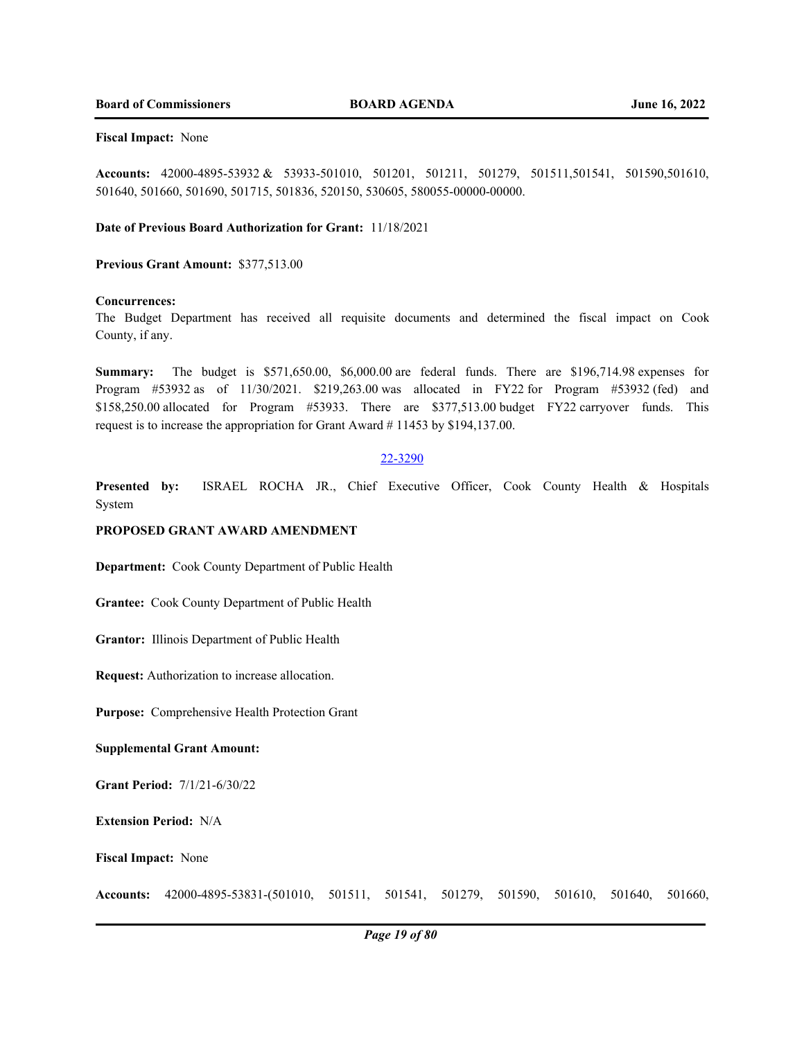#### **Fiscal Impact:** None

**Accounts:** 42000-4895-53932 & 53933-501010, 501201, 501211, 501279, 501511,501541, 501590,501610, 501640, 501660, 501690, 501715, 501836, 520150, 530605, 580055-00000-00000.

#### **Date of Previous Board Authorization for Grant:** 11/18/2021

**Previous Grant Amount:** \$377,513.00

#### **Concurrences:**

The Budget Department has received all requisite documents and determined the fiscal impact on Cook County, if any.

**Summary:** The budget is \$571,650.00, \$6,000.00 are federal funds. There are \$196,714.98 expenses for Program #53932 as of 11/30/2021. \$219,263.00 was allocated in FY22 for Program #53932 (fed) and \$158,250.00 allocated for Program #53933. There are \$377,513.00 budget FY22 carryover funds. This request is to increase the appropriation for Grant Award # 11453 by \$194,137.00.

## 22-3290

**Presented by:** ISRAEL ROCHA JR., Chief Executive Officer, Cook County Health & Hospitals System

# **PROPOSED GRANT AWARD AMENDMENT**

**Department:** Cook County Department of Public Health

**Grantee:** Cook County Department of Public Health

**Grantor:** Illinois Department of Public Health

**Request:** Authorization to increase allocation.

**Purpose:** Comprehensive Health Protection Grant

#### **Supplemental Grant Amount:**

**Grant Period:** 7/1/21-6/30/22

**Extension Period:** N/A

**Fiscal Impact:** None

**Accounts:** 42000-4895-53831-(501010, 501511, 501541, 501279, 501590, 501610, 501640, 501660,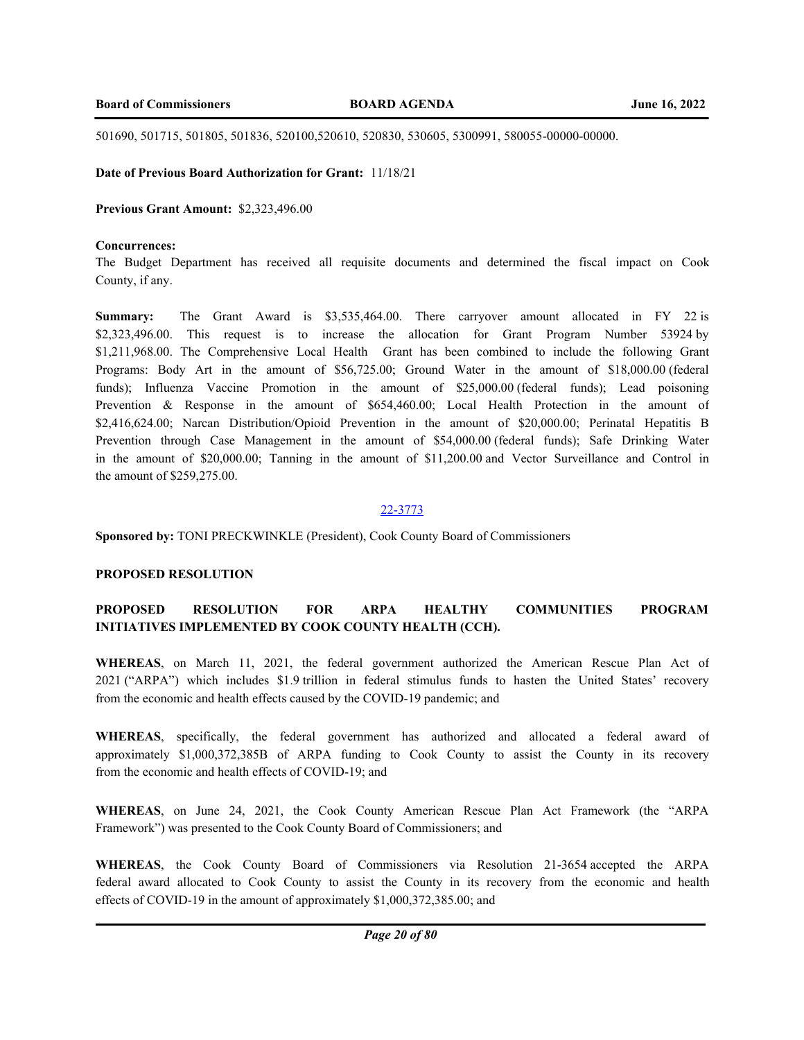501690, 501715, 501805, 501836, 520100,520610, 520830, 530605, 5300991, 580055-00000-00000.

#### **Date of Previous Board Authorization for Grant:** 11/18/21

## **Previous Grant Amount:** \$2,323,496.00

#### **Concurrences:**

The Budget Department has received all requisite documents and determined the fiscal impact on Cook County, if any.

**Summary:** The Grant Award is \$3,535,464.00. There carryover amount allocated in FY 22 is \$2,323,496.00. This request is to increase the allocation for Grant Program Number 53924 by \$1,211,968.00. The Comprehensive Local Health Grant has been combined to include the following Grant Programs: Body Art in the amount of \$56,725.00; Ground Water in the amount of \$18,000.00 (federal funds); Influenza Vaccine Promotion in the amount of \$25,000.00 (federal funds); Lead poisoning Prevention & Response in the amount of \$654,460.00; Local Health Protection in the amount of \$2,416,624.00; Narcan Distribution/Opioid Prevention in the amount of \$20,000.00; Perinatal Hepatitis B Prevention through Case Management in the amount of \$54,000.00 (federal funds); Safe Drinking Water in the amount of \$20,000.00; Tanning in the amount of \$11,200.00 and Vector Surveillance and Control in the amount of \$259,275.00.

#### 22-3773

**Sponsored by:** TONI PRECKWINKLE (President), Cook County Board of Commissioners

# **PROPOSED RESOLUTION**

# **PROPOSED RESOLUTION FOR ARPA HEALTHY COMMUNITIES PROGRAM INITIATIVES IMPLEMENTED BY COOK COUNTY HEALTH (CCH).**

**WHEREAS**, on March 11, 2021, the federal government authorized the American Rescue Plan Act of 2021 ("ARPA") which includes \$1.9 trillion in federal stimulus funds to hasten the United States' recovery from the economic and health effects caused by the COVID-19 pandemic; and

**WHEREAS**, specifically, the federal government has authorized and allocated a federal award of approximately \$1,000,372,385B of ARPA funding to Cook County to assist the County in its recovery from the economic and health effects of COVID-19; and

**WHEREAS**, on June 24, 2021, the Cook County American Rescue Plan Act Framework (the "ARPA Framework") was presented to the Cook County Board of Commissioners; and

**WHEREAS**, the Cook County Board of Commissioners via Resolution 21-3654 accepted the ARPA federal award allocated to Cook County to assist the County in its recovery from the economic and health effects of COVID-19 in the amount of approximately \$1,000,372,385.00; and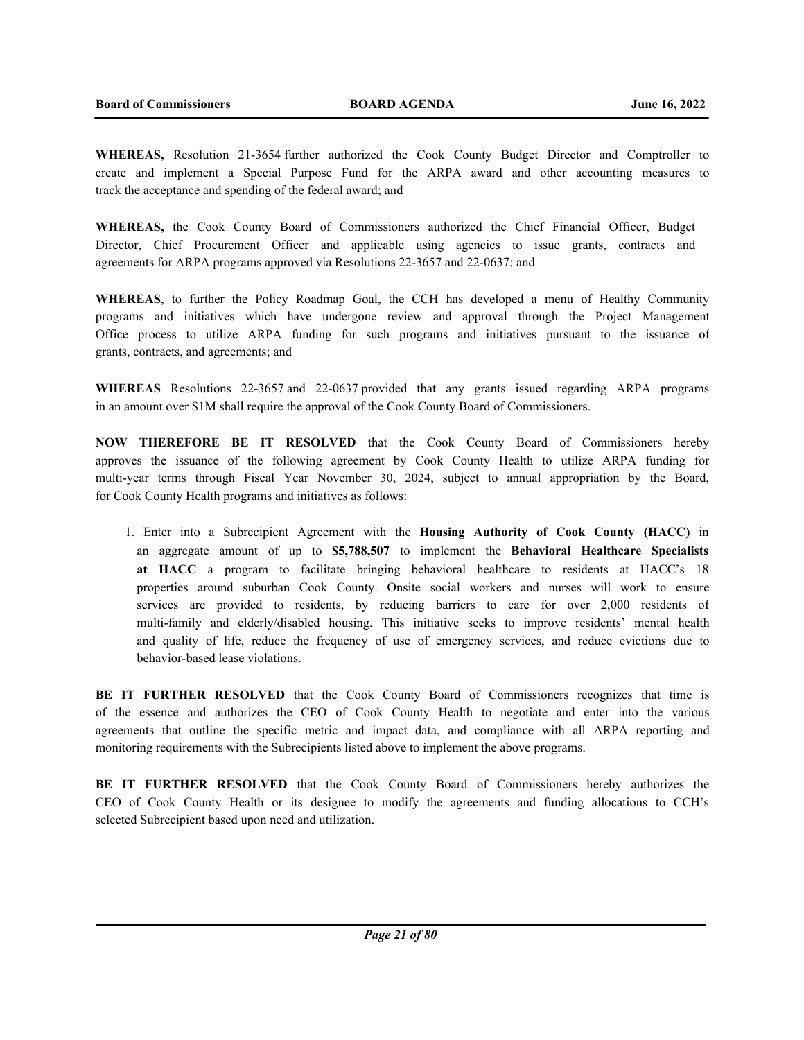**WHEREAS,** Resolution 21-3654 further authorized the Cook County Budget Director and Comptroller to create and implement a Special Purpose Fund for the ARPA award and other accounting measures to track the acceptance and spending of the federal award; and

**WHEREAS,** the Cook County Board of Commissioners authorized the Chief Financial Officer, Budget Director, Chief Procurement Officer and applicable using agencies to issue grants, contracts and agreements for ARPA programs approved via Resolutions 22-3657 and 22-0637; and

**WHEREAS**, to further the Policy Roadmap Goal, the CCH has developed a menu of Healthy Community programs and initiatives which have undergone review and approval through the Project Management Office process to utilize ARPA funding for such programs and initiatives pursuant to the issuance of grants, contracts, and agreements; and

**WHEREAS** Resolutions 22-3657 and 22-0637 provided that any grants issued regarding ARPA programs in an amount over \$1M shall require the approval of the Cook County Board of Commissioners.

**NOW THEREFORE BE IT RESOLVED** that the Cook County Board of Commissioners hereby approves the issuance of the following agreement by Cook County Health to utilize ARPA funding for multi-year terms through Fiscal Year November 30, 2024, subject to annual appropriation by the Board, for Cook County Health programs and initiatives as follows:

1. Enter into a Subrecipient Agreement with the **Housing Authority of Cook County (HACC)** in an aggregate amount of up to **\$5,788,507** to implement the **Behavioral Healthcare Specialists at HACC** a program to facilitate bringing behavioral healthcare to residents at HACC's 18 properties around suburban Cook County. Onsite social workers and nurses will work to ensure services are provided to residents, by reducing barriers to care for over 2,000 residents of multi-family and elderly/disabled housing. This initiative seeks to improve residents' mental health and quality of life, reduce the frequency of use of emergency services, and reduce evictions due to behavior-based lease violations.

**BE IT FURTHER RESOLVED** that the Cook County Board of Commissioners recognizes that time is of the essence and authorizes the CEO of Cook County Health to negotiate and enter into the various agreements that outline the specific metric and impact data, and compliance with all ARPA reporting and monitoring requirements with the Subrecipients listed above to implement the above programs.

**BE IT FURTHER RESOLVED** that the Cook County Board of Commissioners hereby authorizes the CEO of Cook County Health or its designee to modify the agreements and funding allocations to CCH's selected Subrecipient based upon need and utilization.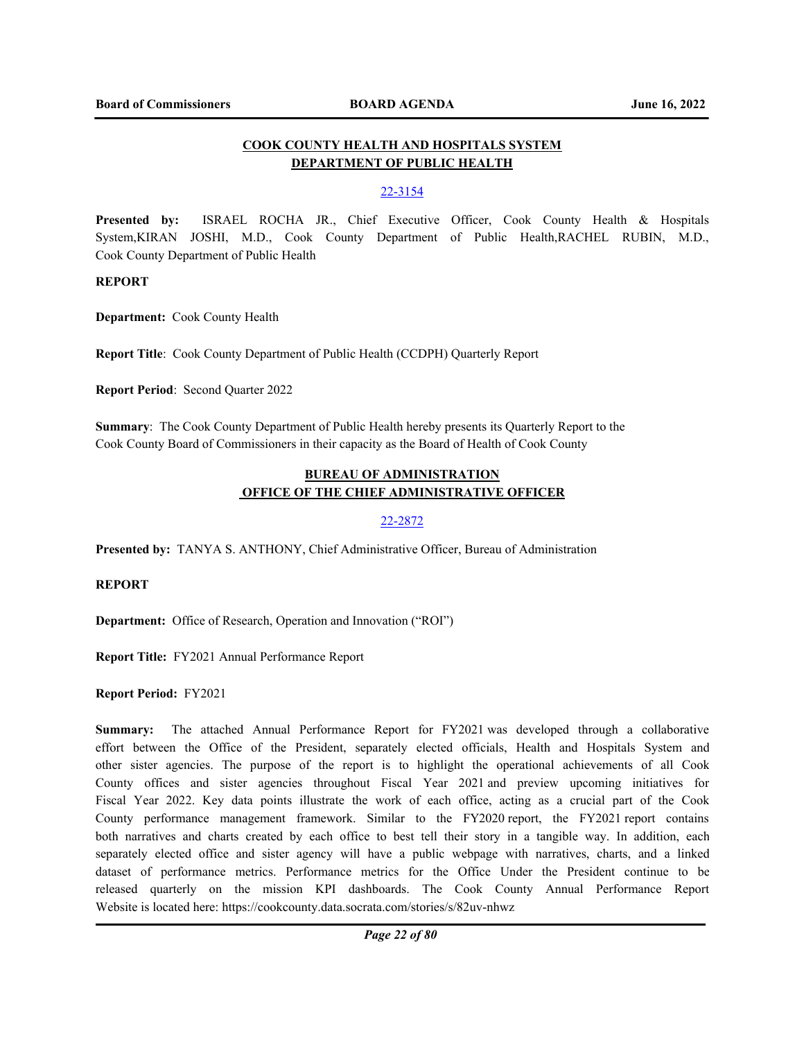# **COOK COUNTY HEALTH AND HOSPITALS SYSTEM DEPARTMENT OF PUBLIC HEALTH**

# 22-3154

**Presented by:** ISRAEL ROCHA JR., Chief Executive Officer, Cook County Health & Hospitals System,KIRAN JOSHI, M.D., Cook County Department of Public Health,RACHEL RUBIN, M.D., Cook County Department of Public Health

# **REPORT**

**Department:** Cook County Health

**Report Title**: Cook County Department of Public Health (CCDPH) Quarterly Report

**Report Period**: Second Quarter 2022

**Summary**: The Cook County Department of Public Health hereby presents its Quarterly Report to the Cook County Board of Commissioners in their capacity as the Board of Health of Cook County

# **BUREAU OF ADMINISTRATION OFFICE OF THE CHIEF ADMINISTRATIVE OFFICER**

# 22-2872

**Presented by:** TANYA S. ANTHONY, Chief Administrative Officer, Bureau of Administration

## **REPORT**

**Department:** Office of Research, Operation and Innovation ("ROI")

**Report Title:** FY2021 Annual Performance Report

**Report Period:** FY2021

**Summary:** The attached Annual Performance Report for FY2021 was developed through a collaborative effort between the Office of the President, separately elected officials, Health and Hospitals System and other sister agencies. The purpose of the report is to highlight the operational achievements of all Cook County offices and sister agencies throughout Fiscal Year 2021 and preview upcoming initiatives for Fiscal Year 2022. Key data points illustrate the work of each office, acting as a crucial part of the Cook County performance management framework. Similar to the FY2020 report, the FY2021 report contains both narratives and charts created by each office to best tell their story in a tangible way. In addition, each separately elected office and sister agency will have a public webpage with narratives, charts, and a linked dataset of performance metrics. Performance metrics for the Office Under the President continue to be released quarterly on the mission KPI dashboards. The Cook County Annual Performance Report Website is located here: https://cookcounty.data.socrata.com/stories/s/82uv-nhwz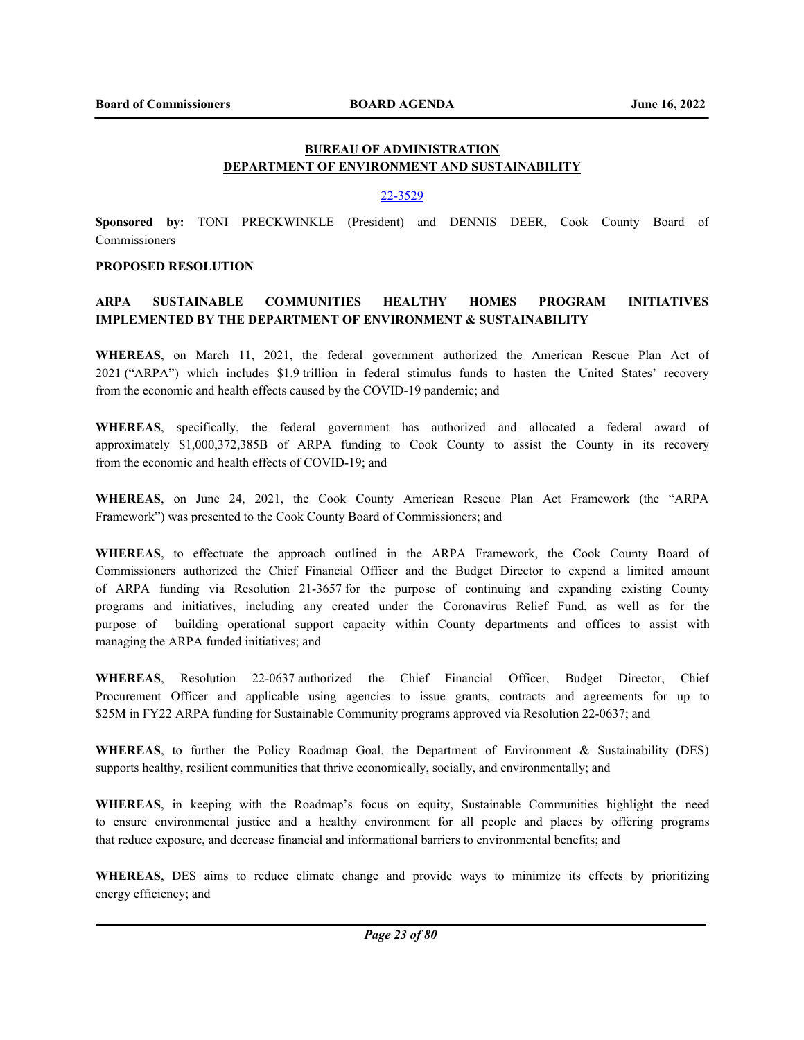# **BUREAU OF ADMINISTRATION DEPARTMENT OF ENVIRONMENT AND SUSTAINABILITY**

#### 22-3529

**Sponsored by:** TONI PRECKWINKLE (President) and DENNIS DEER, Cook County Board of Commissioners

## **PROPOSED RESOLUTION**

# **ARPA SUSTAINABLE COMMUNITIES HEALTHY HOMES PROGRAM INITIATIVES IMPLEMENTED BY THE DEPARTMENT OF ENVIRONMENT & SUSTAINABILITY**

**WHEREAS**, on March 11, 2021, the federal government authorized the American Rescue Plan Act of 2021 ("ARPA") which includes \$1.9 trillion in federal stimulus funds to hasten the United States' recovery from the economic and health effects caused by the COVID-19 pandemic; and

**WHEREAS**, specifically, the federal government has authorized and allocated a federal award of approximately \$1,000,372,385B of ARPA funding to Cook County to assist the County in its recovery from the economic and health effects of COVID-19; and

**WHEREAS**, on June 24, 2021, the Cook County American Rescue Plan Act Framework (the "ARPA Framework") was presented to the Cook County Board of Commissioners; and

**WHEREAS**, to effectuate the approach outlined in the ARPA Framework, the Cook County Board of Commissioners authorized the Chief Financial Officer and the Budget Director to expend a limited amount of ARPA funding via Resolution 21-3657 for the purpose of continuing and expanding existing County programs and initiatives, including any created under the Coronavirus Relief Fund, as well as for the purpose of building operational support capacity within County departments and offices to assist with managing the ARPA funded initiatives; and

**WHEREAS**, Resolution 22-0637 authorized the Chief Financial Officer, Budget Director, Chief Procurement Officer and applicable using agencies to issue grants, contracts and agreements for up to \$25M in FY22 ARPA funding for Sustainable Community programs approved via Resolution 22-0637; and

**WHEREAS**, to further the Policy Roadmap Goal, the Department of Environment & Sustainability (DES) supports healthy, resilient communities that thrive economically, socially, and environmentally; and

**WHEREAS**, in keeping with the Roadmap's focus on equity, Sustainable Communities highlight the need to ensure environmental justice and a healthy environment for all people and places by offering programs that reduce exposure, and decrease financial and informational barriers to environmental benefits; and

**WHEREAS**, DES aims to reduce climate change and provide ways to minimize its effects by prioritizing energy efficiency; and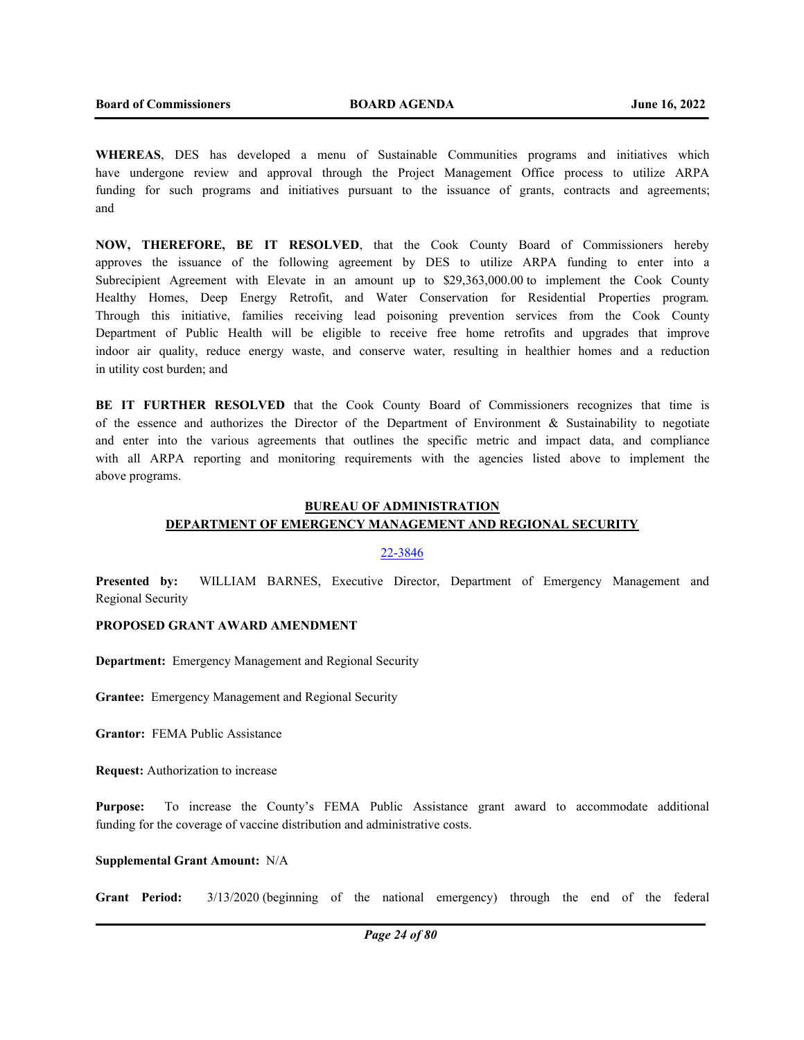**WHEREAS**, DES has developed a menu of Sustainable Communities programs and initiatives which have undergone review and approval through the Project Management Office process to utilize ARPA funding for such programs and initiatives pursuant to the issuance of grants, contracts and agreements; and

**NOW, THEREFORE, BE IT RESOLVED**, that the Cook County Board of Commissioners hereby approves the issuance of the following agreement by DES to utilize ARPA funding to enter into a Subrecipient Agreement with Elevate in an amount up to \$29,363,000.00 to implement the Cook County Healthy Homes, Deep Energy Retrofit, and Water Conservation for Residential Properties program. Through this initiative, families receiving lead poisoning prevention services from the Cook County Department of Public Health will be eligible to receive free home retrofits and upgrades that improve indoor air quality, reduce energy waste, and conserve water, resulting in healthier homes and a reduction in utility cost burden; and

**BE IT FURTHER RESOLVED** that the Cook County Board of Commissioners recognizes that time is of the essence and authorizes the Director of the Department of Environment & Sustainability to negotiate and enter into the various agreements that outlines the specific metric and impact data, and compliance with all ARPA reporting and monitoring requirements with the agencies listed above to implement the above programs.

# **BUREAU OF ADMINISTRATION**

# **DEPARTMENT OF EMERGENCY MANAGEMENT AND REGIONAL SECURITY**

#### 22-3846

**Presented by:** WILLIAM BARNES, Executive Director, Department of Emergency Management and Regional Security

# **PROPOSED GRANT AWARD AMENDMENT**

**Department:** Emergency Management and Regional Security

**Grantee:** Emergency Management and Regional Security

**Grantor:** FEMA Public Assistance

**Request:** Authorization to increase

**Purpose:** To increase the County's FEMA Public Assistance grant award to accommodate additional funding for the coverage of vaccine distribution and administrative costs.

#### **Supplemental Grant Amount:** N/A

**Grant Period:** 3/13/2020 (beginning of the national emergency) through the end of the federal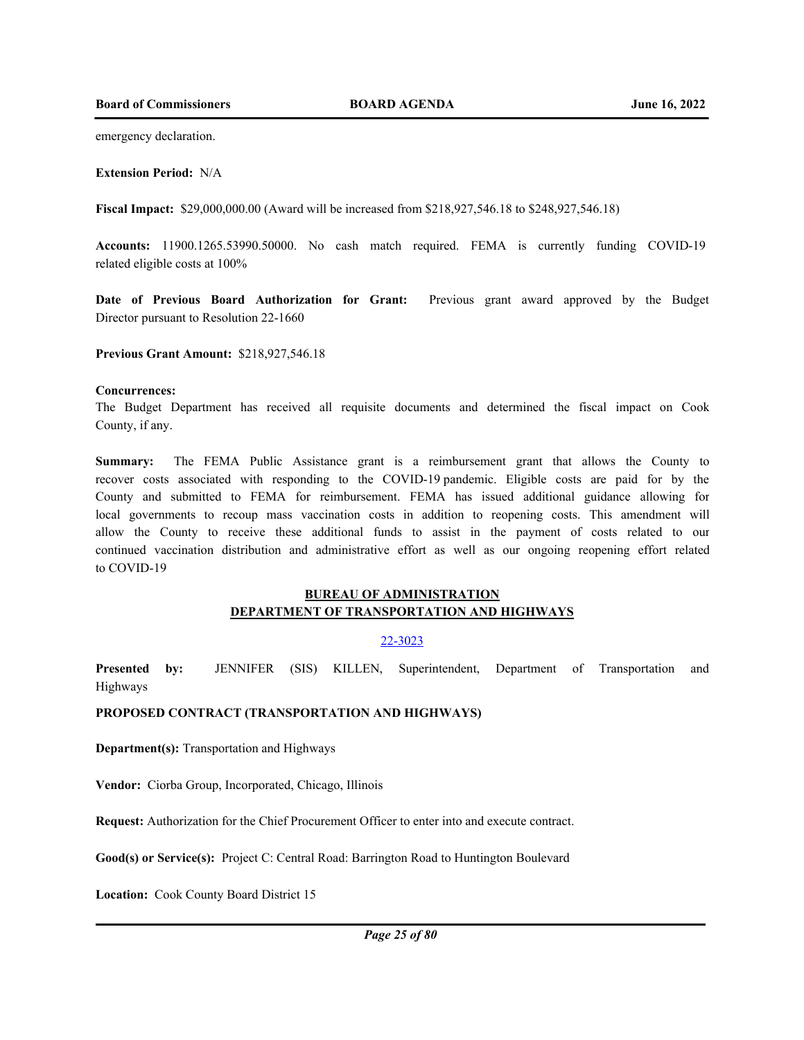emergency declaration.

**Extension Period:** N/A

**Fiscal Impact:** \$29,000,000.00 (Award will be increased from \$218,927,546.18 to \$248,927,546.18)

**Accounts:** 11900.1265.53990.50000. No cash match required. FEMA is currently funding COVID-19 related eligible costs at 100%

**Date of Previous Board Authorization for Grant:** Previous grant award approved by the Budget Director pursuant to Resolution 22-1660

**Previous Grant Amount:** \$218,927,546.18

#### **Concurrences:**

The Budget Department has received all requisite documents and determined the fiscal impact on Cook County, if any.

**Summary:** The FEMA Public Assistance grant is a reimbursement grant that allows the County to recover costs associated with responding to the COVID-19 pandemic. Eligible costs are paid for by the County and submitted to FEMA for reimbursement. FEMA has issued additional guidance allowing for local governments to recoup mass vaccination costs in addition to reopening costs. This amendment will allow the County to receive these additional funds to assist in the payment of costs related to our continued vaccination distribution and administrative effort as well as our ongoing reopening effort related to COVID-19

# **BUREAU OF ADMINISTRATION DEPARTMENT OF TRANSPORTATION AND HIGHWAYS**

## 22-3023

**Presented by:** JENNIFER (SIS) KILLEN, Superintendent, Department of Transportation and Highways

**PROPOSED CONTRACT (TRANSPORTATION AND HIGHWAYS)**

**Department(s):** Transportation and Highways

**Vendor:** Ciorba Group, Incorporated, Chicago, Illinois

**Request:** Authorization for the Chief Procurement Officer to enter into and execute contract.

**Good(s) or Service(s):** Project C: Central Road: Barrington Road to Huntington Boulevard

**Location:** Cook County Board District 15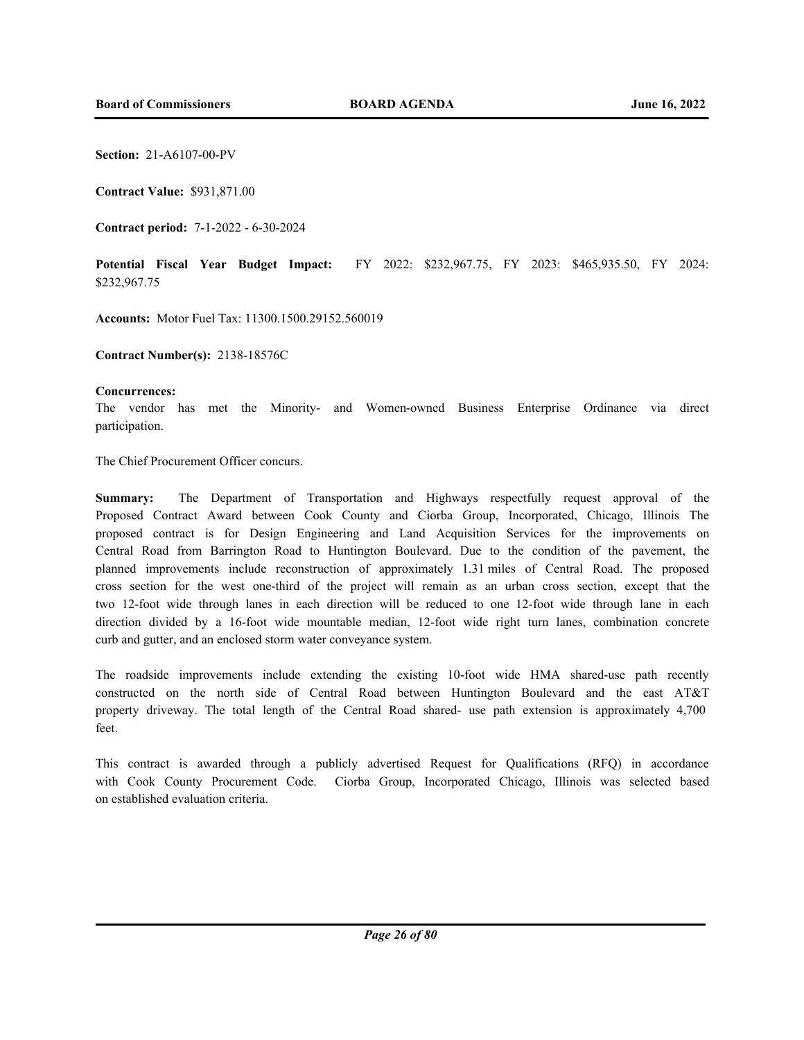**Section:** 21-A6107-00-PV

**Contract Value:** \$931,871.00

**Contract period:** 7-1-2022 - 6-30-2024

**Potential Fiscal Year Budget Impact:** FY 2022: \$232,967.75, FY 2023: \$465,935.50, FY 2024: \$232,967.75

**Accounts:** Motor Fuel Tax: 11300.1500.29152.560019

**Contract Number(s):** 2138-18576C

#### **Concurrences:**

The vendor has met the Minority- and Women-owned Business Enterprise Ordinance via direct participation.

The Chief Procurement Officer concurs.

**Summary:** The Department of Transportation and Highways respectfully request approval of the Proposed Contract Award between Cook County and Ciorba Group, Incorporated, Chicago, Illinois The proposed contract is for Design Engineering and Land Acquisition Services for the improvements on Central Road from Barrington Road to Huntington Boulevard. Due to the condition of the pavement, the planned improvements include reconstruction of approximately 1.31 miles of Central Road. The proposed cross section for the west one-third of the project will remain as an urban cross section, except that the two 12-foot wide through lanes in each direction will be reduced to one 12-foot wide through lane in each direction divided by a 16-foot wide mountable median, 12-foot wide right turn lanes, combination concrete curb and gutter, and an enclosed storm water conveyance system.

The roadside improvements include extending the existing 10-foot wide HMA shared-use path recently constructed on the north side of Central Road between Huntington Boulevard and the east AT&T property driveway. The total length of the Central Road shared- use path extension is approximately 4,700 feet.

This contract is awarded through a publicly advertised Request for Qualifications (RFQ) in accordance with Cook County Procurement Code. Ciorba Group, Incorporated Chicago, Illinois was selected based on established evaluation criteria.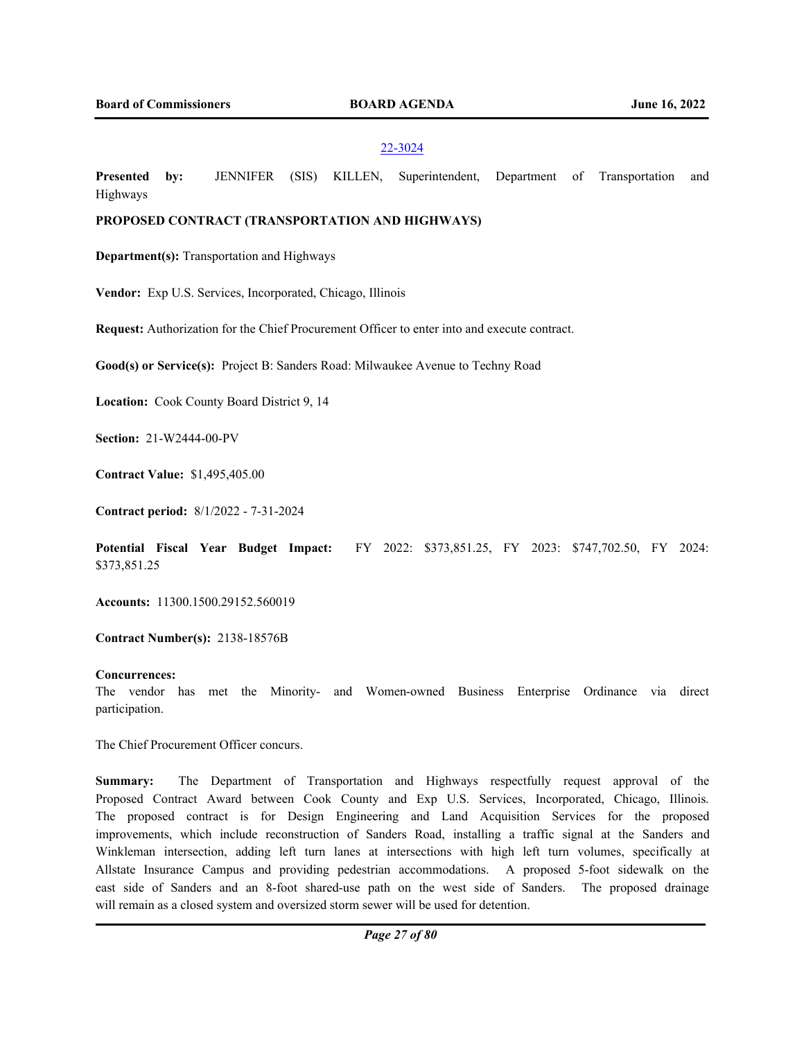#### 22-3024

**Presented by:** JENNIFER (SIS) KILLEN, Superintendent, Department of Transportation and Highways

# **PROPOSED CONTRACT (TRANSPORTATION AND HIGHWAYS)**

**Department(s):** Transportation and Highways

**Vendor:** Exp U.S. Services, Incorporated, Chicago, Illinois

**Request:** Authorization for the Chief Procurement Officer to enter into and execute contract.

**Good(s) or Service(s):** Project B: Sanders Road: Milwaukee Avenue to Techny Road

**Location:** Cook County Board District 9, 14

**Section:** 21-W2444-00-PV

**Contract Value:** \$1,495,405.00

**Contract period:** 8/1/2022 - 7-31-2024

**Potential Fiscal Year Budget Impact:** FY 2022: \$373,851.25, FY 2023: \$747,702.50, FY 2024: \$373,851.25

**Accounts:** 11300.1500.29152.560019

**Contract Number(s):** 2138-18576B

## **Concurrences:**

The vendor has met the Minority- and Women-owned Business Enterprise Ordinance via direct participation.

The Chief Procurement Officer concurs.

**Summary:** The Department of Transportation and Highways respectfully request approval of the Proposed Contract Award between Cook County and Exp U.S. Services, Incorporated, Chicago, Illinois. The proposed contract is for Design Engineering and Land Acquisition Services for the proposed improvements, which include reconstruction of Sanders Road, installing a traffic signal at the Sanders and Winkleman intersection, adding left turn lanes at intersections with high left turn volumes, specifically at Allstate Insurance Campus and providing pedestrian accommodations. A proposed 5-foot sidewalk on the east side of Sanders and an 8-foot shared-use path on the west side of Sanders. The proposed drainage will remain as a closed system and oversized storm sewer will be used for detention.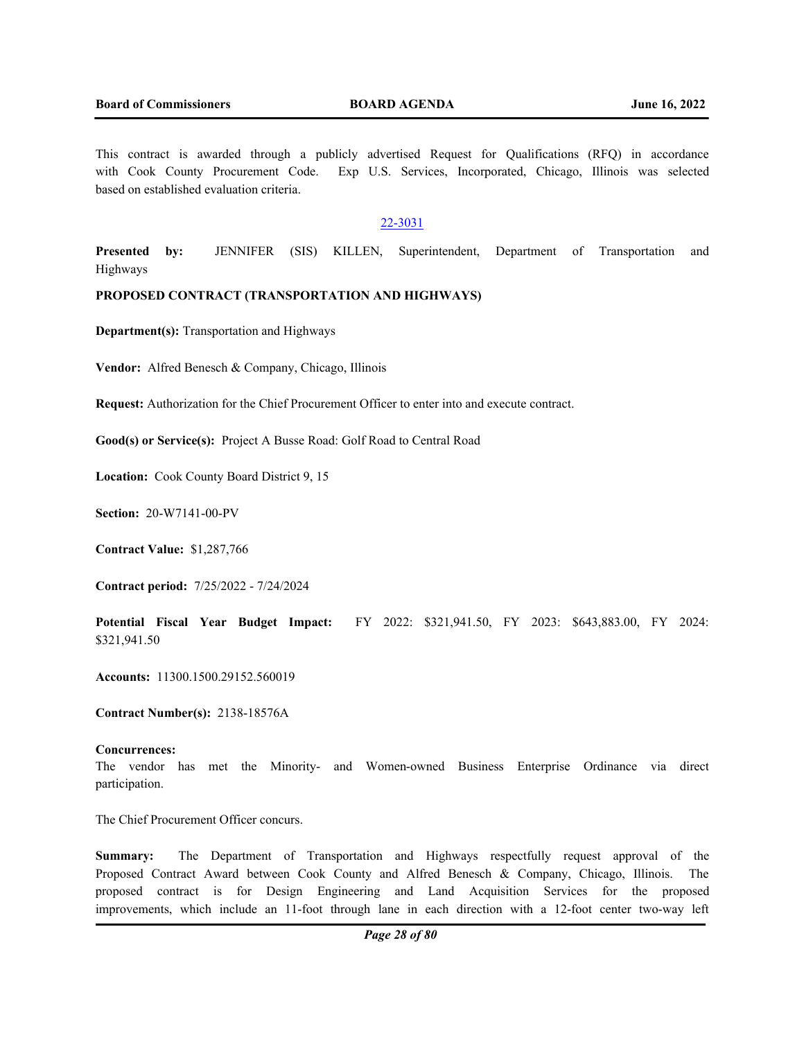This contract is awarded through a publicly advertised Request for Qualifications (RFQ) in accordance with Cook County Procurement Code. Exp U.S. Services, Incorporated, Chicago, Illinois was selected based on established evaluation criteria.

# 22-3031

**Presented by:** JENNIFER (SIS) KILLEN, Superintendent, Department of Transportation and Highways

#### **PROPOSED CONTRACT (TRANSPORTATION AND HIGHWAYS)**

**Department(s):** Transportation and Highways

**Vendor:** Alfred Benesch & Company, Chicago, Illinois

**Request:** Authorization for the Chief Procurement Officer to enter into and execute contract.

**Good(s) or Service(s):** Project A Busse Road: Golf Road to Central Road

**Location:** Cook County Board District 9, 15

**Section:** 20-W7141-00-PV

**Contract Value:** \$1,287,766

**Contract period:** 7/25/2022 - 7/24/2024

**Potential Fiscal Year Budget Impact:** FY 2022: \$321,941.50, FY 2023: \$643,883.00, FY 2024: \$321,941.50

**Accounts:** 11300.1500.29152.560019

**Contract Number(s):** 2138-18576A

#### **Concurrences:**

The vendor has met the Minority- and Women-owned Business Enterprise Ordinance via direct participation.

The Chief Procurement Officer concurs.

**Summary:** The Department of Transportation and Highways respectfully request approval of the Proposed Contract Award between Cook County and Alfred Benesch & Company, Chicago, Illinois. The proposed contract is for Design Engineering and Land Acquisition Services for the proposed improvements, which include an 11-foot through lane in each direction with a 12-foot center two-way left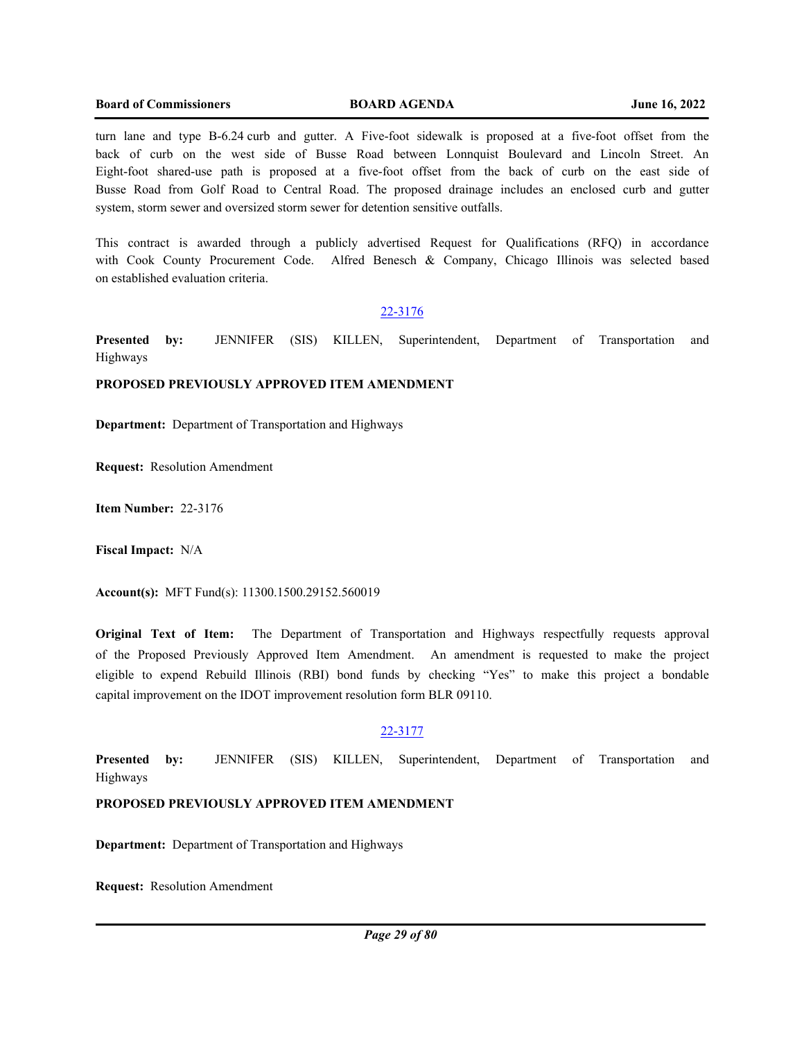turn lane and type B-6.24 curb and gutter. A Five-foot sidewalk is proposed at a five-foot offset from the back of curb on the west side of Busse Road between Lonnquist Boulevard and Lincoln Street. An Eight-foot shared-use path is proposed at a five-foot offset from the back of curb on the east side of Busse Road from Golf Road to Central Road. The proposed drainage includes an enclosed curb and gutter system, storm sewer and oversized storm sewer for detention sensitive outfalls.

This contract is awarded through a publicly advertised Request for Qualifications (RFQ) in accordance with Cook County Procurement Code. Alfred Benesch & Company, Chicago Illinois was selected based on established evaluation criteria.

## 22-3176

**Presented by:** JENNIFER (SIS) KILLEN, Superintendent, Department of Transportation and Highways

# **PROPOSED PREVIOUSLY APPROVED ITEM AMENDMENT**

**Department:** Department of Transportation and Highways

**Request:** Resolution Amendment

**Item Number:** 22-3176

**Fiscal Impact:** N/A

**Account(s):** MFT Fund(s): 11300.1500.29152.560019

**Original Text of Item:** The Department of Transportation and Highways respectfully requests approval of the Proposed Previously Approved Item Amendment. An amendment is requested to make the project eligible to expend Rebuild Illinois (RBI) bond funds by checking "Yes" to make this project a bondable capital improvement on the IDOT improvement resolution form BLR 09110.

#### 22-3177

**Presented by:** JENNIFER (SIS) KILLEN, Superintendent, Department of Transportation and Highways

# **PROPOSED PREVIOUSLY APPROVED ITEM AMENDMENT**

**Department:** Department of Transportation and Highways

**Request:** Resolution Amendment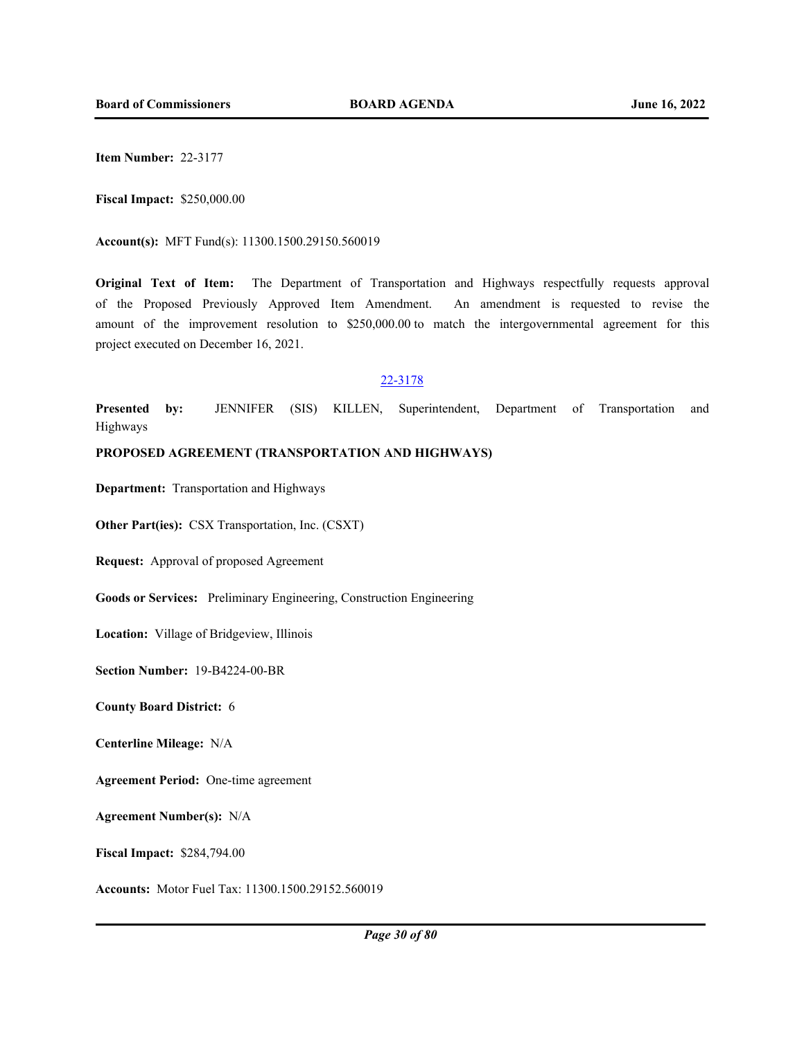**Item Number:** 22-3177

**Fiscal Impact:** \$250,000.00

**Account(s):** MFT Fund(s): 11300.1500.29150.560019

**Original Text of Item:** The Department of Transportation and Highways respectfully requests approval of the Proposed Previously Approved Item Amendment. An amendment is requested to revise the amount of the improvement resolution to \$250,000.00 to match the intergovernmental agreement for this project executed on December 16, 2021.

#### 22-3178

**Presented by:** JENNIFER (SIS) KILLEN, Superintendent, Department of Transportation and Highways

## **PROPOSED AGREEMENT (TRANSPORTATION AND HIGHWAYS)**

**Department:** Transportation and Highways

**Other Part(ies):** CSX Transportation, Inc. (CSXT)

**Request:** Approval of proposed Agreement

**Goods or Services:** Preliminary Engineering, Construction Engineering

**Location:** Village of Bridgeview, Illinois

**Section Number:** 19-B4224-00-BR

**County Board District:** 6

**Centerline Mileage:** N/A

**Agreement Period:** One-time agreement

**Agreement Number(s):** N/A

**Fiscal Impact:** \$284,794.00

**Accounts:** Motor Fuel Tax: 11300.1500.29152.560019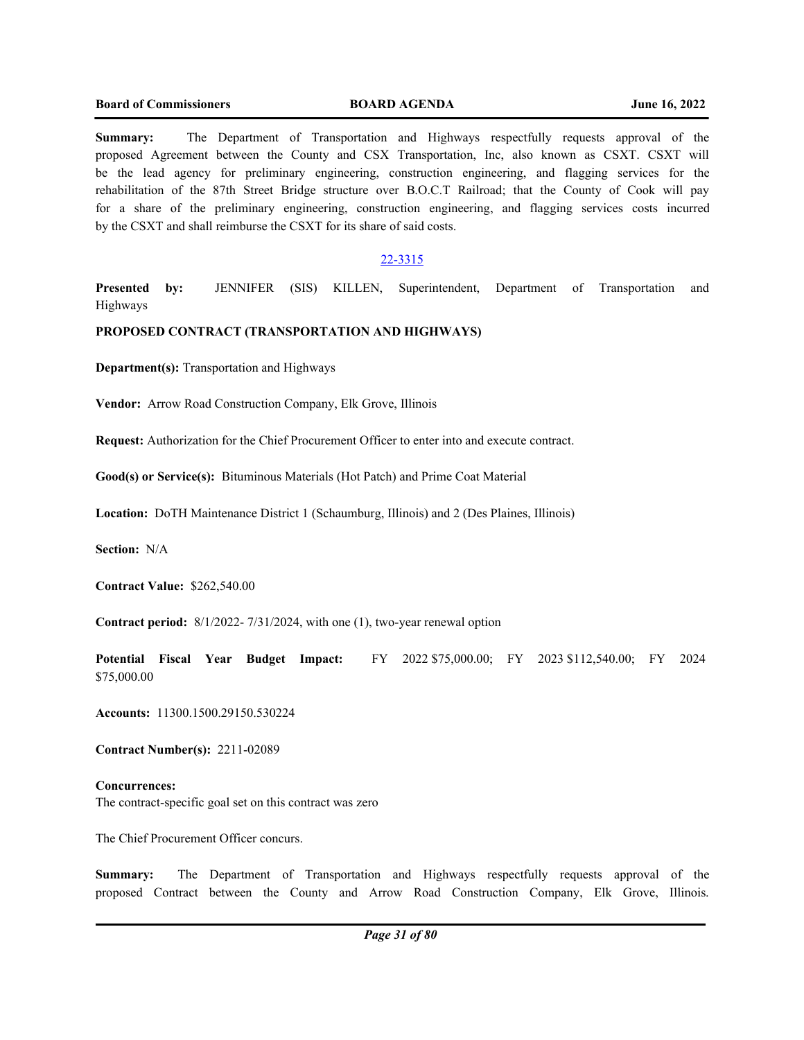**Summary:** The Department of Transportation and Highways respectfully requests approval of the proposed Agreement between the County and CSX Transportation, Inc, also known as CSXT. CSXT will be the lead agency for preliminary engineering, construction engineering, and flagging services for the rehabilitation of the 87th Street Bridge structure over B.O.C.T Railroad; that the County of Cook will pay for a share of the preliminary engineering, construction engineering, and flagging services costs incurred by the CSXT and shall reimburse the CSXT for its share of said costs.

# 22-3315

**Presented by:** JENNIFER (SIS) KILLEN, Superintendent, Department of Transportation and Highways

## **PROPOSED CONTRACT (TRANSPORTATION AND HIGHWAYS)**

**Department(s):** Transportation and Highways

**Vendor:** Arrow Road Construction Company, Elk Grove, Illinois

**Request:** Authorization for the Chief Procurement Officer to enter into and execute contract.

**Good(s) or Service(s):** Bituminous Materials (Hot Patch) and Prime Coat Material

**Location:** DoTH Maintenance District 1 (Schaumburg, Illinois) and 2 (Des Plaines, Illinois)

**Section:** N/A

**Contract Value:** \$262,540.00

**Contract period:** 8/1/2022- 7/31/2024, with one (1), two-year renewal option

**Potential Fiscal Year Budget Impact:** FY 2022 \$75,000.00; FY 2023 \$112,540.00; FY 2024 \$75,000.00

**Accounts:** 11300.1500.29150.530224

**Contract Number(s):** 2211-02089

**Concurrences:** The contract-specific goal set on this contract was zero

The Chief Procurement Officer concurs.

**Summary:** The Department of Transportation and Highways respectfully requests approval of the proposed Contract between the County and Arrow Road Construction Company, Elk Grove, Illinois.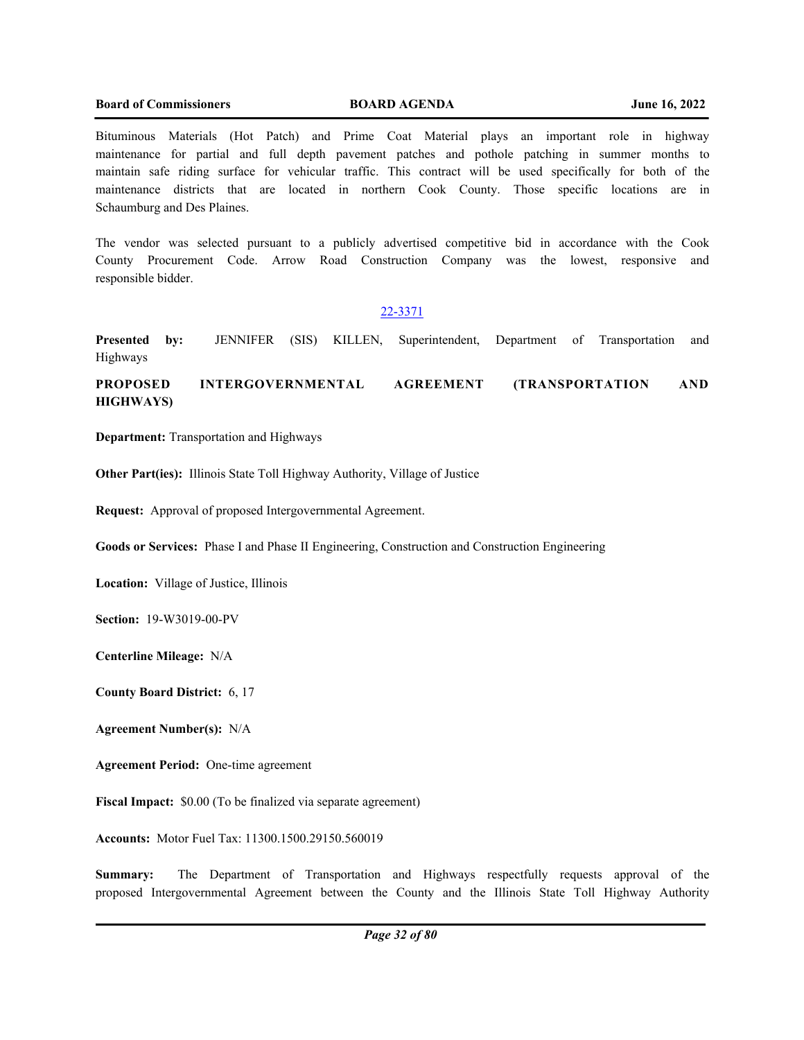Bituminous Materials (Hot Patch) and Prime Coat Material plays an important role in highway maintenance for partial and full depth pavement patches and pothole patching in summer months to maintain safe riding surface for vehicular traffic. This contract will be used specifically for both of the maintenance districts that are located in northern Cook County. Those specific locations are in Schaumburg and Des Plaines.

The vendor was selected pursuant to a publicly advertised competitive bid in accordance with the Cook County Procurement Code. Arrow Road Construction Company was the lowest, responsive and responsible bidder.

# 22-3371

**Presented by:** JENNIFER (SIS) KILLEN, Superintendent, Department of Transportation and Highways

# **PROPOSED INTERGOVERNMENTAL AGREEMENT (TRANSPORTATION AND HIGHWAYS)**

**Department:** Transportation and Highways

**Other Part(ies):** Illinois State Toll Highway Authority, Village of Justice

**Request:** Approval of proposed Intergovernmental Agreement.

**Goods or Services:** Phase I and Phase II Engineering, Construction and Construction Engineering

**Location:** Village of Justice, Illinois

**Section:** 19-W3019-00-PV

**Centerline Mileage:** N/A

**County Board District:** 6, 17

**Agreement Number(s):** N/A

**Agreement Period:** One-time agreement

**Fiscal Impact:** \$0.00 (To be finalized via separate agreement)

**Accounts:** Motor Fuel Tax: 11300.1500.29150.560019

**Summary:** The Department of Transportation and Highways respectfully requests approval of the proposed Intergovernmental Agreement between the County and the Illinois State Toll Highway Authority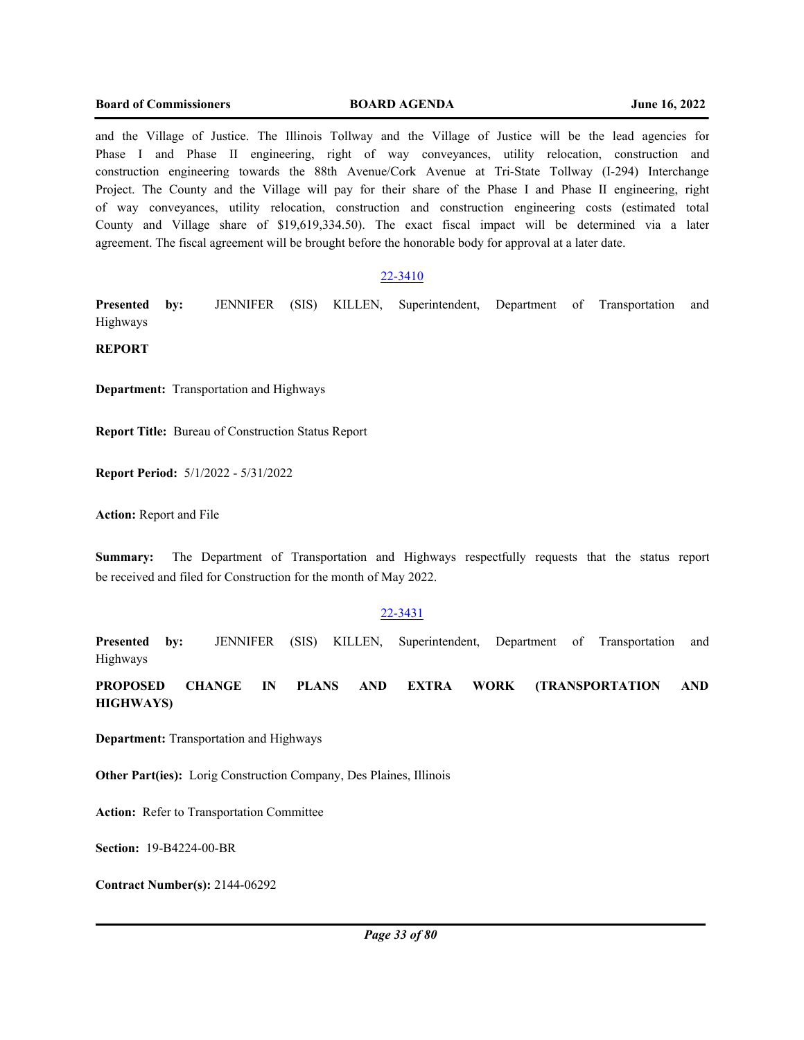and the Village of Justice. The Illinois Tollway and the Village of Justice will be the lead agencies for Phase I and Phase II engineering, right of way conveyances, utility relocation, construction and construction engineering towards the 88th Avenue/Cork Avenue at Tri-State Tollway (I-294) Interchange Project. The County and the Village will pay for their share of the Phase I and Phase II engineering, right of way conveyances, utility relocation, construction and construction engineering costs (estimated total County and Village share of \$19,619,334.50). The exact fiscal impact will be determined via a later agreement. The fiscal agreement will be brought before the honorable body for approval at a later date.

#### 22-3410

**Presented by:** JENNIFER (SIS) KILLEN, Superintendent, Department of Transportation and Highways

**REPORT**

**Department:** Transportation and Highways

**Report Title:** Bureau of Construction Status Report

**Report Period:** 5/1/2022 - 5/31/2022

**Action:** Report and File

**Summary:** The Department of Transportation and Highways respectfully requests that the status report be received and filed for Construction for the month of May 2022.

## 22-3431

**Presented by:** JENNIFER (SIS) KILLEN, Superintendent, Department of Transportation and Highways

**PROPOSED CHANGE IN PLANS AND EXTRA WORK (TRANSPORTATION AND HIGHWAYS)**

**Department:** Transportation and Highways

**Other Part(ies):** Lorig Construction Company, Des Plaines, Illinois

**Action:** Refer to Transportation Committee

**Section:** 19-B4224-00-BR

**Contract Number(s):** 2144-06292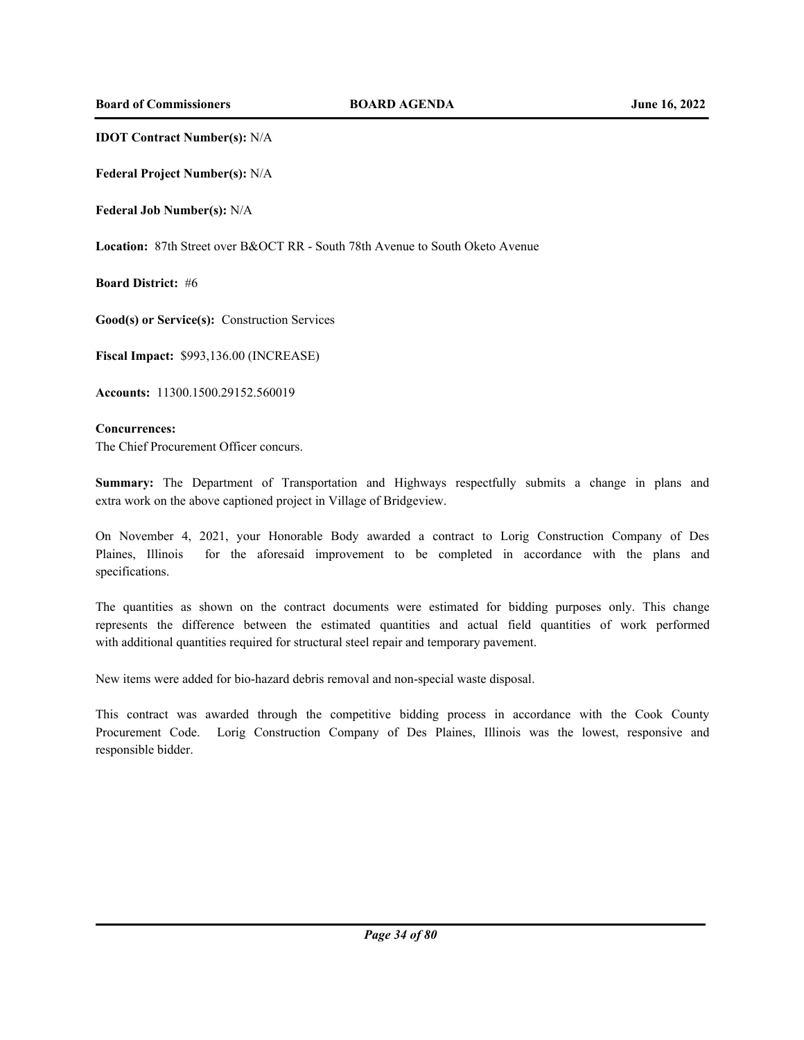**IDOT Contract Number(s):** N/A

**Federal Project Number(s):** N/A

**Federal Job Number(s):** N/A

**Location:** 87th Street over B&OCT RR - South 78th Avenue to South Oketo Avenue

**Board District:** #6

**Good(s) or Service(s):** Construction Services

**Fiscal Impact:** \$993,136.00 (INCREASE)

**Accounts:** 11300.1500.29152.560019

## **Concurrences:**

The Chief Procurement Officer concurs.

**Summary:** The Department of Transportation and Highways respectfully submits a change in plans and extra work on the above captioned project in Village of Bridgeview.

On November 4, 2021, your Honorable Body awarded a contract to Lorig Construction Company of Des Plaines, Illinois for the aforesaid improvement to be completed in accordance with the plans and specifications.

The quantities as shown on the contract documents were estimated for bidding purposes only. This change represents the difference between the estimated quantities and actual field quantities of work performed with additional quantities required for structural steel repair and temporary pavement.

New items were added for bio-hazard debris removal and non-special waste disposal.

This contract was awarded through the competitive bidding process in accordance with the Cook County Procurement Code. Lorig Construction Company of Des Plaines, Illinois was the lowest, responsive and responsible bidder.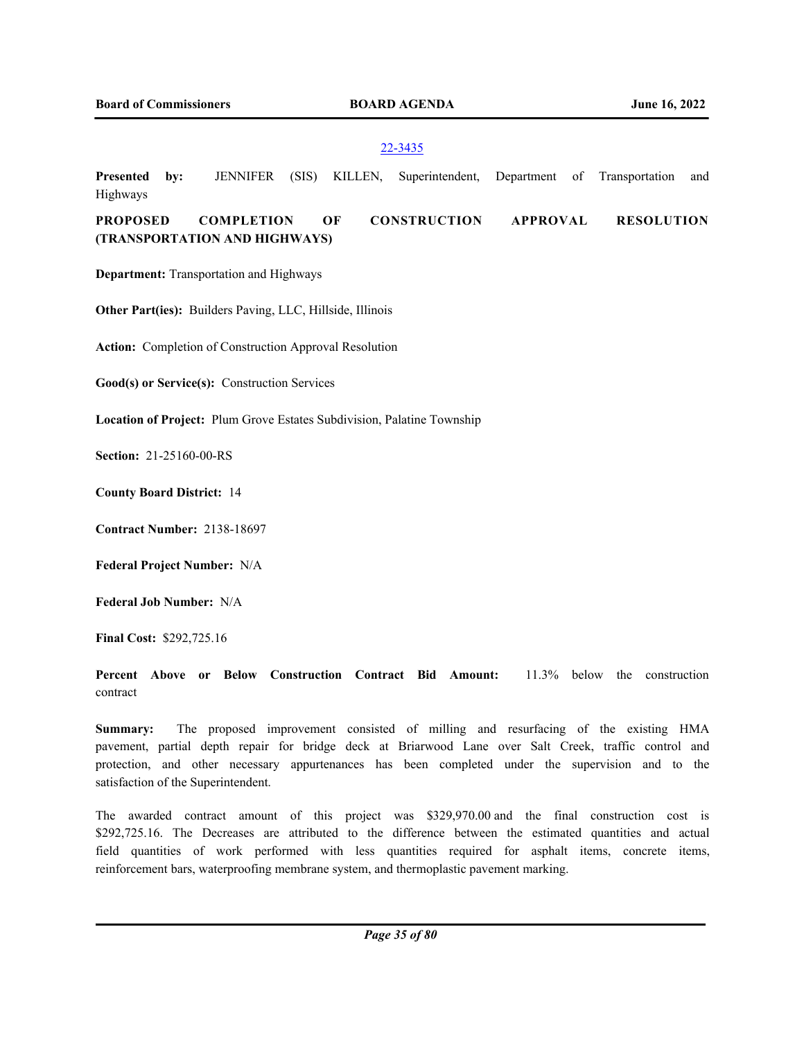## 22-3435

**Presented by:** JENNIFER (SIS) KILLEN, Superintendent, Department of Transportation and Highways **PROPOSED COMPLETION OF CONSTRUCTION APPROVAL RESOLUTION (TRANSPORTATION AND HIGHWAYS)**

**Department:** Transportation and Highways

**Other Part(ies):** Builders Paving, LLC, Hillside, Illinois

**Action:** Completion of Construction Approval Resolution

**Good(s) or Service(s):** Construction Services

**Location of Project:** Plum Grove Estates Subdivision, Palatine Township

**Section:** 21-25160-00-RS

**County Board District:** 14

**Contract Number:** 2138-18697

**Federal Project Number:** N/A

**Federal Job Number:** N/A

**Final Cost:** \$292,725.16

**Percent Above or Below Construction Contract Bid Amount:** 11.3% below the construction contract

**Summary:** The proposed improvement consisted of milling and resurfacing of the existing HMA pavement, partial depth repair for bridge deck at Briarwood Lane over Salt Creek, traffic control and protection, and other necessary appurtenances has been completed under the supervision and to the satisfaction of the Superintendent.

The awarded contract amount of this project was \$329,970.00 and the final construction cost is \$292,725.16. The Decreases are attributed to the difference between the estimated quantities and actual field quantities of work performed with less quantities required for asphalt items, concrete items, reinforcement bars, waterproofing membrane system, and thermoplastic pavement marking.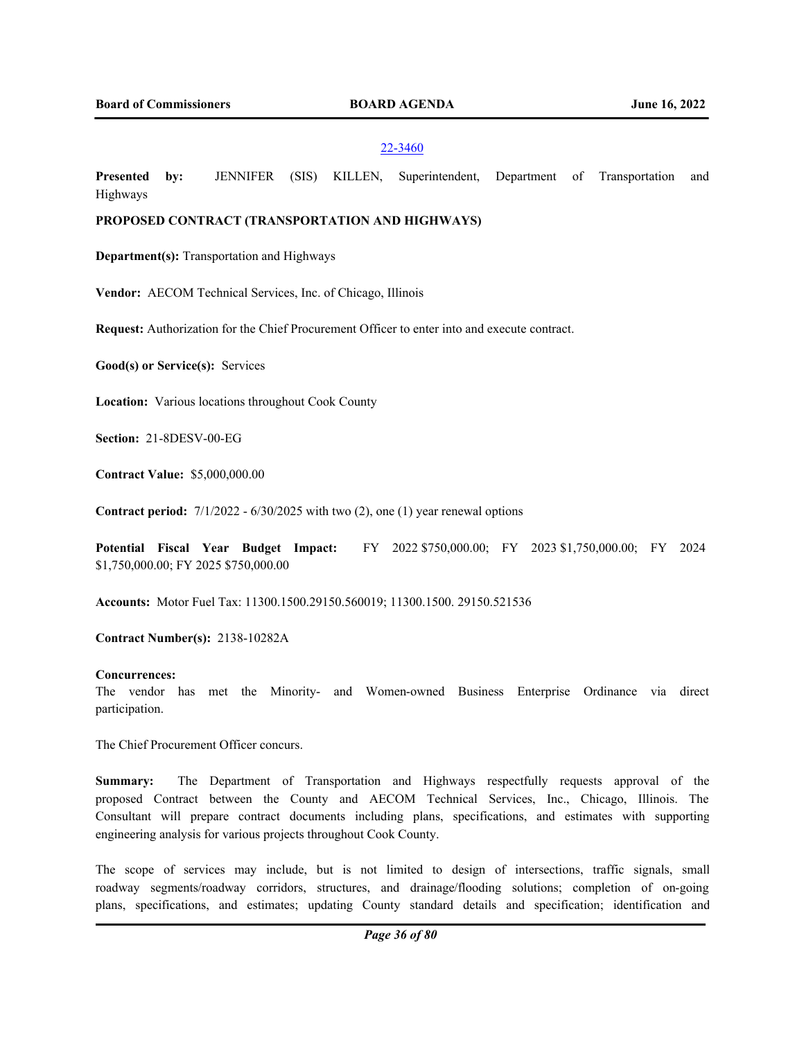#### 22-3460

**Presented by:** JENNIFER (SIS) KILLEN, Superintendent, Department of Transportation and Highways

# **PROPOSED CONTRACT (TRANSPORTATION AND HIGHWAYS)**

**Department(s):** Transportation and Highways

**Vendor:** AECOM Technical Services, Inc. of Chicago, Illinois

**Request:** Authorization for the Chief Procurement Officer to enter into and execute contract.

**Good(s) or Service(s):** Services

**Location:** Various locations throughout Cook County

**Section:** 21-8DESV-00-EG

**Contract Value:** \$5,000,000.00

**Contract period:** 7/1/2022 - 6/30/2025 with two (2), one (1) year renewal options

**Potential Fiscal Year Budget Impact:** FY 2022 \$750,000.00; FY 2023 \$1,750,000.00; FY 2024 \$1,750,000.00; FY 2025 \$750,000.00

**Accounts:** Motor Fuel Tax: 11300.1500.29150.560019; 11300.1500. 29150.521536

**Contract Number(s):** 2138-10282A

#### **Concurrences:**

The vendor has met the Minority- and Women-owned Business Enterprise Ordinance via direct participation.

The Chief Procurement Officer concurs.

**Summary:** The Department of Transportation and Highways respectfully requests approval of the proposed Contract between the County and AECOM Technical Services, Inc., Chicago, Illinois. The Consultant will prepare contract documents including plans, specifications, and estimates with supporting engineering analysis for various projects throughout Cook County.

The scope of services may include, but is not limited to design of intersections, traffic signals, small roadway segments/roadway corridors, structures, and drainage/flooding solutions; completion of on-going plans, specifications, and estimates; updating County standard details and specification; identification and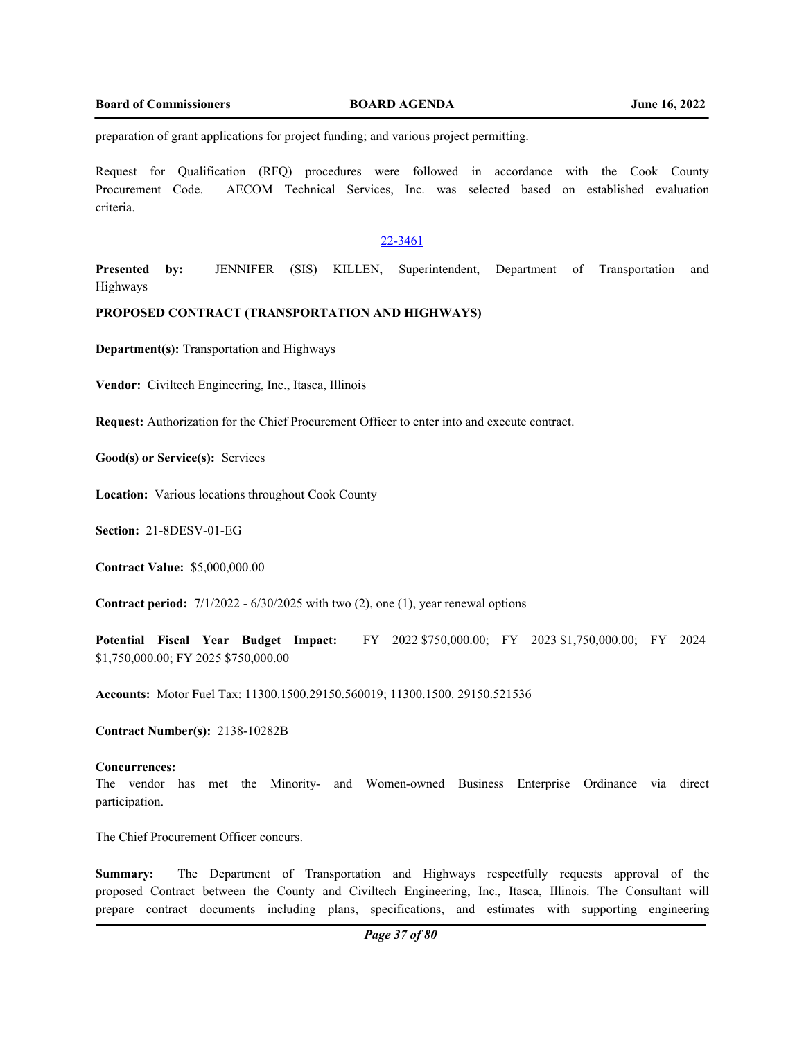preparation of grant applications for project funding; and various project permitting.

Request for Qualification (RFQ) procedures were followed in accordance with the Cook County Procurement Code. AECOM Technical Services, Inc. was selected based on established evaluation criteria.

## 22-3461

**Presented by:** JENNIFER (SIS) KILLEN, Superintendent, Department of Transportation and Highways

## **PROPOSED CONTRACT (TRANSPORTATION AND HIGHWAYS)**

**Department(s):** Transportation and Highways

**Vendor:** Civiltech Engineering, Inc., Itasca, Illinois

**Request:** Authorization for the Chief Procurement Officer to enter into and execute contract.

**Good(s) or Service(s):** Services

**Location:** Various locations throughout Cook County

**Section:** 21-8DESV-01-EG

**Contract Value:** \$5,000,000.00

**Contract period:** 7/1/2022 - 6/30/2025 with two (2), one (1), year renewal options

**Potential Fiscal Year Budget Impact:** FY 2022 \$750,000.00; FY 2023 \$1,750,000.00; FY 2024 \$1,750,000.00; FY 2025 \$750,000.00

**Accounts:** Motor Fuel Tax: 11300.1500.29150.560019; 11300.1500. 29150.521536

**Contract Number(s):** 2138-10282B

#### **Concurrences:**

The vendor has met the Minority- and Women-owned Business Enterprise Ordinance via direct participation.

The Chief Procurement Officer concurs.

**Summary:** The Department of Transportation and Highways respectfully requests approval of the proposed Contract between the County and Civiltech Engineering, Inc., Itasca, Illinois. The Consultant will prepare contract documents including plans, specifications, and estimates with supporting engineering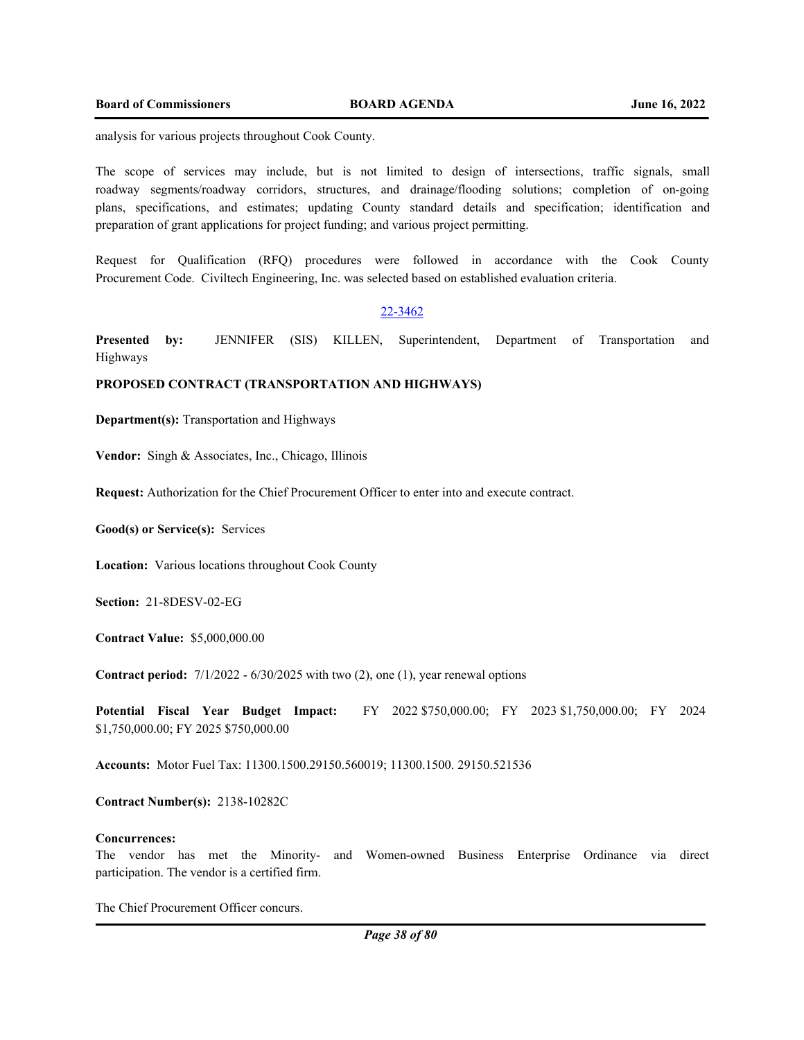analysis for various projects throughout Cook County.

The scope of services may include, but is not limited to design of intersections, traffic signals, small roadway segments/roadway corridors, structures, and drainage/flooding solutions; completion of on-going plans, specifications, and estimates; updating County standard details and specification; identification and preparation of grant applications for project funding; and various project permitting.

Request for Qualification (RFQ) procedures were followed in accordance with the Cook County Procurement Code. Civiltech Engineering, Inc. was selected based on established evaluation criteria.

#### 22-3462

**Presented by:** JENNIFER (SIS) KILLEN, Superintendent, Department of Transportation and Highways

## **PROPOSED CONTRACT (TRANSPORTATION AND HIGHWAYS)**

**Department(s):** Transportation and Highways

**Vendor:** Singh & Associates, Inc., Chicago, Illinois

**Request:** Authorization for the Chief Procurement Officer to enter into and execute contract.

**Good(s) or Service(s):** Services

**Location:** Various locations throughout Cook County

**Section:** 21-8DESV-02-EG

**Contract Value:** \$5,000,000.00

**Contract period:** 7/1/2022 - 6/30/2025 with two (2), one (1), year renewal options

**Potential Fiscal Year Budget Impact:** FY 2022 \$750,000.00; FY 2023 \$1,750,000.00; FY 2024 \$1,750,000.00; FY 2025 \$750,000.00

**Accounts:** Motor Fuel Tax: 11300.1500.29150.560019; 11300.1500. 29150.521536

**Contract Number(s):** 2138-10282C

## **Concurrences:**

The vendor has met the Minority- and Women-owned Business Enterprise Ordinance via direct participation. The vendor is a certified firm.

The Chief Procurement Officer concurs.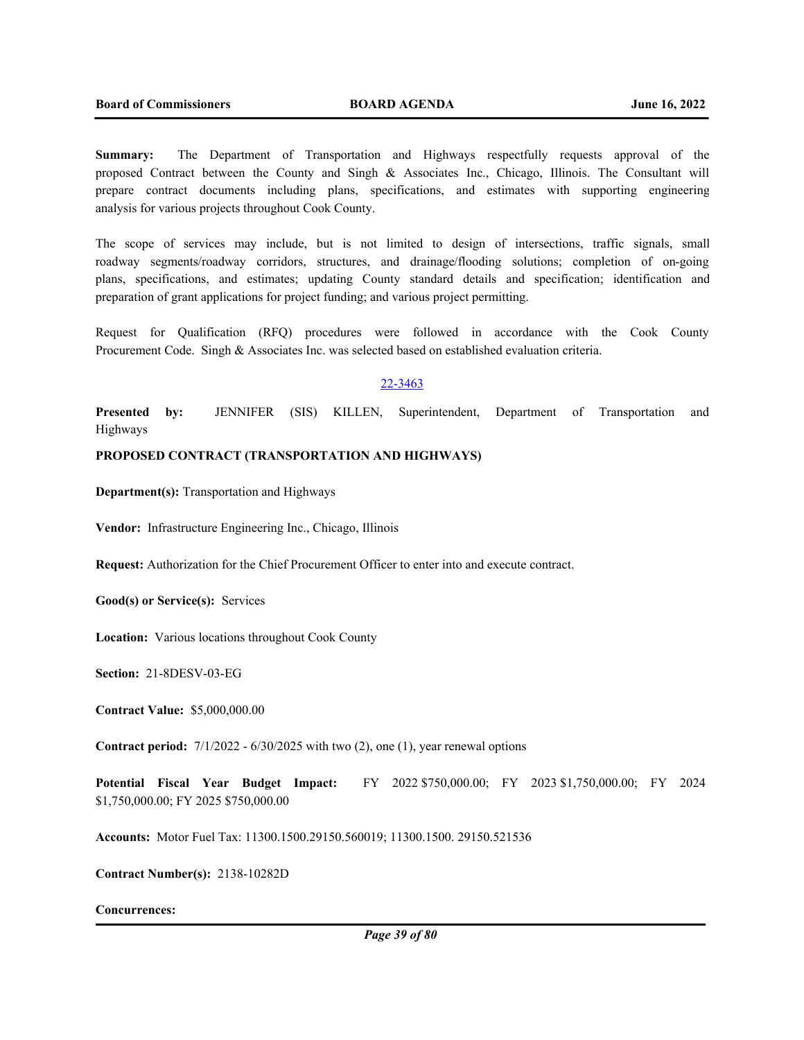**Summary:** The Department of Transportation and Highways respectfully requests approval of the proposed Contract between the County and Singh & Associates Inc., Chicago, Illinois. The Consultant will prepare contract documents including plans, specifications, and estimates with supporting engineering analysis for various projects throughout Cook County.

The scope of services may include, but is not limited to design of intersections, traffic signals, small roadway segments/roadway corridors, structures, and drainage/flooding solutions; completion of on-going plans, specifications, and estimates; updating County standard details and specification; identification and preparation of grant applications for project funding; and various project permitting.

Request for Qualification (RFQ) procedures were followed in accordance with the Cook County Procurement Code. Singh & Associates Inc. was selected based on established evaluation criteria.

#### 22-3463

**Presented by:** JENNIFER (SIS) KILLEN, Superintendent, Department of Transportation and Highways

## **PROPOSED CONTRACT (TRANSPORTATION AND HIGHWAYS)**

**Department(s):** Transportation and Highways

**Vendor:** Infrastructure Engineering Inc., Chicago, Illinois

**Request:** Authorization for the Chief Procurement Officer to enter into and execute contract.

**Good(s) or Service(s):** Services

**Location:** Various locations throughout Cook County

**Section:** 21-8DESV-03-EG

**Contract Value:** \$5,000,000.00

**Contract period:** 7/1/2022 - 6/30/2025 with two (2), one (1), year renewal options

**Potential Fiscal Year Budget Impact:** FY 2022 \$750,000.00; FY 2023 \$1,750,000.00; FY 2024 \$1,750,000.00; FY 2025 \$750,000.00

**Accounts:** Motor Fuel Tax: 11300.1500.29150.560019; 11300.1500. 29150.521536

**Contract Number(s):** 2138-10282D

#### **Concurrences:**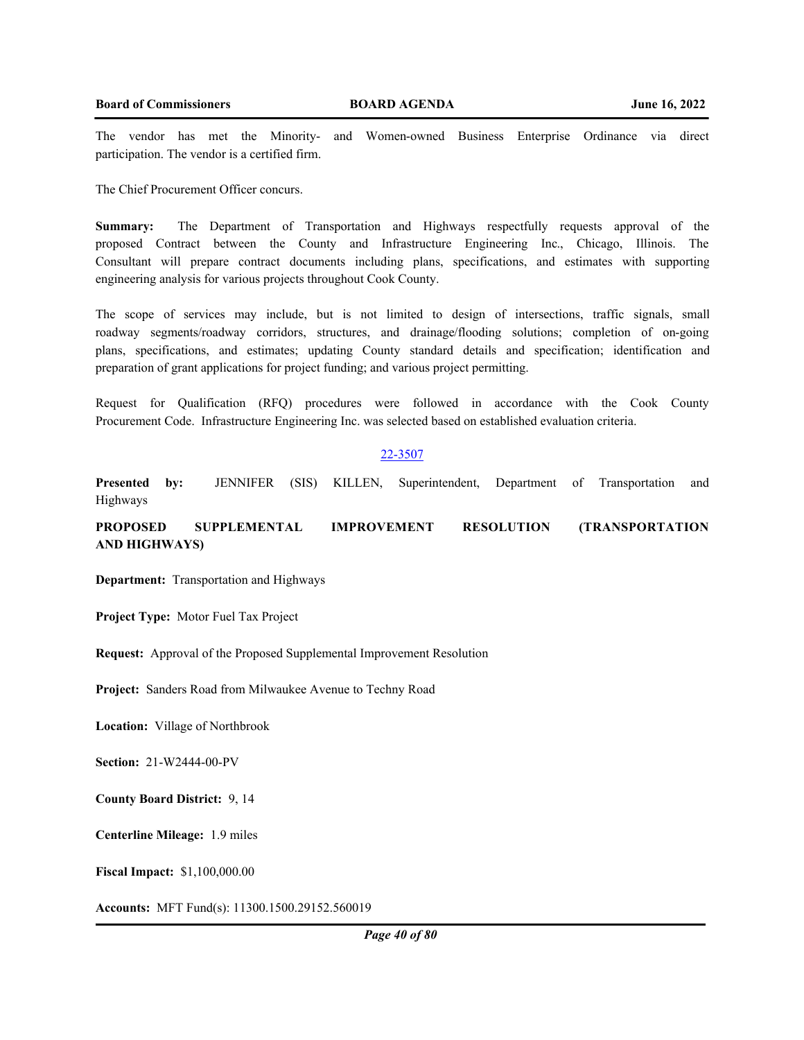The vendor has met the Minority- and Women-owned Business Enterprise Ordinance via direct participation. The vendor is a certified firm.

The Chief Procurement Officer concurs.

**Summary:** The Department of Transportation and Highways respectfully requests approval of the proposed Contract between the County and Infrastructure Engineering Inc., Chicago, Illinois. The Consultant will prepare contract documents including plans, specifications, and estimates with supporting engineering analysis for various projects throughout Cook County.

The scope of services may include, but is not limited to design of intersections, traffic signals, small roadway segments/roadway corridors, structures, and drainage/flooding solutions; completion of on-going plans, specifications, and estimates; updating County standard details and specification; identification and preparation of grant applications for project funding; and various project permitting.

Request for Qualification (RFQ) procedures were followed in accordance with the Cook County Procurement Code. Infrastructure Engineering Inc. was selected based on established evaluation criteria.

## 22-3507

**Presented by:** JENNIFER (SIS) KILLEN, Superintendent, Department of Transportation and Highways

**PROPOSED SUPPLEMENTAL IMPROVEMENT RESOLUTION (TRANSPORTATION AND HIGHWAYS)**

**Department:** Transportation and Highways

**Project Type:** Motor Fuel Tax Project

**Request:** Approval of the Proposed Supplemental Improvement Resolution

**Project:** Sanders Road from Milwaukee Avenue to Techny Road

**Location:** Village of Northbrook

**Section:** 21-W2444-00-PV

**County Board District:** 9, 14

**Centerline Mileage:** 1.9 miles

**Fiscal Impact:** \$1,100,000.00

**Accounts:** MFT Fund(s): 11300.1500.29152.560019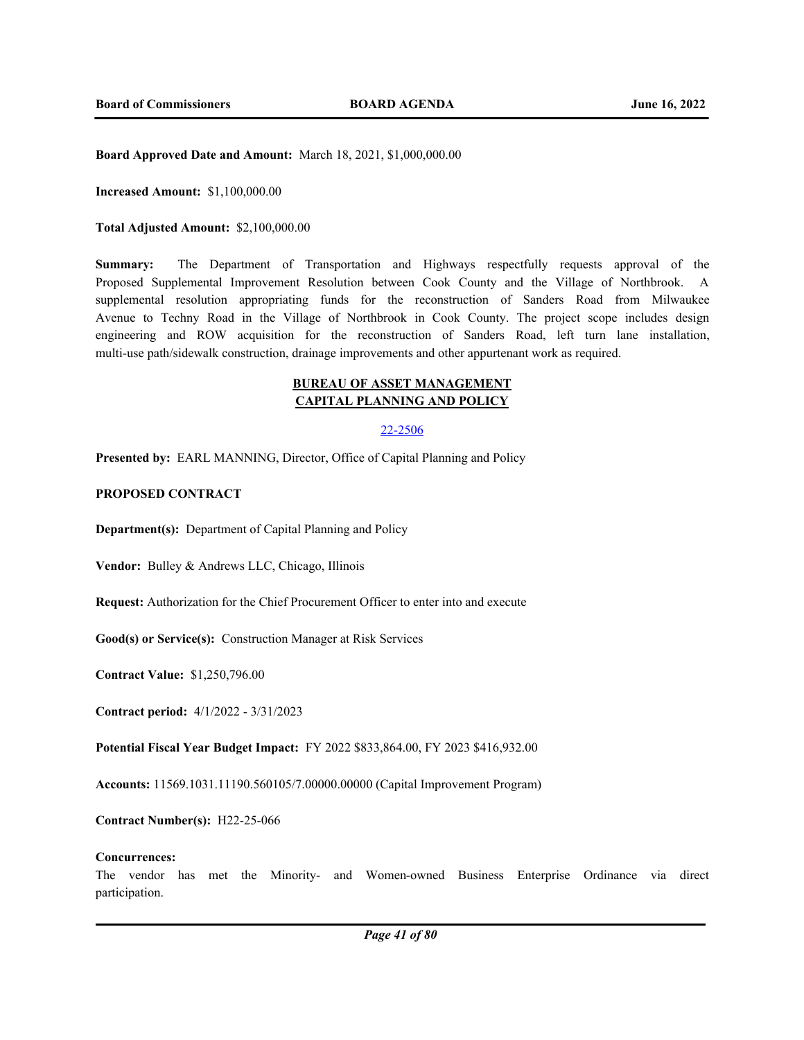**Board Approved Date and Amount:** March 18, 2021, \$1,000,000.00

**Increased Amount:** \$1,100,000.00

**Total Adjusted Amount:** \$2,100,000.00

**Summary:** The Department of Transportation and Highways respectfully requests approval of the Proposed Supplemental Improvement Resolution between Cook County and the Village of Northbrook. A supplemental resolution appropriating funds for the reconstruction of Sanders Road from Milwaukee Avenue to Techny Road in the Village of Northbrook in Cook County. The project scope includes design engineering and ROW acquisition for the reconstruction of Sanders Road, left turn lane installation, multi-use path/sidewalk construction, drainage improvements and other appurtenant work as required.

# **BUREAU OF ASSET MANAGEMENT CAPITAL PLANNING AND POLICY**

## 22-2506

**Presented by:** EARL MANNING, Director, Office of Capital Planning and Policy

## **PROPOSED CONTRACT**

**Department(s):** Department of Capital Planning and Policy

**Vendor:** Bulley & Andrews LLC, Chicago, Illinois

**Request:** Authorization for the Chief Procurement Officer to enter into and execute

**Good(s) or Service(s):** Construction Manager at Risk Services

**Contract Value:** \$1,250,796.00

**Contract period:** 4/1/2022 - 3/31/2023

**Potential Fiscal Year Budget Impact:** FY 2022 \$833,864.00, FY 2023 \$416,932.00

**Accounts:** 11569.1031.11190.560105/7.00000.00000 (Capital Improvement Program)

**Contract Number(s):** H22-25-066

#### **Concurrences:**

The vendor has met the Minority- and Women-owned Business Enterprise Ordinance via direct participation.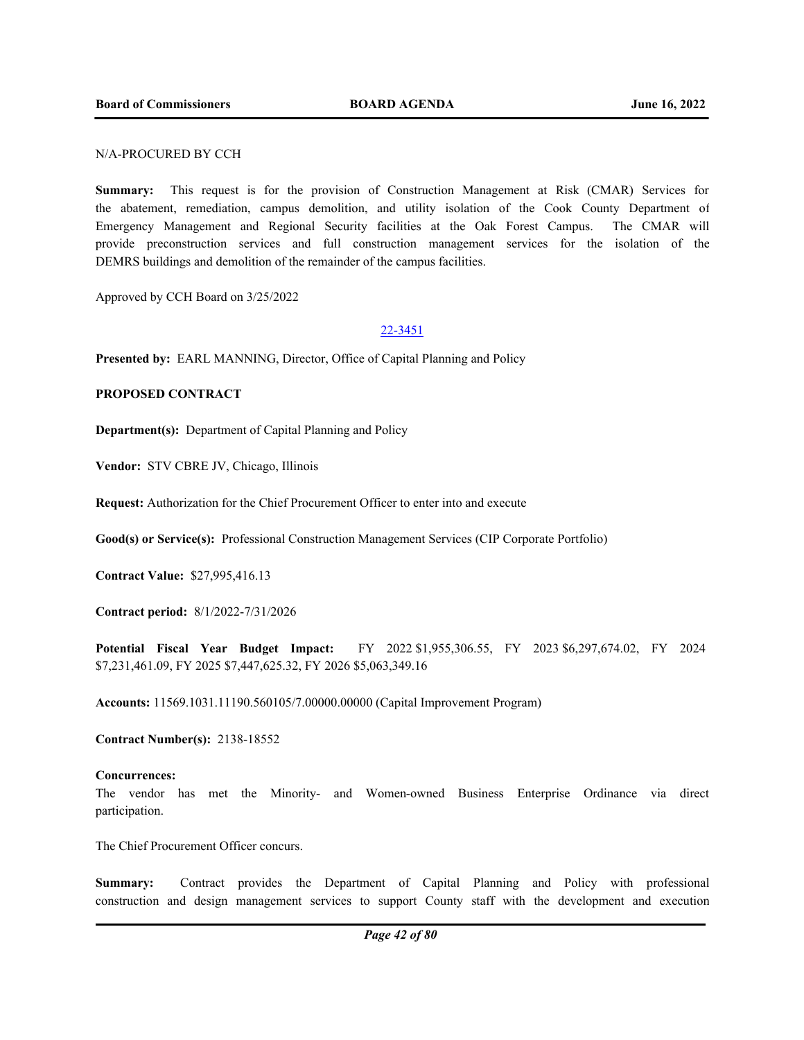## N/A-PROCURED BY CCH

**Summary:** This request is for the provision of Construction Management at Risk (CMAR) Services for the abatement, remediation, campus demolition, and utility isolation of the Cook County Department of Emergency Management and Regional Security facilities at the Oak Forest Campus. The CMAR will provide preconstruction services and full construction management services for the isolation of the DEMRS buildings and demolition of the remainder of the campus facilities.

Approved by CCH Board on 3/25/2022

#### 22-3451

**Presented by:** EARL MANNING, Director, Office of Capital Planning and Policy

## **PROPOSED CONTRACT**

**Department(s):** Department of Capital Planning and Policy

**Vendor:** STV CBRE JV, Chicago, Illinois

**Request:** Authorization for the Chief Procurement Officer to enter into and execute

**Good(s) or Service(s):** Professional Construction Management Services (CIP Corporate Portfolio)

**Contract Value:** \$27,995,416.13

**Contract period:** 8/1/2022-7/31/2026

**Potential Fiscal Year Budget Impact:** FY 2022 \$1,955,306.55, FY 2023 \$6,297,674.02, FY 2024 \$7,231,461.09, FY 2025 \$7,447,625.32, FY 2026 \$5,063,349.16

**Accounts:** 11569.1031.11190.560105/7.00000.00000 (Capital Improvement Program)

**Contract Number(s):** 2138-18552

#### **Concurrences:**

The vendor has met the Minority- and Women-owned Business Enterprise Ordinance via direct participation.

The Chief Procurement Officer concurs.

**Summary:** Contract provides the Department of Capital Planning and Policy with professional construction and design management services to support County staff with the development and execution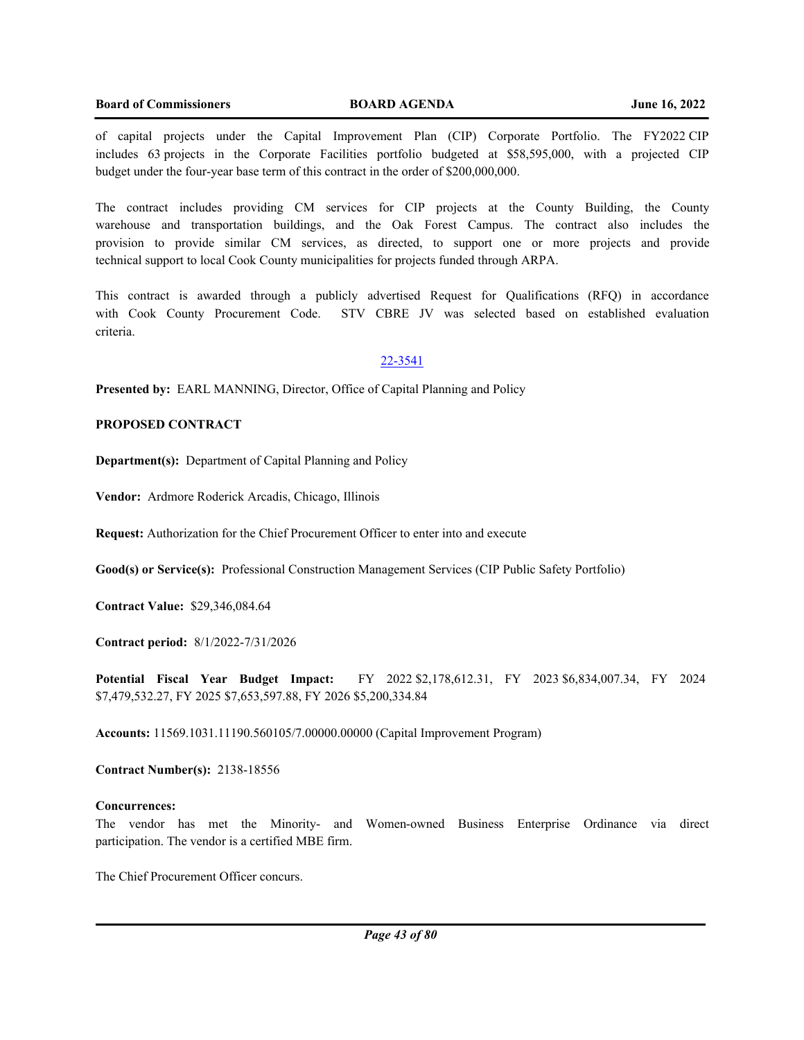of capital projects under the Capital Improvement Plan (CIP) Corporate Portfolio. The FY2022 CIP includes 63 projects in the Corporate Facilities portfolio budgeted at \$58,595,000, with a projected CIP budget under the four-year base term of this contract in the order of \$200,000,000.

The contract includes providing CM services for CIP projects at the County Building, the County warehouse and transportation buildings, and the Oak Forest Campus. The contract also includes the provision to provide similar CM services, as directed, to support one or more projects and provide technical support to local Cook County municipalities for projects funded through ARPA.

This contract is awarded through a publicly advertised Request for Qualifications (RFQ) in accordance with Cook County Procurement Code. STV CBRE JV was selected based on established evaluation criteria.

## 22-3541

**Presented by:** EARL MANNING, Director, Office of Capital Planning and Policy

## **PROPOSED CONTRACT**

**Department(s):** Department of Capital Planning and Policy

**Vendor:** Ardmore Roderick Arcadis, Chicago, Illinois

**Request:** Authorization for the Chief Procurement Officer to enter into and execute

**Good(s) or Service(s):** Professional Construction Management Services (CIP Public Safety Portfolio)

**Contract Value:** \$29,346,084.64

**Contract period:** 8/1/2022-7/31/2026

**Potential Fiscal Year Budget Impact:** FY 2022 \$2,178,612.31, FY 2023 \$6,834,007.34, FY 2024 \$7,479,532.27, FY 2025 \$7,653,597.88, FY 2026 \$5,200,334.84

**Accounts:** 11569.1031.11190.560105/7.00000.00000 (Capital Improvement Program)

**Contract Number(s):** 2138-18556

#### **Concurrences:**

The vendor has met the Minority- and Women-owned Business Enterprise Ordinance via direct participation. The vendor is a certified MBE firm.

The Chief Procurement Officer concurs.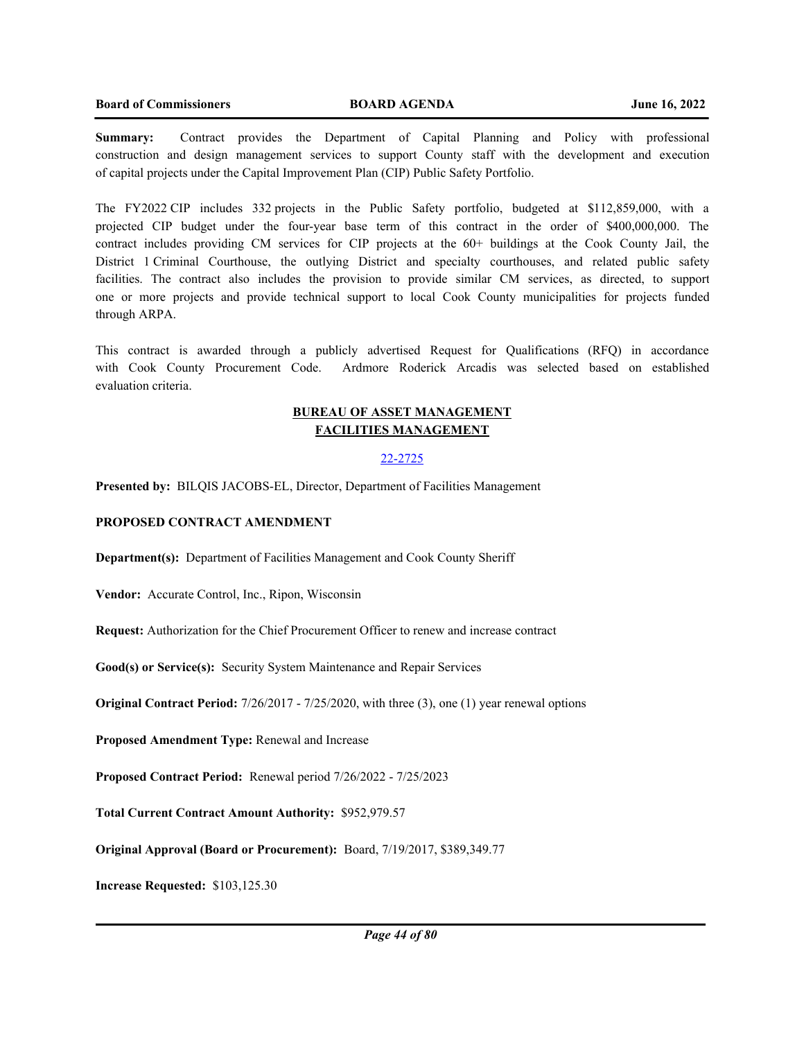**Summary:** Contract provides the Department of Capital Planning and Policy with professional construction and design management services to support County staff with the development and execution of capital projects under the Capital Improvement Plan (CIP) Public Safety Portfolio.

The FY2022 CIP includes 332 projects in the Public Safety portfolio, budgeted at \$112,859,000, with a projected CIP budget under the four-year base term of this contract in the order of \$400,000,000. The contract includes providing CM services for CIP projects at the 60+ buildings at the Cook County Jail, the District 1 Criminal Courthouse, the outlying District and specialty courthouses, and related public safety facilities. The contract also includes the provision to provide similar CM services, as directed, to support one or more projects and provide technical support to local Cook County municipalities for projects funded through ARPA.

This contract is awarded through a publicly advertised Request for Qualifications (RFQ) in accordance with Cook County Procurement Code. Ardmore Roderick Arcadis was selected based on established evaluation criteria.

## **BUREAU OF ASSET MANAGEMENT FACILITIES MANAGEMENT**

## 22-2725

**Presented by:** BILQIS JACOBS-EL, Director, Department of Facilities Management

#### **PROPOSED CONTRACT AMENDMENT**

**Department(s):** Department of Facilities Management and Cook County Sheriff

**Vendor:** Accurate Control, Inc., Ripon, Wisconsin

**Request:** Authorization for the Chief Procurement Officer to renew and increase contract

**Good(s) or Service(s):** Security System Maintenance and Repair Services

**Original Contract Period:** 7/26/2017 - 7/25/2020, with three (3), one (1) year renewal options

**Proposed Amendment Type:** Renewal and Increase

**Proposed Contract Period:** Renewal period 7/26/2022 - 7/25/2023

**Total Current Contract Amount Authority:** \$952,979.57

**Original Approval (Board or Procurement):** Board, 7/19/2017, \$389,349.77

**Increase Requested:** \$103,125.30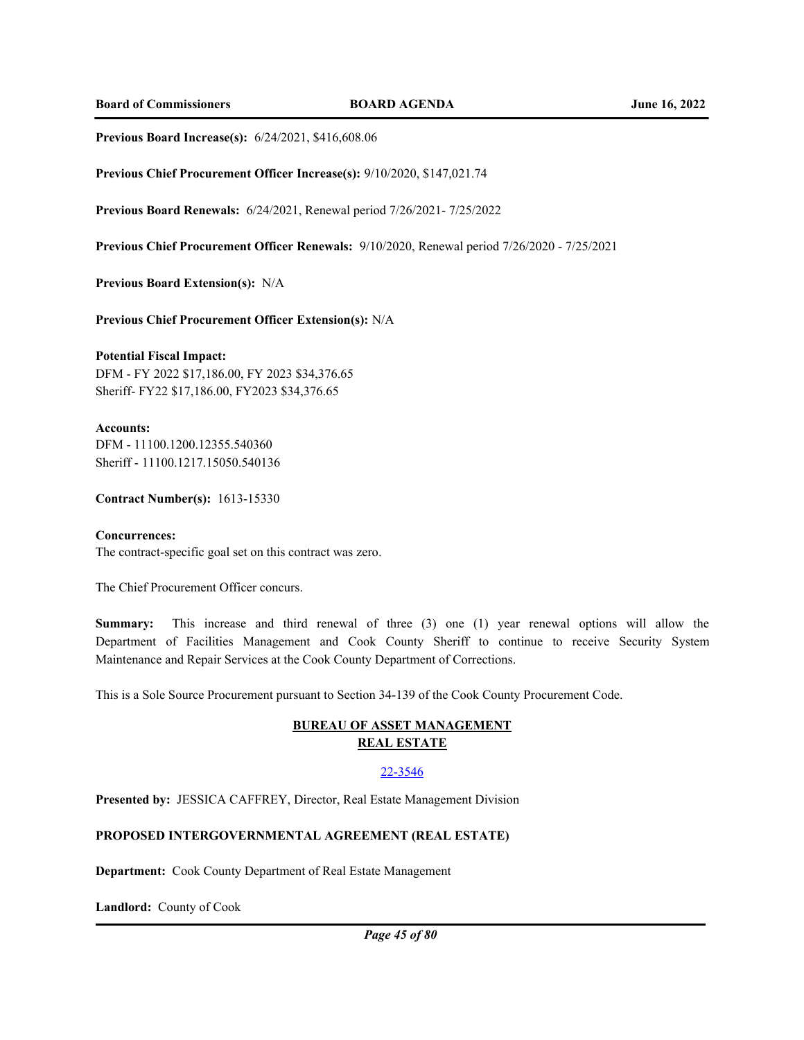**Board of Commissioners BOARD AGENDA June 16, 2022**

**Previous Board Increase(s):** 6/24/2021, \$416,608.06

**Previous Chief Procurement Officer Increase(s):** 9/10/2020, \$147,021.74

**Previous Board Renewals:** 6/24/2021, Renewal period 7/26/2021- 7/25/2022

**Previous Chief Procurement Officer Renewals:** 9/10/2020, Renewal period 7/26/2020 - 7/25/2021

**Previous Board Extension(s):** N/A

**Previous Chief Procurement Officer Extension(s):** N/A

#### **Potential Fiscal Impact:**

DFM - FY 2022 \$17,186.00, FY 2023 \$34,376.65 Sheriff- FY22 \$17,186.00, FY2023 \$34,376.65

## **Accounts:**

DFM - 11100.1200.12355.540360 Sheriff - 11100.1217.15050.540136

**Contract Number(s):** 1613-15330

# **Concurrences:**

The contract-specific goal set on this contract was zero.

The Chief Procurement Officer concurs.

**Summary:** This increase and third renewal of three (3) one (1) year renewal options will allow the Department of Facilities Management and Cook County Sheriff to continue to receive Security System Maintenance and Repair Services at the Cook County Department of Corrections.

This is a Sole Source Procurement pursuant to Section 34-139 of the Cook County Procurement Code.

## **BUREAU OF ASSET MANAGEMENT REAL ESTATE**

## 22-3546

**Presented by:** JESSICA CAFFREY, Director, Real Estate Management Division

## **PROPOSED INTERGOVERNMENTAL AGREEMENT (REAL ESTATE)**

**Department:** Cook County Department of Real Estate Management

**Landlord:** County of Cook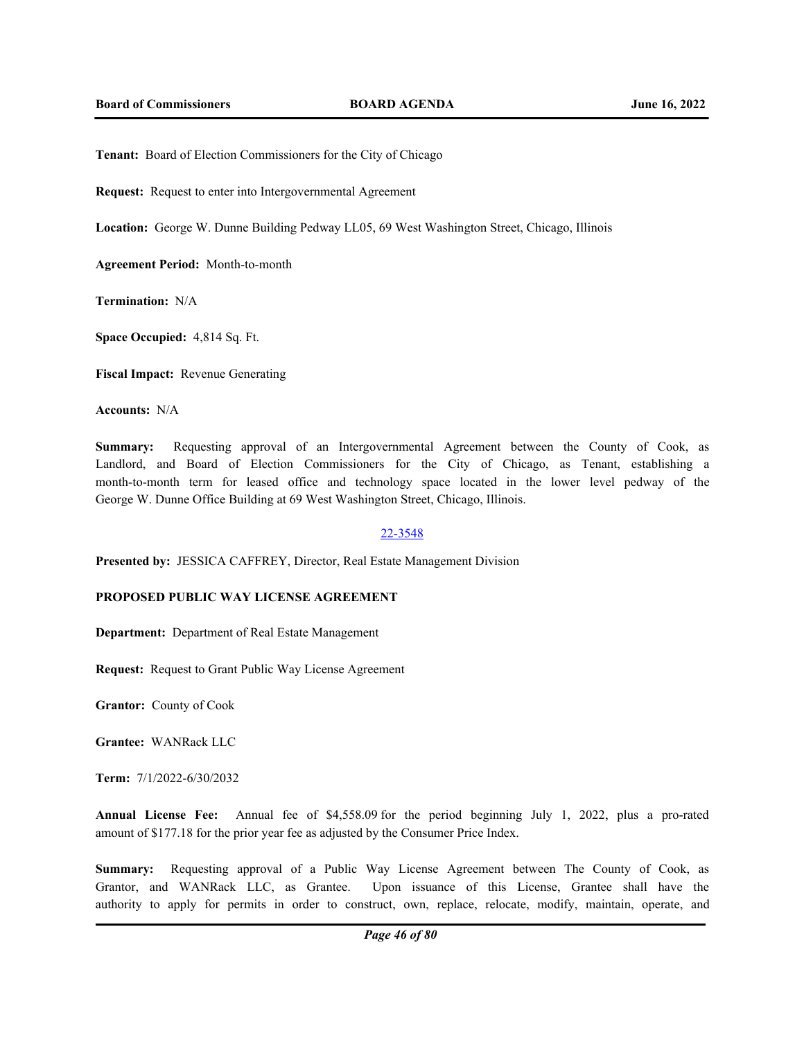**Tenant:** Board of Election Commissioners for the City of Chicago

**Request:** Request to enter into Intergovernmental Agreement

**Location:** George W. Dunne Building Pedway LL05, 69 West Washington Street, Chicago, Illinois

**Agreement Period:** Month-to-month

**Termination:** N/A

**Space Occupied:** 4,814 Sq. Ft.

**Fiscal Impact:** Revenue Generating

**Accounts:** N/A

**Summary:** Requesting approval of an Intergovernmental Agreement between the County of Cook, as Landlord, and Board of Election Commissioners for the City of Chicago, as Tenant, establishing a month-to-month term for leased office and technology space located in the lower level pedway of the George W. Dunne Office Building at 69 West Washington Street, Chicago, Illinois.

# 22-3548

**Presented by:** JESSICA CAFFREY, Director, Real Estate Management Division

## **PROPOSED PUBLIC WAY LICENSE AGREEMENT**

**Department:** Department of Real Estate Management

**Request:** Request to Grant Public Way License Agreement

**Grantor:** County of Cook

**Grantee:** WANRack LLC

**Term:** 7/1/2022-6/30/2032

**Annual License Fee:** Annual fee of \$4,558.09 for the period beginning July 1, 2022, plus a pro-rated amount of \$177.18 for the prior year fee as adjusted by the Consumer Price Index.

**Summary:** Requesting approval of a Public Way License Agreement between The County of Cook, as Grantor, and WANRack LLC, as Grantee. Upon issuance of this License, Grantee shall have the authority to apply for permits in order to construct, own, replace, relocate, modify, maintain, operate, and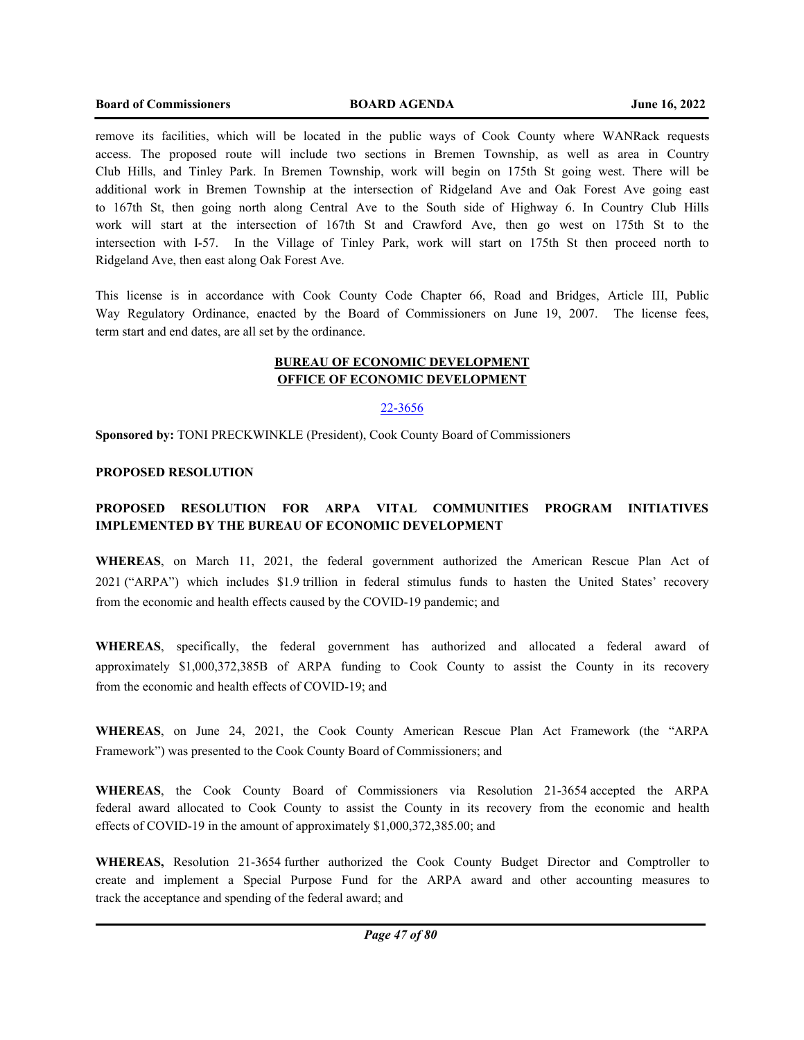#### **Board of Commissioners BOARD AGENDA June 16, 2022**

remove its facilities, which will be located in the public ways of Cook County where WANRack requests access. The proposed route will include two sections in Bremen Township, as well as area in Country Club Hills, and Tinley Park. In Bremen Township, work will begin on 175th St going west. There will be additional work in Bremen Township at the intersection of Ridgeland Ave and Oak Forest Ave going east to 167th St, then going north along Central Ave to the South side of Highway 6. In Country Club Hills work will start at the intersection of 167th St and Crawford Ave, then go west on 175th St to the intersection with I-57. In the Village of Tinley Park, work will start on 175th St then proceed north to Ridgeland Ave, then east along Oak Forest Ave.

This license is in accordance with Cook County Code Chapter 66, Road and Bridges, Article III, Public Way Regulatory Ordinance, enacted by the Board of Commissioners on June 19, 2007. The license fees, term start and end dates, are all set by the ordinance.

# **BUREAU OF ECONOMIC DEVELOPMENT OFFICE OF ECONOMIC DEVELOPMENT**

#### 22-3656

**Sponsored by:** TONI PRECKWINKLE (President), Cook County Board of Commissioners

#### **PROPOSED RESOLUTION**

# **PROPOSED RESOLUTION FOR ARPA VITAL COMMUNITIES PROGRAM INITIATIVES IMPLEMENTED BY THE BUREAU OF ECONOMIC DEVELOPMENT**

**WHEREAS**, on March 11, 2021, the federal government authorized the American Rescue Plan Act of 2021 ("ARPA") which includes \$1.9 trillion in federal stimulus funds to hasten the United States' recovery from the economic and health effects caused by the COVID-19 pandemic; and

**WHEREAS**, specifically, the federal government has authorized and allocated a federal award of approximately \$1,000,372,385B of ARPA funding to Cook County to assist the County in its recovery from the economic and health effects of COVID-19; and

**WHEREAS**, on June 24, 2021, the Cook County American Rescue Plan Act Framework (the "ARPA Framework") was presented to the Cook County Board of Commissioners; and

**WHEREAS**, the Cook County Board of Commissioners via Resolution 21-3654 accepted the ARPA federal award allocated to Cook County to assist the County in its recovery from the economic and health effects of COVID-19 in the amount of approximately \$1,000,372,385.00; and

**WHEREAS,** Resolution 21-3654 further authorized the Cook County Budget Director and Comptroller to create and implement a Special Purpose Fund for the ARPA award and other accounting measures to track the acceptance and spending of the federal award; and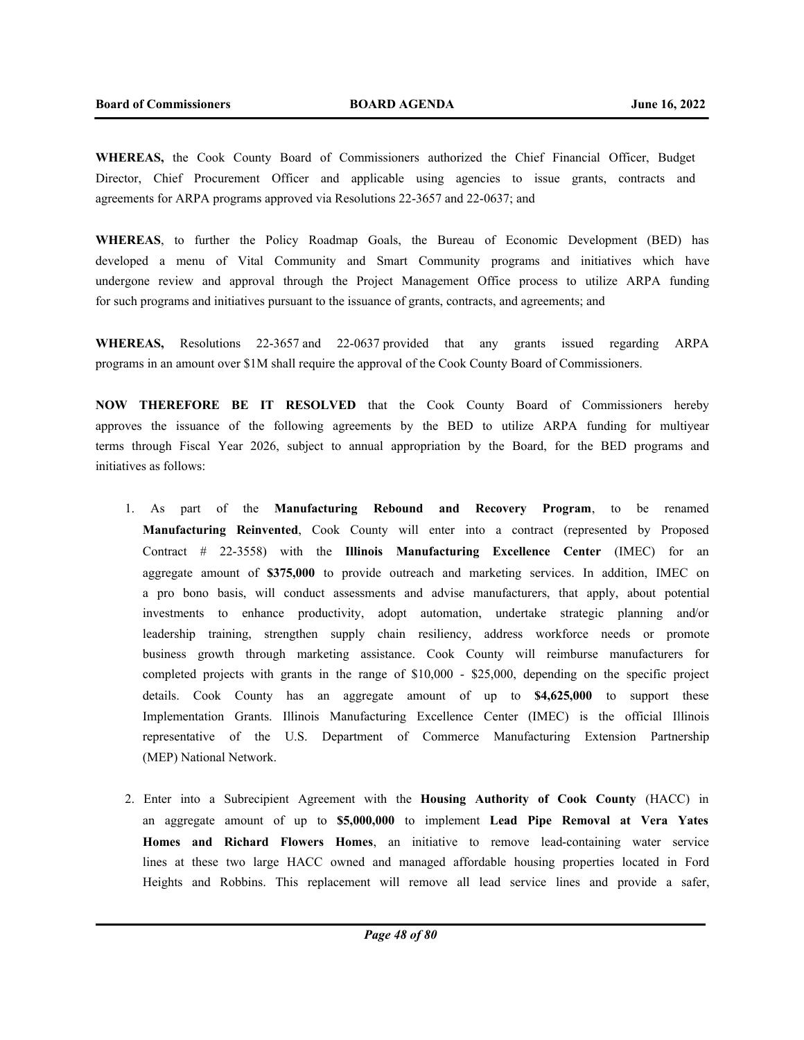**WHEREAS,** the Cook County Board of Commissioners authorized the Chief Financial Officer, Budget Director, Chief Procurement Officer and applicable using agencies to issue grants, contracts and agreements for ARPA programs approved via Resolutions 22-3657 and 22-0637; and

**WHEREAS**, to further the Policy Roadmap Goals, the Bureau of Economic Development (BED) has developed a menu of Vital Community and Smart Community programs and initiatives which have undergone review and approval through the Project Management Office process to utilize ARPA funding for such programs and initiatives pursuant to the issuance of grants, contracts, and agreements; and

**WHEREAS,** Resolutions 22-3657 and 22-0637 provided that any grants issued regarding ARPA programs in an amount over \$1M shall require the approval of the Cook County Board of Commissioners.

**NOW THEREFORE BE IT RESOLVED** that the Cook County Board of Commissioners hereby approves the issuance of the following agreements by the BED to utilize ARPA funding for multiyear terms through Fiscal Year 2026, subject to annual appropriation by the Board, for the BED programs and initiatives as follows:

- 1. As part of the **Manufacturing Rebound and Recovery Program**, to be renamed **Manufacturing Reinvented**, Cook County will enter into a contract (represented by Proposed Contract # 22-3558) with the **Illinois Manufacturing Excellence Center** (IMEC) for an aggregate amount of **\$375,000** to provide outreach and marketing services. In addition, IMEC on a pro bono basis, will conduct assessments and advise manufacturers, that apply, about potential investments to enhance productivity, adopt automation, undertake strategic planning and/or leadership training, strengthen supply chain resiliency, address workforce needs or promote business growth through marketing assistance. Cook County will reimburse manufacturers for completed projects with grants in the range of \$10,000 - \$25,000, depending on the specific project details. Cook County has an aggregate amount of up to **\$4,625,000** to support these Implementation Grants. Illinois Manufacturing Excellence Center (IMEC) is the official Illinois representative of the U.S. Department of Commerce Manufacturing Extension Partnership (MEP) National Network.
- 2. Enter into a Subrecipient Agreement with the **Housing Authority of Cook County** (HACC) in an aggregate amount of up to **\$5,000,000** to implement **Lead Pipe Removal at Vera Yates Homes and Richard Flowers Homes**, an initiative to remove lead-containing water service lines at these two large HACC owned and managed affordable housing properties located in Ford Heights and Robbins. This replacement will remove all lead service lines and provide a safer,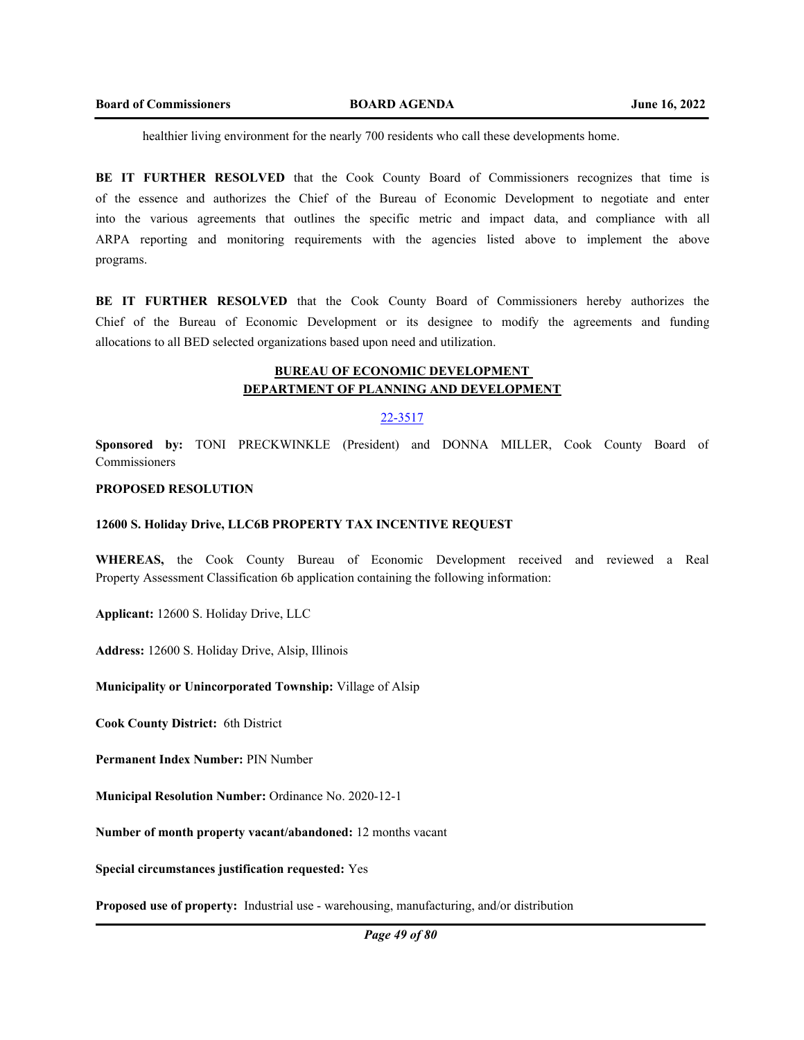healthier living environment for the nearly 700 residents who call these developments home.

**BE IT FURTHER RESOLVED** that the Cook County Board of Commissioners recognizes that time is of the essence and authorizes the Chief of the Bureau of Economic Development to negotiate and enter into the various agreements that outlines the specific metric and impact data, and compliance with all ARPA reporting and monitoring requirements with the agencies listed above to implement the above programs.

**BE IT FURTHER RESOLVED** that the Cook County Board of Commissioners hereby authorizes the Chief of the Bureau of Economic Development or its designee to modify the agreements and funding allocations to all BED selected organizations based upon need and utilization.

# **BUREAU OF ECONOMIC DEVELOPMENT DEPARTMENT OF PLANNING AND DEVELOPMENT**

## 22-3517

**Sponsored by:** TONI PRECKWINKLE (President) and DONNA MILLER, Cook County Board of Commissioners

#### **PROPOSED RESOLUTION**

#### **12600 S. Holiday Drive, LLC6B PROPERTY TAX INCENTIVE REQUEST**

**WHEREAS,** the Cook County Bureau of Economic Development received and reviewed a Real Property Assessment Classification 6b application containing the following information:

**Applicant:** 12600 S. Holiday Drive, LLC

**Address:** 12600 S. Holiday Drive, Alsip, Illinois

## **Municipality or Unincorporated Township:** Village of Alsip

**Cook County District:** 6th District

**Permanent Index Number:** PIN Number

**Municipal Resolution Number:** Ordinance No. 2020-12-1

**Number of month property vacant/abandoned:** 12 months vacant

**Special circumstances justification requested:** Yes

**Proposed use of property:** Industrial use - warehousing, manufacturing, and/or distribution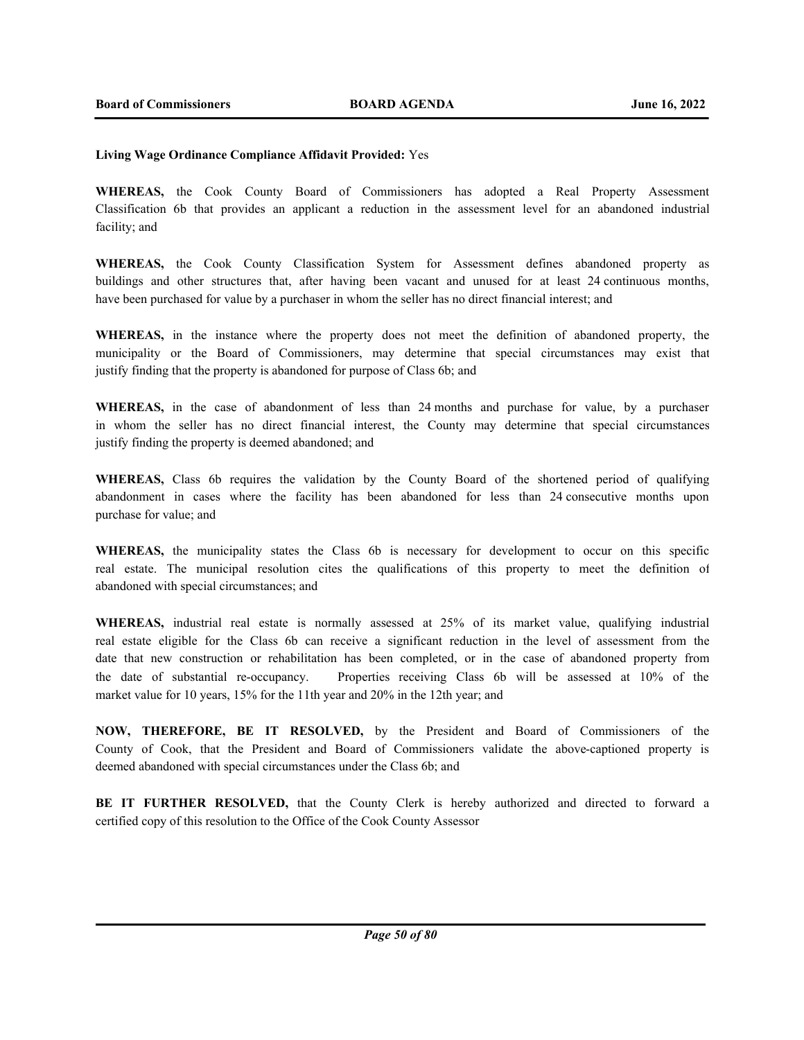## **Living Wage Ordinance Compliance Affidavit Provided:** Yes

**WHEREAS,** the Cook County Board of Commissioners has adopted a Real Property Assessment Classification 6b that provides an applicant a reduction in the assessment level for an abandoned industrial facility; and

**WHEREAS,** the Cook County Classification System for Assessment defines abandoned property as buildings and other structures that, after having been vacant and unused for at least 24 continuous months, have been purchased for value by a purchaser in whom the seller has no direct financial interest; and

**WHEREAS,** in the instance where the property does not meet the definition of abandoned property, the municipality or the Board of Commissioners, may determine that special circumstances may exist that justify finding that the property is abandoned for purpose of Class 6b; and

**WHEREAS,** in the case of abandonment of less than 24 months and purchase for value, by a purchaser in whom the seller has no direct financial interest, the County may determine that special circumstances justify finding the property is deemed abandoned; and

**WHEREAS,** Class 6b requires the validation by the County Board of the shortened period of qualifying abandonment in cases where the facility has been abandoned for less than 24 consecutive months upon purchase for value; and

**WHEREAS,** the municipality states the Class 6b is necessary for development to occur on this specific real estate. The municipal resolution cites the qualifications of this property to meet the definition of abandoned with special circumstances; and

**WHEREAS,** industrial real estate is normally assessed at 25% of its market value, qualifying industrial real estate eligible for the Class 6b can receive a significant reduction in the level of assessment from the date that new construction or rehabilitation has been completed, or in the case of abandoned property from the date of substantial re-occupancy. Properties receiving Class 6b will be assessed at 10% of the market value for 10 years, 15% for the 11th year and 20% in the 12th year; and

**NOW, THEREFORE, BE IT RESOLVED,** by the President and Board of Commissioners of the County of Cook, that the President and Board of Commissioners validate the above-captioned property is deemed abandoned with special circumstances under the Class 6b; and

**BE IT FURTHER RESOLVED,** that the County Clerk is hereby authorized and directed to forward a certified copy of this resolution to the Office of the Cook County Assessor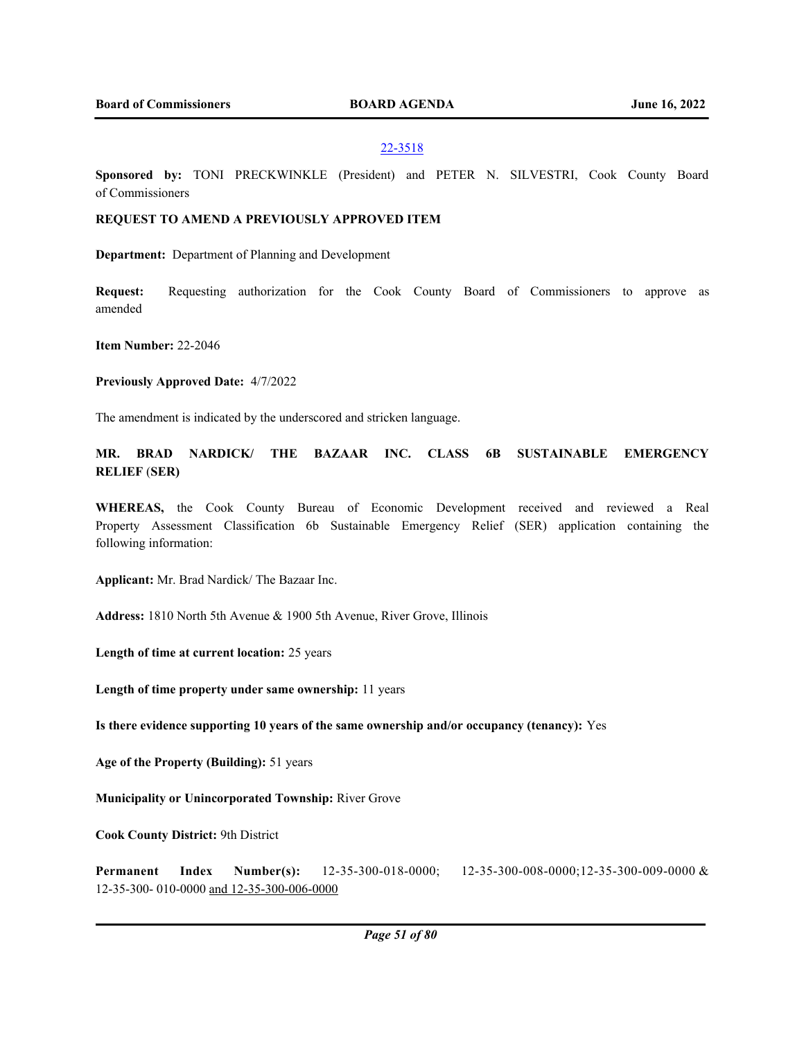#### 22-3518

**Sponsored by:** TONI PRECKWINKLE (President) and PETER N. SILVESTRI, Cook County Board of Commissioners

## **REQUEST TO AMEND A PREVIOUSLY APPROVED ITEM**

**Department:** Department of Planning and Development

**Request:** Requesting authorization for the Cook County Board of Commissioners to approve as amended

**Item Number:** 22-2046

**Previously Approved Date:** 4/7/2022

The amendment is indicated by the underscored and stricken language.

**MR. BRAD NARDICK/ THE BAZAAR INC. CLASS 6B SUSTAINABLE EMERGENCY RELIEF** (**SER)**

**WHEREAS,** the Cook County Bureau of Economic Development received and reviewed a Real Property Assessment Classification 6b Sustainable Emergency Relief (SER) application containing the following information:

**Applicant:** Mr. Brad Nardick/ The Bazaar Inc.

**Address:** 1810 North 5th Avenue & 1900 5th Avenue, River Grove, Illinois

**Length of time at current location:** 25 years

**Length of time property under same ownership:** 11 years

**Is there evidence supporting 10 years of the same ownership and/or occupancy (tenancy):** Yes

**Age of the Property (Building):** 51 years

**Municipality or Unincorporated Township:** River Grove

**Cook County District:** 9th District

**Permanent Index Number(s):** 12-35-300-018-0000; 12-35-300-008-0000;12-35-300-009-0000 & 12-35-300- 010-0000 and 12-35-300-006-0000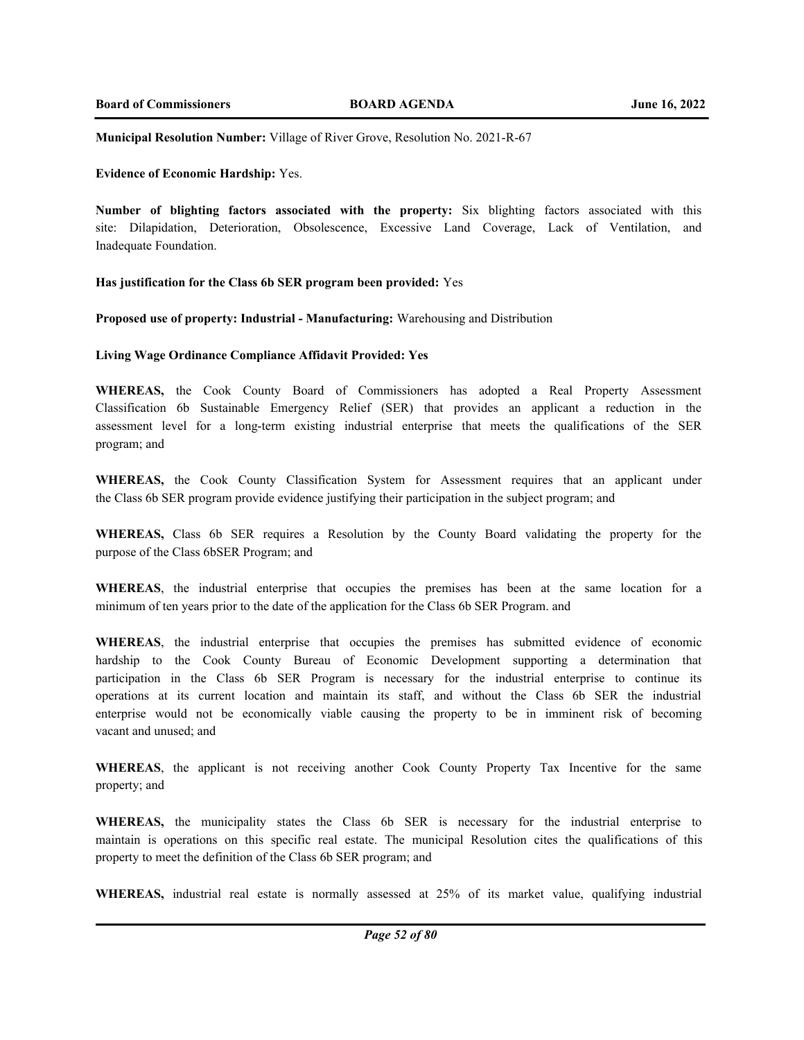**Municipal Resolution Number:** Village of River Grove, Resolution No. 2021-R-67

## **Evidence of Economic Hardship:** Yes.

**Number of blighting factors associated with the property:** Six blighting factors associated with this site: Dilapidation, Deterioration, Obsolescence, Excessive Land Coverage, Lack of Ventilation, and Inadequate Foundation.

## **Has justification for the Class 6b SER program been provided:** Yes

#### **Proposed use of property: Industrial - Manufacturing:** Warehousing and Distribution

## **Living Wage Ordinance Compliance Affidavit Provided: Yes**

**WHEREAS,** the Cook County Board of Commissioners has adopted a Real Property Assessment Classification 6b Sustainable Emergency Relief (SER) that provides an applicant a reduction in the assessment level for a long-term existing industrial enterprise that meets the qualifications of the SER program; and

**WHEREAS,** the Cook County Classification System for Assessment requires that an applicant under the Class 6b SER program provide evidence justifying their participation in the subject program; and

**WHEREAS,** Class 6b SER requires a Resolution by the County Board validating the property for the purpose of the Class 6bSER Program; and

**WHEREAS**, the industrial enterprise that occupies the premises has been at the same location for a minimum of ten years prior to the date of the application for the Class 6b SER Program. and

**WHEREAS**, the industrial enterprise that occupies the premises has submitted evidence of economic hardship to the Cook County Bureau of Economic Development supporting a determination that participation in the Class 6b SER Program is necessary for the industrial enterprise to continue its operations at its current location and maintain its staff, and without the Class 6b SER the industrial enterprise would not be economically viable causing the property to be in imminent risk of becoming vacant and unused; and

**WHEREAS**, the applicant is not receiving another Cook County Property Tax Incentive for the same property; and

**WHEREAS,** the municipality states the Class 6b SER is necessary for the industrial enterprise to maintain is operations on this specific real estate. The municipal Resolution cites the qualifications of this property to meet the definition of the Class 6b SER program; and

**WHEREAS,** industrial real estate is normally assessed at 25% of its market value, qualifying industrial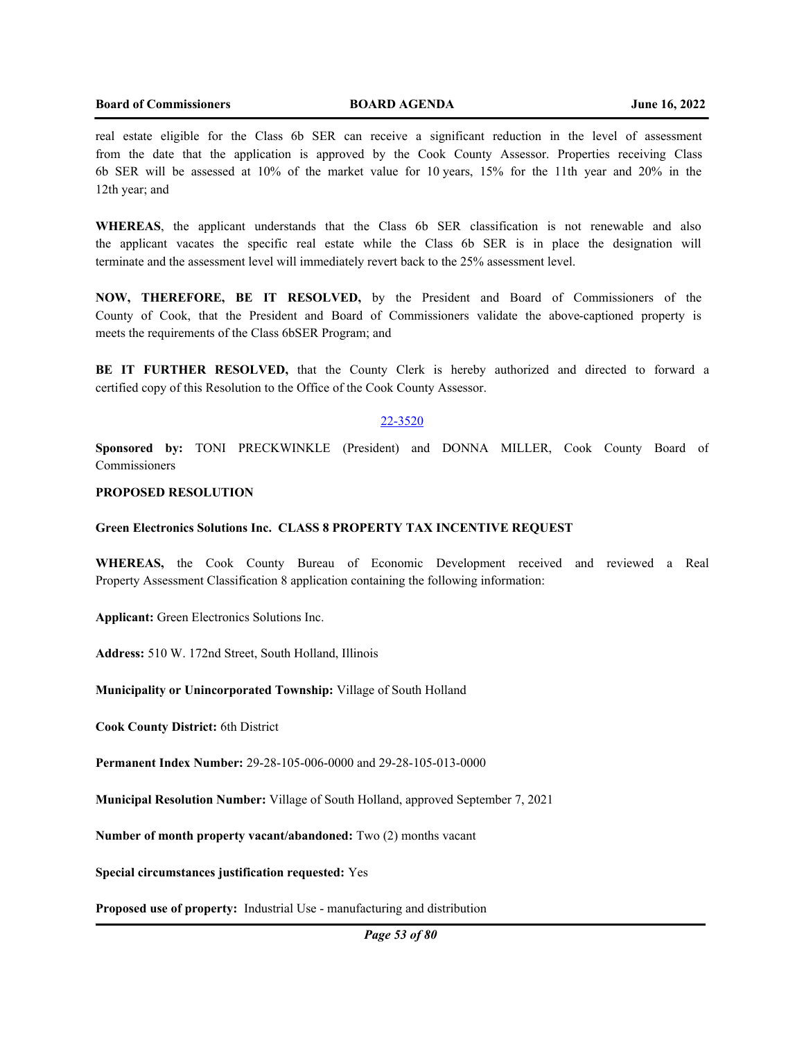real estate eligible for the Class 6b SER can receive a significant reduction in the level of assessment from the date that the application is approved by the Cook County Assessor. Properties receiving Class 6b SER will be assessed at 10% of the market value for 10 years, 15% for the 11th year and 20% in the 12th year; and

**WHEREAS**, the applicant understands that the Class 6b SER classification is not renewable and also the applicant vacates the specific real estate while the Class 6b SER is in place the designation will terminate and the assessment level will immediately revert back to the 25% assessment level.

**NOW, THEREFORE, BE IT RESOLVED,** by the President and Board of Commissioners of the County of Cook, that the President and Board of Commissioners validate the above-captioned property is meets the requirements of the Class 6bSER Program; and

**BE IT FURTHER RESOLVED,** that the County Clerk is hereby authorized and directed to forward a certified copy of this Resolution to the Office of the Cook County Assessor.

## 22-3520

**Sponsored by:** TONI PRECKWINKLE (President) and DONNA MILLER, Cook County Board of Commissioners

## **PROPOSED RESOLUTION**

## **Green Electronics Solutions Inc. CLASS 8 PROPERTY TAX INCENTIVE REQUEST**

**WHEREAS,** the Cook County Bureau of Economic Development received and reviewed a Real Property Assessment Classification 8 application containing the following information:

**Applicant:** Green Electronics Solutions Inc.

**Address:** 510 W. 172nd Street, South Holland, Illinois

**Municipality or Unincorporated Township:** Village of South Holland

**Cook County District:** 6th District

**Permanent Index Number:** 29-28-105-006-0000 and 29-28-105-013-0000

**Municipal Resolution Number:** Village of South Holland, approved September 7, 2021

**Number of month property vacant/abandoned:** Two (2) months vacant

**Special circumstances justification requested:** Yes

**Proposed use of property:** Industrial Use - manufacturing and distribution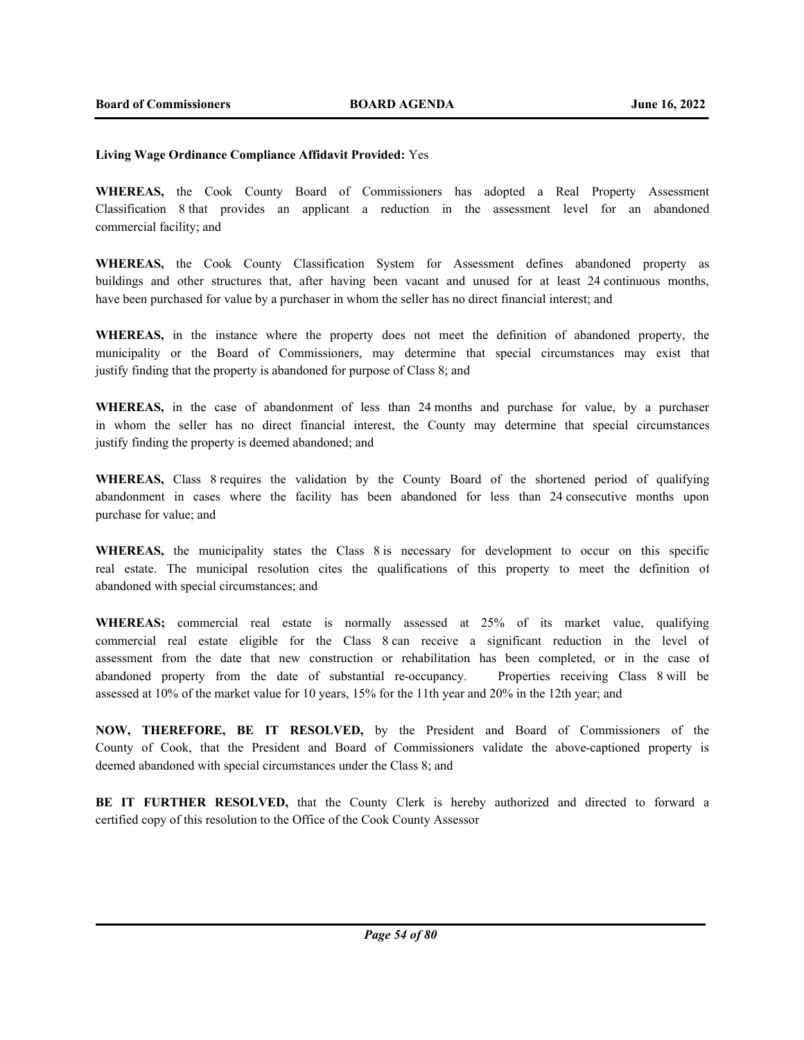## **Living Wage Ordinance Compliance Affidavit Provided:** Yes

**WHEREAS,** the Cook County Board of Commissioners has adopted a Real Property Assessment Classification 8 that provides an applicant a reduction in the assessment level for an abandoned commercial facility; and

**WHEREAS,** the Cook County Classification System for Assessment defines abandoned property as buildings and other structures that, after having been vacant and unused for at least 24 continuous months, have been purchased for value by a purchaser in whom the seller has no direct financial interest; and

**WHEREAS,** in the instance where the property does not meet the definition of abandoned property, the municipality or the Board of Commissioners, may determine that special circumstances may exist that justify finding that the property is abandoned for purpose of Class 8; and

**WHEREAS,** in the case of abandonment of less than 24 months and purchase for value, by a purchaser in whom the seller has no direct financial interest, the County may determine that special circumstances justify finding the property is deemed abandoned; and

**WHEREAS,** Class 8 requires the validation by the County Board of the shortened period of qualifying abandonment in cases where the facility has been abandoned for less than 24 consecutive months upon purchase for value; and

**WHEREAS,** the municipality states the Class 8 is necessary for development to occur on this specific real estate. The municipal resolution cites the qualifications of this property to meet the definition of abandoned with special circumstances; and

**WHEREAS;** commercial real estate is normally assessed at 25% of its market value, qualifying commercial real estate eligible for the Class 8 can receive a significant reduction in the level of assessment from the date that new construction or rehabilitation has been completed, or in the case of abandoned property from the date of substantial re-occupancy. Properties receiving Class 8 will be assessed at 10% of the market value for 10 years, 15% for the 11th year and 20% in the 12th year; and

**NOW, THEREFORE, BE IT RESOLVED,** by the President and Board of Commissioners of the County of Cook, that the President and Board of Commissioners validate the above-captioned property is deemed abandoned with special circumstances under the Class 8; and

**BE IT FURTHER RESOLVED,** that the County Clerk is hereby authorized and directed to forward a certified copy of this resolution to the Office of the Cook County Assessor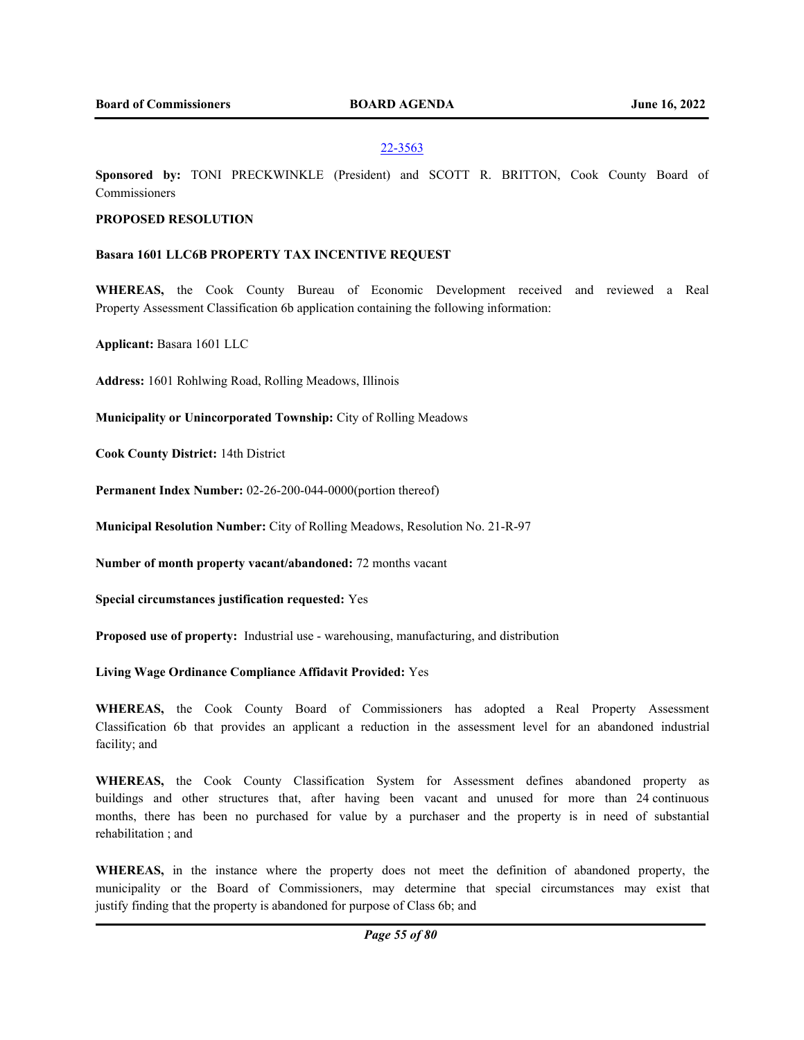## 22-3563

**Sponsored by:** TONI PRECKWINKLE (President) and SCOTT R. BRITTON, Cook County Board of Commissioners

## **PROPOSED RESOLUTION**

## **Basara 1601 LLC6B PROPERTY TAX INCENTIVE REQUEST**

**WHEREAS,** the Cook County Bureau of Economic Development received and reviewed a Real Property Assessment Classification 6b application containing the following information:

**Applicant:** Basara 1601 LLC

**Address:** 1601 Rohlwing Road, Rolling Meadows, Illinois

**Municipality or Unincorporated Township:** City of Rolling Meadows

**Cook County District:** 14th District

**Permanent Index Number:** 02-26-200-044-0000(portion thereof)

**Municipal Resolution Number:** City of Rolling Meadows, Resolution No. 21-R-97

**Number of month property vacant/abandoned:** 72 months vacant

**Special circumstances justification requested:** Yes

**Proposed use of property:** Industrial use - warehousing, manufacturing, and distribution

**Living Wage Ordinance Compliance Affidavit Provided:** Yes

**WHEREAS,** the Cook County Board of Commissioners has adopted a Real Property Assessment Classification 6b that provides an applicant a reduction in the assessment level for an abandoned industrial facility; and

**WHEREAS,** the Cook County Classification System for Assessment defines abandoned property as buildings and other structures that, after having been vacant and unused for more than 24 continuous months, there has been no purchased for value by a purchaser and the property is in need of substantial rehabilitation ; and

**WHEREAS,** in the instance where the property does not meet the definition of abandoned property, the municipality or the Board of Commissioners, may determine that special circumstances may exist that justify finding that the property is abandoned for purpose of Class 6b; and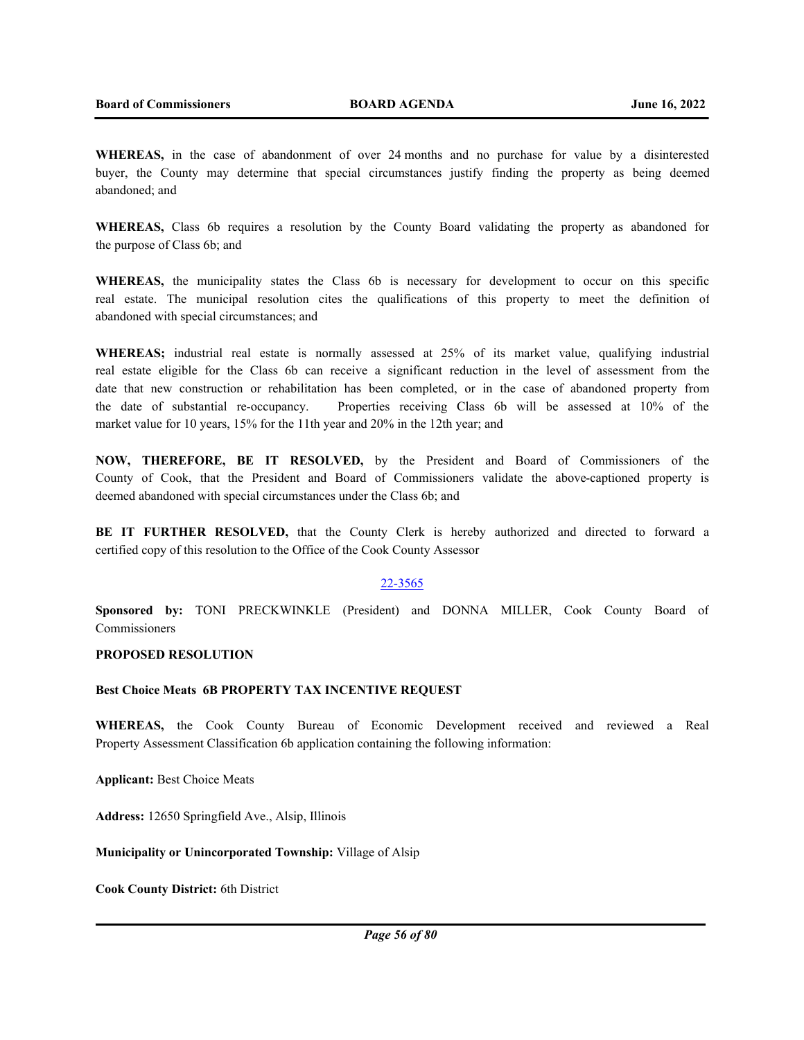**WHEREAS,** in the case of abandonment of over 24 months and no purchase for value by a disinterested buyer, the County may determine that special circumstances justify finding the property as being deemed abandoned; and

**WHEREAS,** Class 6b requires a resolution by the County Board validating the property as abandoned for the purpose of Class 6b; and

**WHEREAS,** the municipality states the Class 6b is necessary for development to occur on this specific real estate. The municipal resolution cites the qualifications of this property to meet the definition of abandoned with special circumstances; and

**WHEREAS;** industrial real estate is normally assessed at 25% of its market value, qualifying industrial real estate eligible for the Class 6b can receive a significant reduction in the level of assessment from the date that new construction or rehabilitation has been completed, or in the case of abandoned property from the date of substantial re-occupancy. Properties receiving Class 6b will be assessed at 10% of the market value for 10 years, 15% for the 11th year and 20% in the 12th year; and

**NOW, THEREFORE, BE IT RESOLVED,** by the President and Board of Commissioners of the County of Cook, that the President and Board of Commissioners validate the above-captioned property is deemed abandoned with special circumstances under the Class 6b; and

**BE IT FURTHER RESOLVED,** that the County Clerk is hereby authorized and directed to forward a certified copy of this resolution to the Office of the Cook County Assessor

#### 22-3565

**Sponsored by:** TONI PRECKWINKLE (President) and DONNA MILLER, Cook County Board of Commissioners

## **PROPOSED RESOLUTION**

#### **Best Choice Meats 6B PROPERTY TAX INCENTIVE REQUEST**

**WHEREAS,** the Cook County Bureau of Economic Development received and reviewed a Real Property Assessment Classification 6b application containing the following information:

**Applicant:** Best Choice Meats

**Address:** 12650 Springfield Ave., Alsip, Illinois

**Municipality or Unincorporated Township:** Village of Alsip

**Cook County District:** 6th District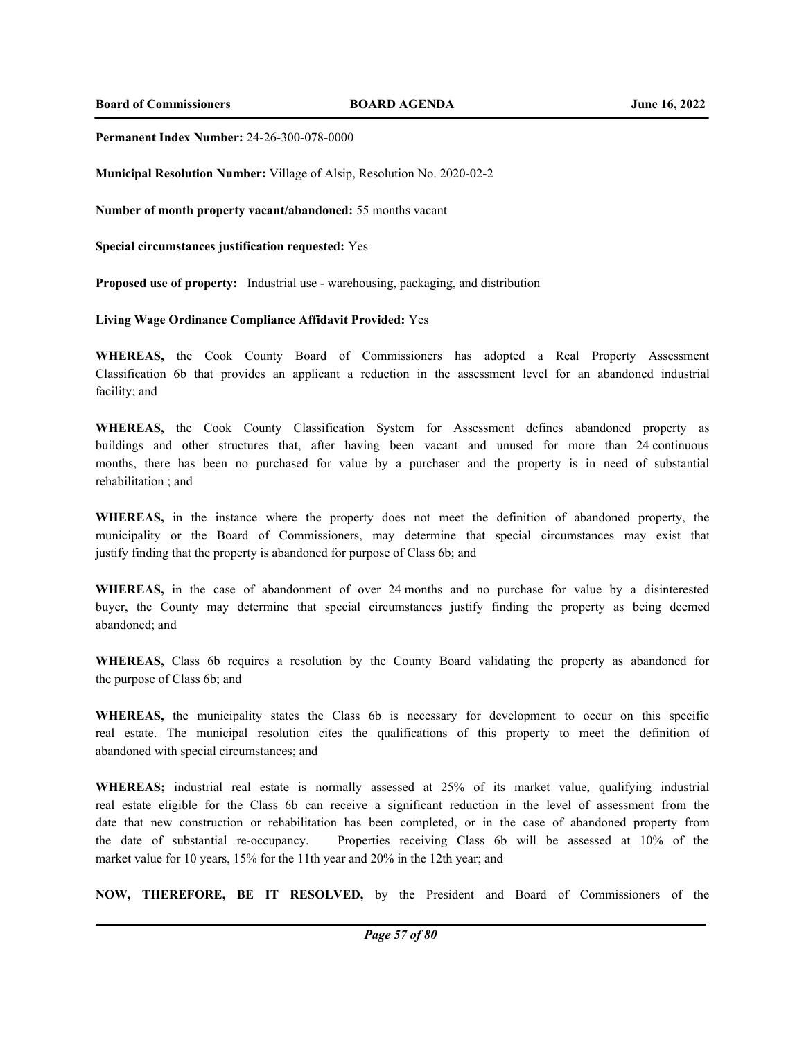**Board of Commissioners BOARD AGENDA June 16, 2022**

## **Permanent Index Number:** 24-26-300-078-0000

**Municipal Resolution Number:** Village of Alsip, Resolution No. 2020-02-2

**Number of month property vacant/abandoned:** 55 months vacant

**Special circumstances justification requested:** Yes

**Proposed use of property:** Industrial use - warehousing, packaging, and distribution

**Living Wage Ordinance Compliance Affidavit Provided:** Yes

**WHEREAS,** the Cook County Board of Commissioners has adopted a Real Property Assessment Classification 6b that provides an applicant a reduction in the assessment level for an abandoned industrial facility; and

**WHEREAS,** the Cook County Classification System for Assessment defines abandoned property as buildings and other structures that, after having been vacant and unused for more than 24 continuous months, there has been no purchased for value by a purchaser and the property is in need of substantial rehabilitation ; and

**WHEREAS,** in the instance where the property does not meet the definition of abandoned property, the municipality or the Board of Commissioners, may determine that special circumstances may exist that justify finding that the property is abandoned for purpose of Class 6b; and

**WHEREAS,** in the case of abandonment of over 24 months and no purchase for value by a disinterested buyer, the County may determine that special circumstances justify finding the property as being deemed abandoned; and

**WHEREAS,** Class 6b requires a resolution by the County Board validating the property as abandoned for the purpose of Class 6b; and

**WHEREAS,** the municipality states the Class 6b is necessary for development to occur on this specific real estate. The municipal resolution cites the qualifications of this property to meet the definition of abandoned with special circumstances; and

**WHEREAS;** industrial real estate is normally assessed at 25% of its market value, qualifying industrial real estate eligible for the Class 6b can receive a significant reduction in the level of assessment from the date that new construction or rehabilitation has been completed, or in the case of abandoned property from the date of substantial re-occupancy. Properties receiving Class 6b will be assessed at 10% of the market value for 10 years, 15% for the 11th year and 20% in the 12th year; and

**NOW, THEREFORE, BE IT RESOLVED,** by the President and Board of Commissioners of the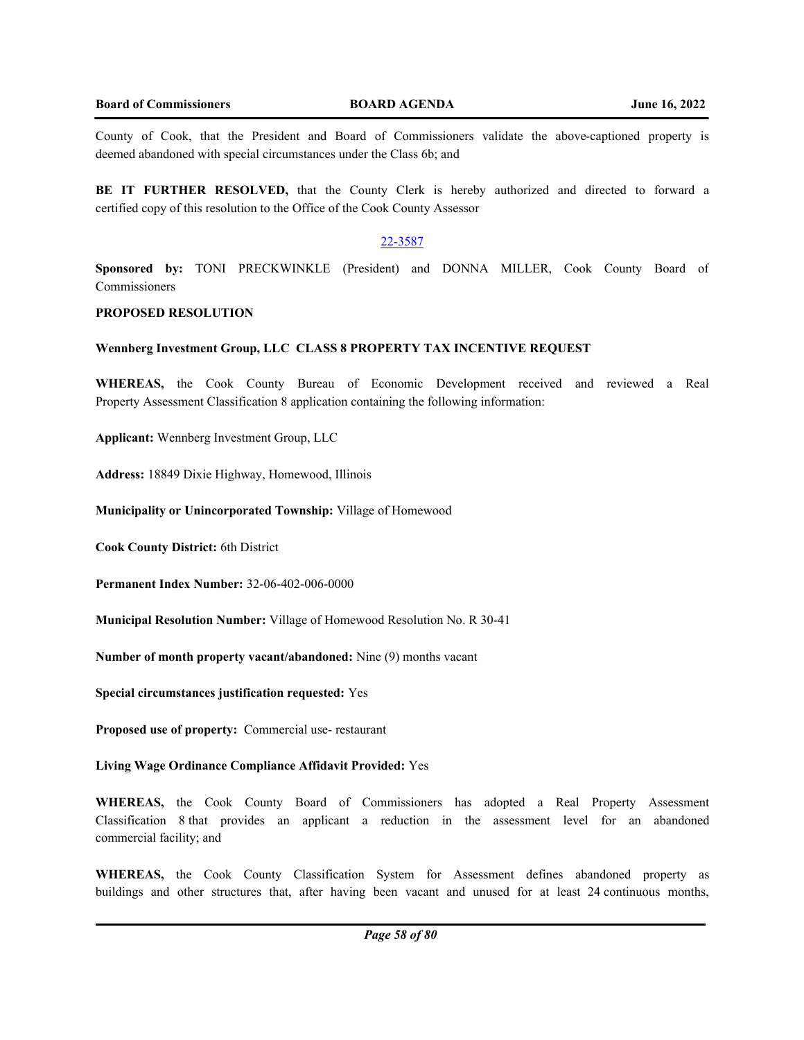County of Cook, that the President and Board of Commissioners validate the above-captioned property is deemed abandoned with special circumstances under the Class 6b; and

**BE IT FURTHER RESOLVED,** that the County Clerk is hereby authorized and directed to forward a certified copy of this resolution to the Office of the Cook County Assessor

## 22-3587

**Sponsored by:** TONI PRECKWINKLE (President) and DONNA MILLER, Cook County Board of Commissioners

## **PROPOSED RESOLUTION**

## **Wennberg Investment Group, LLC CLASS 8 PROPERTY TAX INCENTIVE REQUEST**

**WHEREAS,** the Cook County Bureau of Economic Development received and reviewed a Real Property Assessment Classification 8 application containing the following information:

**Applicant:** Wennberg Investment Group, LLC

**Address:** 18849 Dixie Highway, Homewood, Illinois

**Municipality or Unincorporated Township:** Village of Homewood

**Cook County District:** 6th District

**Permanent Index Number:** 32-06-402-006-0000

**Municipal Resolution Number:** Village of Homewood Resolution No. R 30-41

**Number of month property vacant/abandoned:** Nine (9) months vacant

**Special circumstances justification requested:** Yes

**Proposed use of property:** Commercial use- restaurant

**Living Wage Ordinance Compliance Affidavit Provided:** Yes

**WHEREAS,** the Cook County Board of Commissioners has adopted a Real Property Assessment Classification 8 that provides an applicant a reduction in the assessment level for an abandoned commercial facility; and

**WHEREAS,** the Cook County Classification System for Assessment defines abandoned property as buildings and other structures that, after having been vacant and unused for at least 24 continuous months,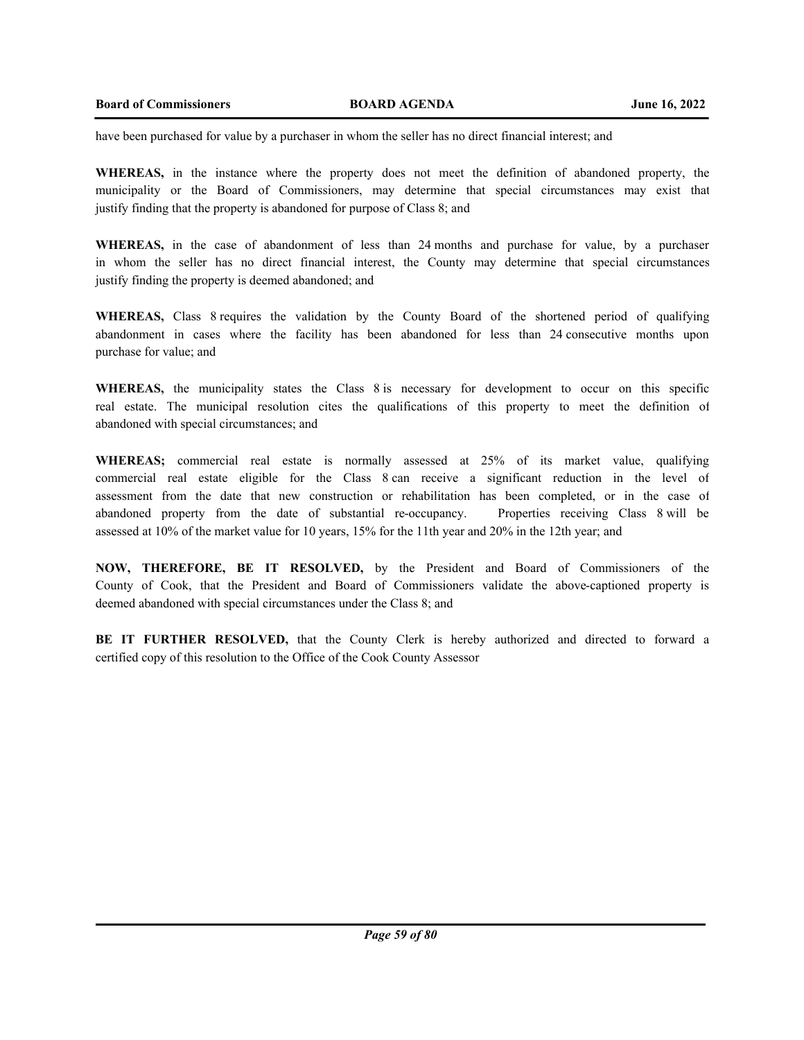have been purchased for value by a purchaser in whom the seller has no direct financial interest; and

**WHEREAS,** in the instance where the property does not meet the definition of abandoned property, the municipality or the Board of Commissioners, may determine that special circumstances may exist that justify finding that the property is abandoned for purpose of Class 8; and

**WHEREAS,** in the case of abandonment of less than 24 months and purchase for value, by a purchaser in whom the seller has no direct financial interest, the County may determine that special circumstances justify finding the property is deemed abandoned; and

**WHEREAS,** Class 8 requires the validation by the County Board of the shortened period of qualifying abandonment in cases where the facility has been abandoned for less than 24 consecutive months upon purchase for value; and

**WHEREAS,** the municipality states the Class 8 is necessary for development to occur on this specific real estate. The municipal resolution cites the qualifications of this property to meet the definition of abandoned with special circumstances; and

**WHEREAS;** commercial real estate is normally assessed at 25% of its market value, qualifying commercial real estate eligible for the Class 8 can receive a significant reduction in the level of assessment from the date that new construction or rehabilitation has been completed, or in the case of abandoned property from the date of substantial re-occupancy. Properties receiving Class 8 will be assessed at 10% of the market value for 10 years, 15% for the 11th year and 20% in the 12th year; and

**NOW, THEREFORE, BE IT RESOLVED,** by the President and Board of Commissioners of the County of Cook, that the President and Board of Commissioners validate the above-captioned property is deemed abandoned with special circumstances under the Class 8; and

**BE IT FURTHER RESOLVED,** that the County Clerk is hereby authorized and directed to forward a certified copy of this resolution to the Office of the Cook County Assessor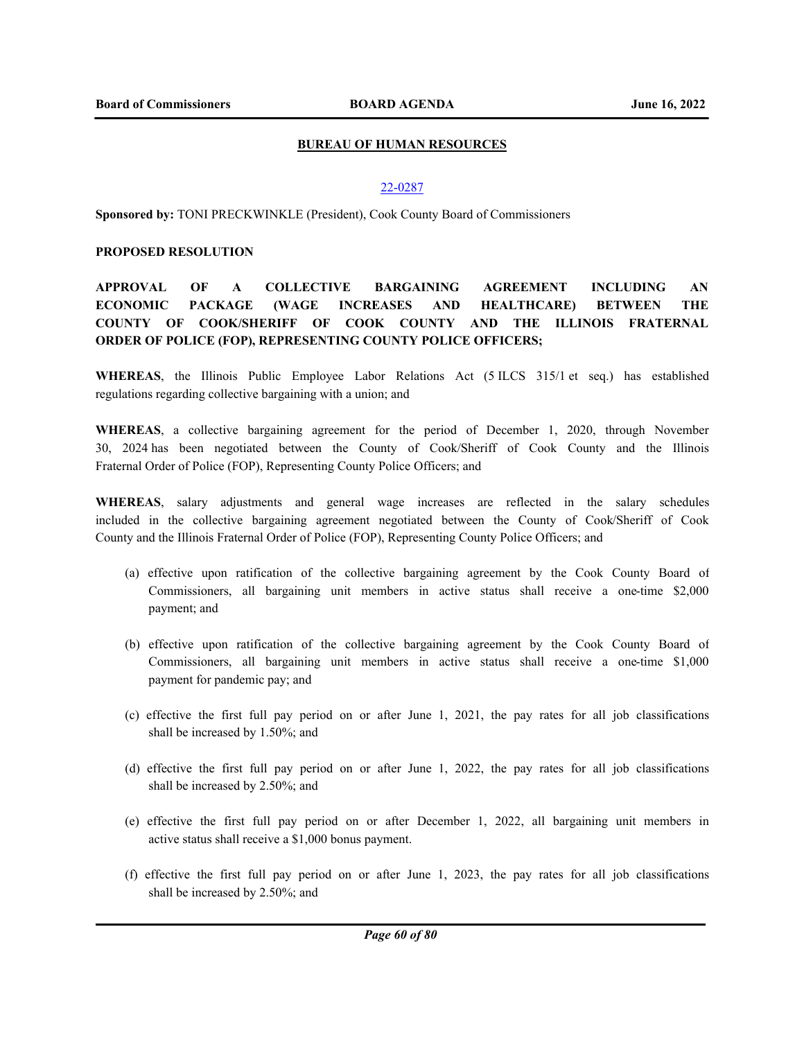## **BUREAU OF HUMAN RESOURCES**

## 22-0287

**Sponsored by:** TONI PRECKWINKLE (President), Cook County Board of Commissioners

## **PROPOSED RESOLUTION**

# **APPROVAL OF A COLLECTIVE BARGAINING AGREEMENT INCLUDING AN ECONOMIC PACKAGE (WAGE INCREASES AND HEALTHCARE) BETWEEN THE COUNTY OF COOK/SHERIFF OF COOK COUNTY AND THE ILLINOIS FRATERNAL ORDER OF POLICE (FOP), REPRESENTING COUNTY POLICE OFFICERS;**

**WHEREAS**, the Illinois Public Employee Labor Relations Act (5 ILCS 315/1 et seq.) has established regulations regarding collective bargaining with a union; and

**WHEREAS**, a collective bargaining agreement for the period of December 1, 2020, through November 30, 2024 has been negotiated between the County of Cook/Sheriff of Cook County and the Illinois Fraternal Order of Police (FOP), Representing County Police Officers; and

**WHEREAS**, salary adjustments and general wage increases are reflected in the salary schedules included in the collective bargaining agreement negotiated between the County of Cook/Sheriff of Cook County and the Illinois Fraternal Order of Police (FOP), Representing County Police Officers; and

- (a) effective upon ratification of the collective bargaining agreement by the Cook County Board of Commissioners, all bargaining unit members in active status shall receive a one-time \$2,000 payment; and
- (b) effective upon ratification of the collective bargaining agreement by the Cook County Board of Commissioners, all bargaining unit members in active status shall receive a one-time \$1,000 payment for pandemic pay; and
- (c) effective the first full pay period on or after June 1, 2021, the pay rates for all job classifications shall be increased by 1.50%; and
- (d) effective the first full pay period on or after June 1, 2022, the pay rates for all job classifications shall be increased by 2.50%; and
- (e) effective the first full pay period on or after December 1, 2022, all bargaining unit members in active status shall receive a \$1,000 bonus payment.
- (f) effective the first full pay period on or after June 1, 2023, the pay rates for all job classifications shall be increased by 2.50%; and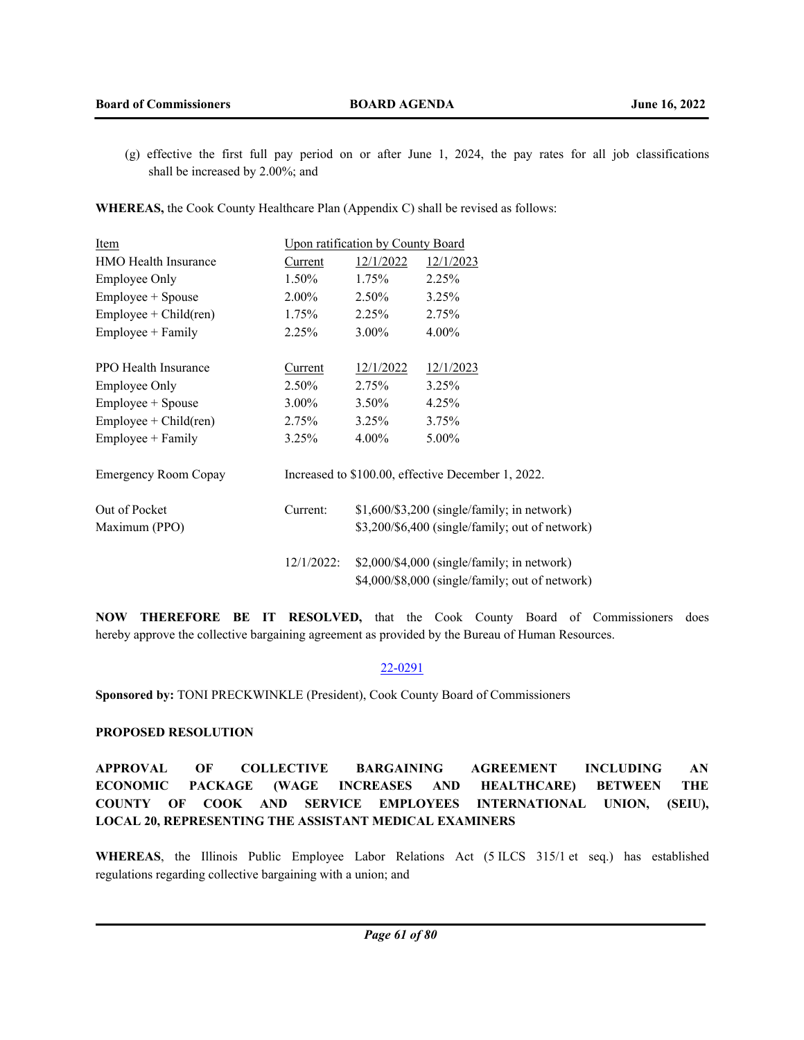(g) effective the first full pay period on or after June 1, 2024, the pay rates for all job classifications shall be increased by 2.00%; and

**WHEREAS,** the Cook County Healthcare Plan (Appendix C) shall be revised as follows:

| Item                        | <b>Upon ratification by County Board</b> |                                                 |                                                    |
|-----------------------------|------------------------------------------|-------------------------------------------------|----------------------------------------------------|
| <b>HMO</b> Health Insurance | Current                                  | 12/1/2022                                       | 12/1/2023                                          |
| Employee Only               | 1.50%                                    | $1.75\%$                                        | 2.25%                                              |
| Employee + Spouse           | $2.00\%$                                 | 2.50%                                           | 3.25%                                              |
| $Employee + Child (ren)$    | $1.75\%$                                 | 2.25%                                           | 2.75%                                              |
| Employee + Family           | 2.25%                                    | $3.00\%$                                        | 4.00%                                              |
|                             |                                          |                                                 |                                                    |
| PPO Health Insurance        | Current                                  | 12/1/2022                                       | 12/1/2023                                          |
| Employee Only               | 2.50%                                    | 2.75%                                           | 3.25%                                              |
| Employee + Spouse           | $3.00\%$                                 | $3.50\%$                                        | 4.25%                                              |
| $Employee + Child (ren)$    | 2.75%                                    | $3.25\%$                                        | 3.75%                                              |
| Employee + Family           | 3.25%                                    | $4.00\%$                                        | 5.00%                                              |
|                             |                                          |                                                 |                                                    |
| <b>Emergency Room Copay</b> |                                          |                                                 | Increased to \$100.00, effective December 1, 2022. |
|                             |                                          |                                                 |                                                    |
| Out of Pocket               | Current:                                 |                                                 | $$1,600/\$3,200$ (single/family; in network)       |
| Maximum (PPO)               |                                          | \$3,200/\$6,400 (single/family; out of network) |                                                    |
|                             |                                          |                                                 |                                                    |
|                             | $12/1/2022$ :                            |                                                 | $$2,000$ /\$4,000 (single/family; in network)      |
|                             |                                          |                                                 | \$4,000/\$8,000 (single/family; out of network)    |

**NOW THEREFORE BE IT RESOLVED,** that the Cook County Board of Commissioners does hereby approve the collective bargaining agreement as provided by the Bureau of Human Resources.

## 22-0291

**Sponsored by:** TONI PRECKWINKLE (President), Cook County Board of Commissioners

## **PROPOSED RESOLUTION**

**APPROVAL OF COLLECTIVE BARGAINING AGREEMENT INCLUDING AN ECONOMIC PACKAGE (WAGE INCREASES AND HEALTHCARE) BETWEEN THE COUNTY OF COOK AND SERVICE EMPLOYEES INTERNATIONAL UNION, (SEIU), LOCAL 20, REPRESENTING THE ASSISTANT MEDICAL EXAMINERS**

**WHEREAS**, the Illinois Public Employee Labor Relations Act (5 ILCS 315/1 et seq.) has established regulations regarding collective bargaining with a union; and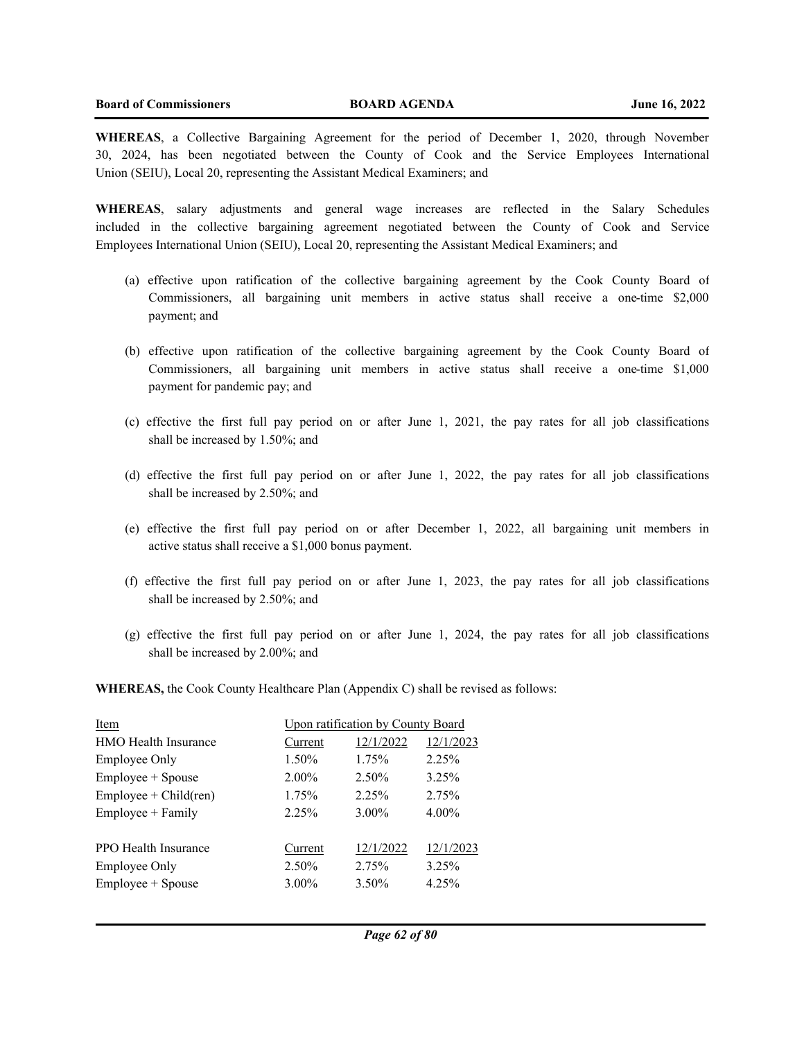**WHEREAS**, a Collective Bargaining Agreement for the period of December 1, 2020, through November 30, 2024, has been negotiated between the County of Cook and the Service Employees International Union (SEIU), Local 20, representing the Assistant Medical Examiners; and

**WHEREAS**, salary adjustments and general wage increases are reflected in the Salary Schedules included in the collective bargaining agreement negotiated between the County of Cook and Service Employees International Union (SEIU), Local 20, representing the Assistant Medical Examiners; and

- (a) effective upon ratification of the collective bargaining agreement by the Cook County Board of Commissioners, all bargaining unit members in active status shall receive a one-time \$2,000 payment; and
- (b) effective upon ratification of the collective bargaining agreement by the Cook County Board of Commissioners, all bargaining unit members in active status shall receive a one-time \$1,000 payment for pandemic pay; and
- (c) effective the first full pay period on or after June 1, 2021, the pay rates for all job classifications shall be increased by 1.50%; and
- (d) effective the first full pay period on or after June 1, 2022, the pay rates for all job classifications shall be increased by 2.50%; and
- (e) effective the first full pay period on or after December 1, 2022, all bargaining unit members in active status shall receive a \$1,000 bonus payment.
- (f) effective the first full pay period on or after June 1, 2023, the pay rates for all job classifications shall be increased by 2.50%; and
- (g) effective the first full pay period on or after June 1, 2024, the pay rates for all job classifications shall be increased by 2.00%; and

**WHEREAS,** the Cook County Healthcare Plan (Appendix C) shall be revised as follows:

| Item                        | <b>Upon ratification by County Board</b> |           |           |
|-----------------------------|------------------------------------------|-----------|-----------|
| <b>HMO</b> Health Insurance | Current                                  | 12/1/2022 | 12/1/2023 |
| Employee Only               | 1.50%                                    | 1.75%     | 2.25%     |
| Employee + Spouse           | $2.00\%$                                 | 2.50%     | 3.25%     |
| $Employee + Child (ren)$    | 1.75%                                    | $2.25\%$  | 2.75%     |
| Employee + Family           | 2.25%                                    | 3.00%     | 4.00%     |
|                             |                                          |           |           |
| PPO Health Insurance        | Current                                  | 12/1/2022 | 12/1/2023 |
| Employee Only               | 2.50%                                    | 2.75%     | 3.25%     |
| Employee + Spouse           | 3.00%                                    | 3.50%     | 4.25%     |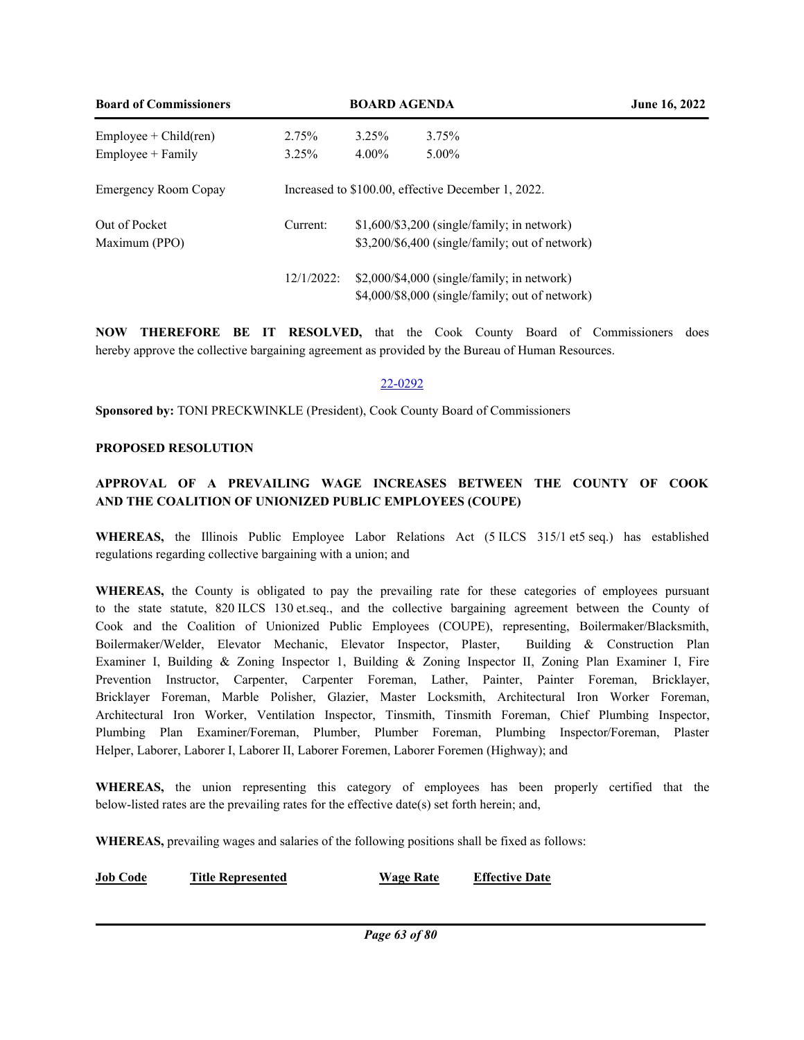| <b>Board of Commissioners</b> | <b>BOARD AGENDA</b> |                                                    |                                                 | <b>June 16, 2022</b> |
|-------------------------------|---------------------|----------------------------------------------------|-------------------------------------------------|----------------------|
| $Employee + Child (ren)$      | 2.75%               | 3.25%                                              | 3.75%                                           |                      |
| $Employee + Family$           | 3.25%               | $4.00\%$                                           | $5.00\%$                                        |                      |
| <b>Emergency Room Copay</b>   |                     | Increased to \$100.00, effective December 1, 2022. |                                                 |                      |
| Out of Pocket                 | Current:            |                                                    | $$1,600/\$3,200$ (single/family; in network)    |                      |
| Maximum (PPO)                 |                     |                                                    | \$3,200/\$6,400 (single/family; out of network) |                      |
|                               | $12/1/2022$ :       |                                                    | $$2,000$ /\$4,000 (single/family; in network)   |                      |
|                               |                     |                                                    | \$4,000/\$8,000 (single/family; out of network) |                      |

**NOW THEREFORE BE IT RESOLVED,** that the Cook County Board of Commissioners does hereby approve the collective bargaining agreement as provided by the Bureau of Human Resources.

# 22-0292

**Sponsored by:** TONI PRECKWINKLE (President), Cook County Board of Commissioners

# **PROPOSED RESOLUTION**

# **APPROVAL OF A PREVAILING WAGE INCREASES BETWEEN THE COUNTY OF COOK AND THE COALITION OF UNIONIZED PUBLIC EMPLOYEES (COUPE)**

**WHEREAS,** the Illinois Public Employee Labor Relations Act (5 ILCS 315/1 et5 seq.) has established regulations regarding collective bargaining with a union; and

**WHEREAS,** the County is obligated to pay the prevailing rate for these categories of employees pursuant to the state statute, 820 ILCS 130 et.seq., and the collective bargaining agreement between the County of Cook and the Coalition of Unionized Public Employees (COUPE), representing, Boilermaker/Blacksmith, Boilermaker/Welder, Elevator Mechanic, Elevator Inspector, Plaster, Building & Construction Plan Examiner I, Building & Zoning Inspector 1, Building & Zoning Inspector II, Zoning Plan Examiner I, Fire Prevention Instructor, Carpenter, Carpenter Foreman, Lather, Painter, Painter Foreman, Bricklayer, Bricklayer Foreman, Marble Polisher, Glazier, Master Locksmith, Architectural Iron Worker Foreman, Architectural Iron Worker, Ventilation Inspector, Tinsmith, Tinsmith Foreman, Chief Plumbing Inspector, Plumbing Plan Examiner/Foreman, Plumber, Plumber Foreman, Plumbing Inspector/Foreman, Plaster Helper, Laborer, Laborer I, Laborer II, Laborer Foremen, Laborer Foremen (Highway); and

**WHEREAS,** the union representing this category of employees has been properly certified that the below-listed rates are the prevailing rates for the effective date(s) set forth herein; and,

**WHEREAS,** prevailing wages and salaries of the following positions shall be fixed as follows:

**Job Code Title Represented Wage Rate Effective Date**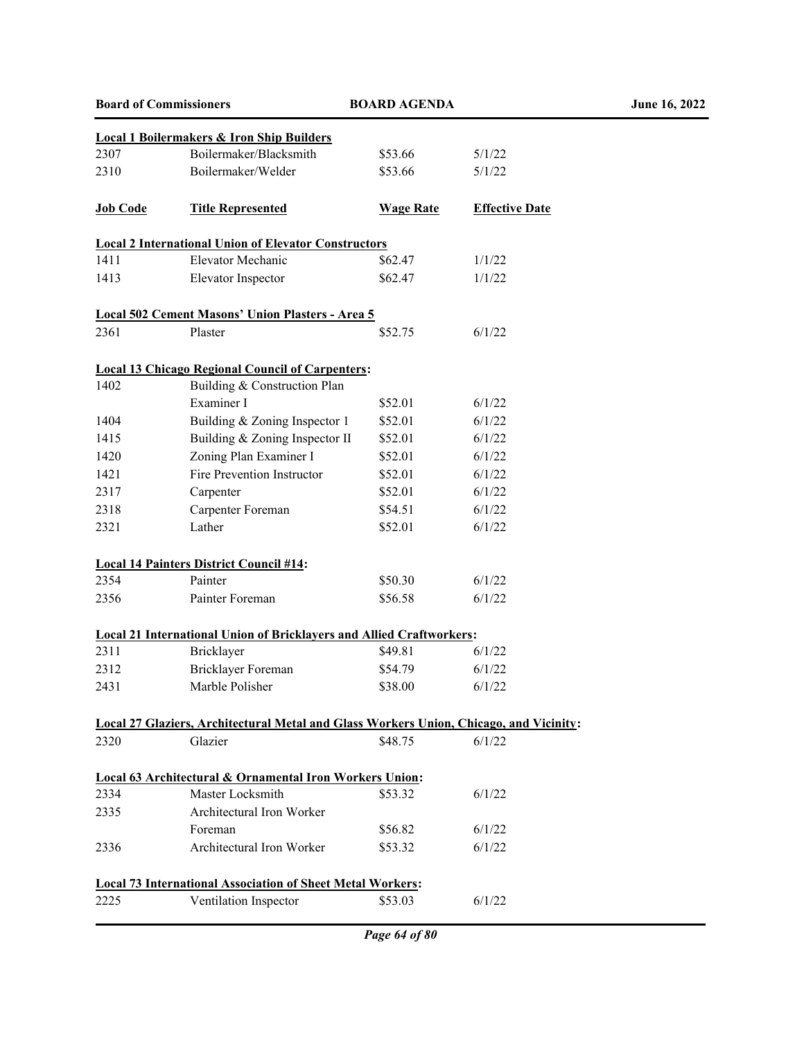|                 | <b>Local 1 Boilermakers &amp; Iron Ship Builders</b>                                          |                  |                       |
|-----------------|-----------------------------------------------------------------------------------------------|------------------|-----------------------|
| 2307            | Boilermaker/Blacksmith                                                                        | \$53.66          | 5/1/22                |
| 2310            | Boilermaker/Welder                                                                            | \$53.66          | 5/1/22                |
|                 |                                                                                               |                  |                       |
| <b>Job Code</b> | <b>Title Represented</b>                                                                      | <b>Wage Rate</b> | <b>Effective Date</b> |
|                 | <b>Local 2 International Union of Elevator Constructors</b>                                   |                  |                       |
| 1411            | Elevator Mechanic                                                                             | \$62.47          | 1/1/22                |
| 1413            | Elevator Inspector                                                                            | \$62.47          | 1/1/22                |
|                 | Local 502 Cement Masons' Union Plasters - Area 5                                              |                  |                       |
| 2361            | Plaster                                                                                       | \$52.75          | 6/1/22                |
|                 | <b>Local 13 Chicago Regional Council of Carpenters:</b>                                       |                  |                       |
| 1402            | Building & Construction Plan                                                                  |                  |                       |
|                 | Examiner I                                                                                    | \$52.01          | 6/1/22                |
| 1404            | Building & Zoning Inspector 1                                                                 | \$52.01          | 6/1/22                |
| 1415            | Building & Zoning Inspector II                                                                | \$52.01          | 6/1/22                |
| 1420            | Zoning Plan Examiner I                                                                        | \$52.01          | 6/1/22                |
| 1421            | Fire Prevention Instructor                                                                    | \$52.01          | 6/1/22                |
| 2317            | Carpenter                                                                                     | \$52.01          | 6/1/22                |
| 2318            | Carpenter Foreman                                                                             | \$54.51          | 6/1/22                |
| 2321            | Lather                                                                                        | \$52.01          | 6/1/22                |
|                 | <b>Local 14 Painters District Council #14:</b>                                                |                  |                       |
| 2354            | Painter                                                                                       | \$50.30          | 6/1/22                |
| 2356            | Painter Foreman                                                                               | \$56.58          | 6/1/22                |
|                 | <b>Local 21 International Union of Bricklayers and Allied Craftworkers:</b>                   |                  |                       |
| 2311            | Bricklayer                                                                                    | \$49.81          | 6/1/22                |
| 2312            | Bricklayer Foreman                                                                            | \$54.79          | 6/1/22                |
| 2431            | Marble Polisher                                                                               | \$38.00          | 6/1/22                |
|                 | <b>Local 27 Glaziers, Architectural Metal and Glass Workers Union, Chicago, and Vicinity:</b> |                  |                       |
| 2320            | Glazier                                                                                       | \$48.75          | 6/1/22                |
|                 | <b>Local 63 Architectural &amp; Ornamental Iron Workers Union:</b>                            |                  |                       |
| 2334            | Master Locksmith                                                                              | \$53.32          | 6/1/22                |
| 2335            | Architectural Iron Worker                                                                     |                  |                       |
|                 | Foreman                                                                                       | \$56.82          | 6/1/22                |
| 2336            | Architectural Iron Worker                                                                     | \$53.32          | 6/1/22                |
|                 | <b>Local 73 International Association of Sheet Metal Workers:</b>                             |                  |                       |
| 2225            | Ventilation Inspector                                                                         | \$53.03          | 6/1/22                |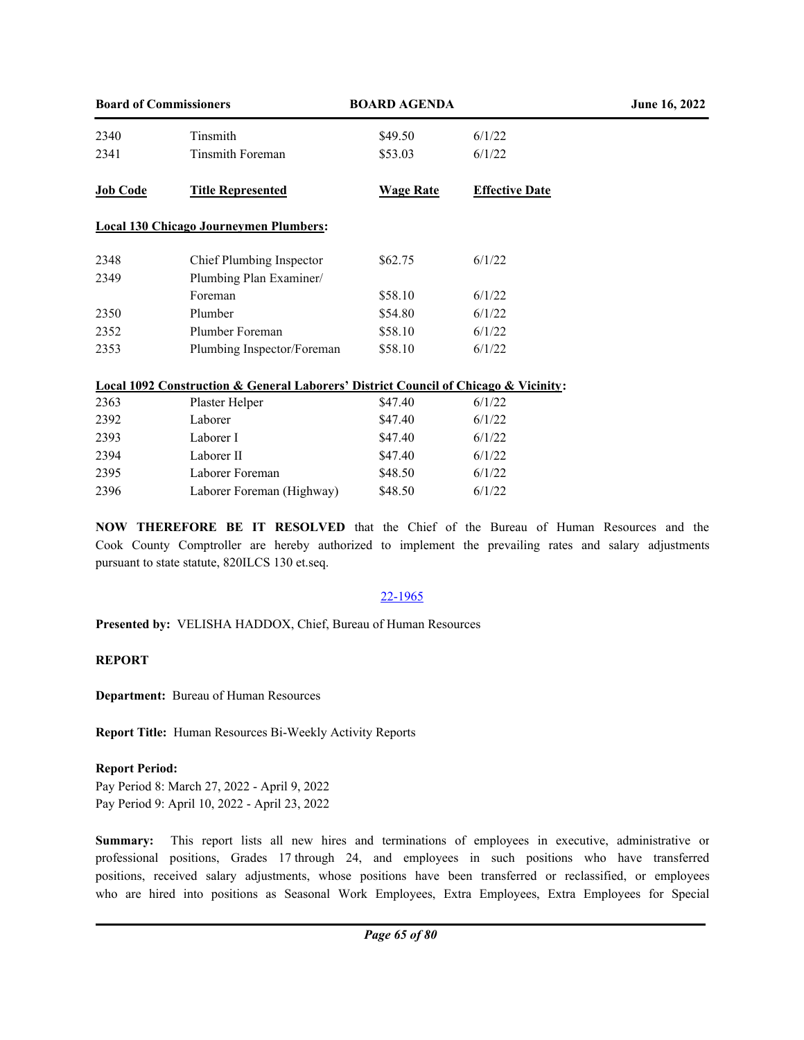| <b>Board of Commissioners</b> |                                                                                                    | <b>BOARD AGENDA</b> |                       | June 16, 2022 |
|-------------------------------|----------------------------------------------------------------------------------------------------|---------------------|-----------------------|---------------|
| 2340                          | Tinsmith                                                                                           | \$49.50             | 6/1/22                |               |
| 2341                          | <b>Tinsmith Foreman</b>                                                                            | \$53.03             | 6/1/22                |               |
| <b>Job Code</b>               | <b>Title Represented</b>                                                                           | <b>Wage Rate</b>    | <b>Effective Date</b> |               |
|                               | <b>Local 130 Chicago Journeymen Plumbers:</b>                                                      |                     |                       |               |
| 2348                          | Chief Plumbing Inspector                                                                           | \$62.75             | 6/1/22                |               |
| 2349                          | Plumbing Plan Examiner/                                                                            |                     |                       |               |
|                               | Foreman                                                                                            | \$58.10             | 6/1/22                |               |
| 2350                          | Plumber                                                                                            | \$54.80             | 6/1/22                |               |
| 2352                          | Plumber Foreman                                                                                    | \$58.10             | 6/1/22                |               |
| 2353                          | Plumbing Inspector/Foreman                                                                         | \$58.10             | 6/1/22                |               |
|                               | <b>Local 1092 Construction &amp; General Laborers' District Council of Chicago &amp; Vicinity:</b> |                     |                       |               |
| 2363                          | Plaster Helper                                                                                     | \$47.40             | 6/1/22                |               |
| 2392                          | Laborer                                                                                            | \$47.40             | 6/1/22                |               |
| 2393                          | Laborer I                                                                                          | \$47.40             | 6/1/22                |               |
| 2394                          | Laborer II                                                                                         | \$47.40             | 6/1/22                |               |
| 2395                          | Laborer Foreman                                                                                    | \$48.50             | 6/1/22                |               |
| 2396                          | Laborer Foreman (Highway)                                                                          | \$48.50             | 6/1/22                |               |

**NOW THEREFORE BE IT RESOLVED** that the Chief of the Bureau of Human Resources and the Cook County Comptroller are hereby authorized to implement the prevailing rates and salary adjustments pursuant to state statute, 820ILCS 130 et.seq.

## 22-1965

**Presented by:** VELISHA HADDOX, Chief, Bureau of Human Resources

# **REPORT**

**Department:** Bureau of Human Resources

**Report Title:** Human Resources Bi-Weekly Activity Reports

# **Report Period:**

Pay Period 8: March 27, 2022 - April 9, 2022 Pay Period 9: April 10, 2022 - April 23, 2022

**Summary:** This report lists all new hires and terminations of employees in executive, administrative or professional positions, Grades 17 through 24, and employees in such positions who have transferred positions, received salary adjustments, whose positions have been transferred or reclassified, or employees who are hired into positions as Seasonal Work Employees, Extra Employees, Extra Employees for Special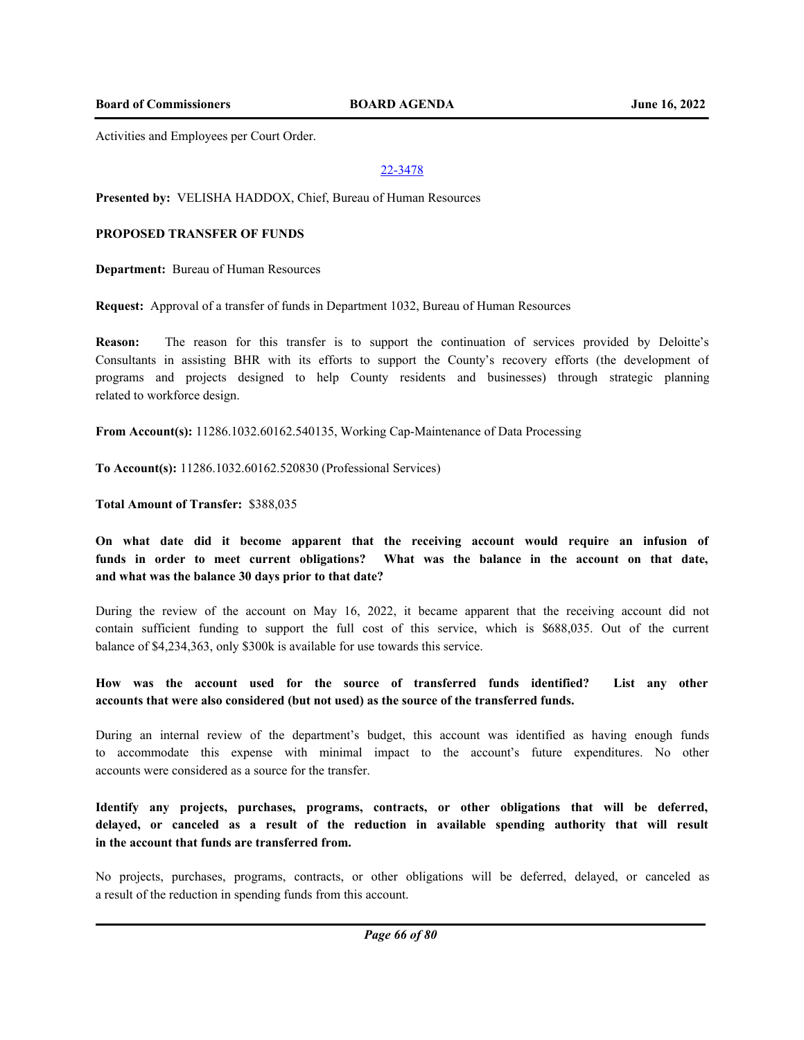**Board of Commissioners BOARD AGENDA June 16, 2022**

Activities and Employees per Court Order.

#### 22-3478

**Presented by:** VELISHA HADDOX, Chief, Bureau of Human Resources

#### **PROPOSED TRANSFER OF FUNDS**

**Department:** Bureau of Human Resources

**Request:** Approval of a transfer of funds in Department 1032, Bureau of Human Resources

**Reason:** The reason for this transfer is to support the continuation of services provided by Deloitte's Consultants in assisting BHR with its efforts to support the County's recovery efforts (the development of programs and projects designed to help County residents and businesses) through strategic planning related to workforce design.

**From Account(s):** 11286.1032.60162.540135, Working Cap-Maintenance of Data Processing

**To Account(s):** 11286.1032.60162.520830 (Professional Services)

**Total Amount of Transfer:** \$388,035

**On what date did it become apparent that the receiving account would require an infusion of funds in order to meet current obligations? What was the balance in the account on that date, and what was the balance 30 days prior to that date?**

During the review of the account on May 16, 2022, it became apparent that the receiving account did not contain sufficient funding to support the full cost of this service, which is \$688,035. Out of the current balance of \$4,234,363, only \$300k is available for use towards this service.

# **How was the account used for the source of transferred funds identified? List any other accounts that were also considered (but not used) as the source of the transferred funds.**

During an internal review of the department's budget, this account was identified as having enough funds to accommodate this expense with minimal impact to the account's future expenditures. No other accounts were considered as a source for the transfer.

**Identify any projects, purchases, programs, contracts, or other obligations that will be deferred, delayed, or canceled as a result of the reduction in available spending authority that will result in the account that funds are transferred from.**

No projects, purchases, programs, contracts, or other obligations will be deferred, delayed, or canceled as a result of the reduction in spending funds from this account.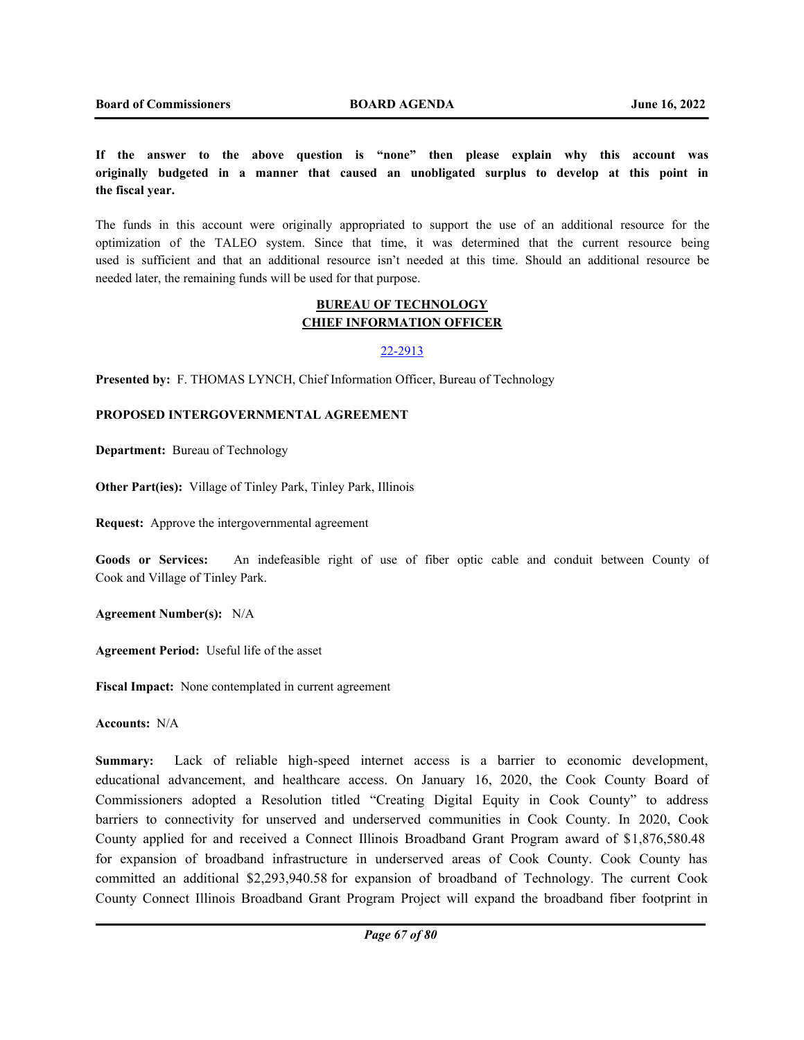**If the answer to the above question is "none" then please explain why this account was originally budgeted in a manner that caused an unobligated surplus to develop at this point in the fiscal year.**

The funds in this account were originally appropriated to support the use of an additional resource for the optimization of the TALEO system. Since that time, it was determined that the current resource being used is sufficient and that an additional resource isn't needed at this time. Should an additional resource be needed later, the remaining funds will be used for that purpose.

## **BUREAU OF TECHNOLOGY CHIEF INFORMATION OFFICER**

#### 22-2913

**Presented by:** F. THOMAS LYNCH, Chief Information Officer, Bureau of Technology

## **PROPOSED INTERGOVERNMENTAL AGREEMENT**

**Department:** Bureau of Technology

**Other Part(ies):** Village of Tinley Park, Tinley Park, Illinois

**Request:** Approve the intergovernmental agreement

**Goods or Services:** An indefeasible right of use of fiber optic cable and conduit between County of Cook and Village of Tinley Park.

**Agreement Number(s):** N/A

**Agreement Period:** Useful life of the asset

**Fiscal Impact:** None contemplated in current agreement

**Accounts:** N/A

**Summary:** Lack of reliable high-speed internet access is a barrier to economic development, educational advancement, and healthcare access. On January 16, 2020, the Cook County Board of Commissioners adopted a Resolution titled "Creating Digital Equity in Cook County" to address barriers to connectivity for unserved and underserved communities in Cook County. In 2020, Cook County applied for and received a Connect Illinois Broadband Grant Program award of \$1,876,580.48 for expansion of broadband infrastructure in underserved areas of Cook County. Cook County has committed an additional \$2,293,940.58 for expansion of broadband of Technology. The current Cook County Connect Illinois Broadband Grant Program Project will expand the broadband fiber footprint in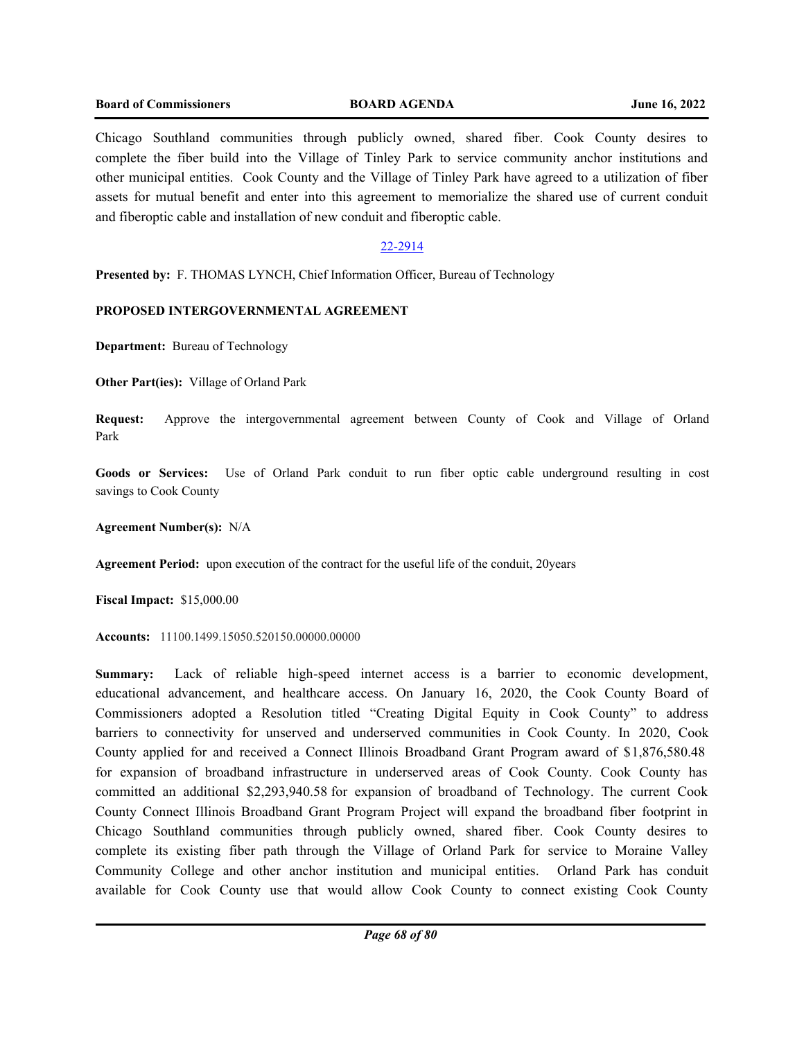## **Board of Commissioners BOARD AGENDA June 16, 2022**

Chicago Southland communities through publicly owned, shared fiber. Cook County desires to complete the fiber build into the Village of Tinley Park to service community anchor institutions and other municipal entities. Cook County and the Village of Tinley Park have agreed to a utilization of fiber assets for mutual benefit and enter into this agreement to memorialize the shared use of current conduit and fiberoptic cable and installation of new conduit and fiberoptic cable.

# 22-2914

**Presented by:** F. THOMAS LYNCH, Chief Information Officer, Bureau of Technology

## **PROPOSED INTERGOVERNMENTAL AGREEMENT**

**Department:** Bureau of Technology

**Other Part(ies):** Village of Orland Park

**Request:** Approve the intergovernmental agreement between County of Cook and Village of Orland Park

**Goods or Services:** Use of Orland Park conduit to run fiber optic cable underground resulting in cost savings to Cook County

**Agreement Number(s):** N/A

**Agreement Period:** upon execution of the contract for the useful life of the conduit, 20years

**Fiscal Impact:** \$15,000.00

**Accounts:** 11100.1499.15050.520150.00000.00000

**Summary:** Lack of reliable high-speed internet access is a barrier to economic development, educational advancement, and healthcare access. On January 16, 2020, the Cook County Board of Commissioners adopted a Resolution titled "Creating Digital Equity in Cook County" to address barriers to connectivity for unserved and underserved communities in Cook County. In 2020, Cook County applied for and received a Connect Illinois Broadband Grant Program award of \$1,876,580.48 for expansion of broadband infrastructure in underserved areas of Cook County. Cook County has committed an additional \$2,293,940.58 for expansion of broadband of Technology. The current Cook County Connect Illinois Broadband Grant Program Project will expand the broadband fiber footprint in Chicago Southland communities through publicly owned, shared fiber. Cook County desires to complete its existing fiber path through the Village of Orland Park for service to Moraine Valley Community College and other anchor institution and municipal entities. Orland Park has conduit available for Cook County use that would allow Cook County to connect existing Cook County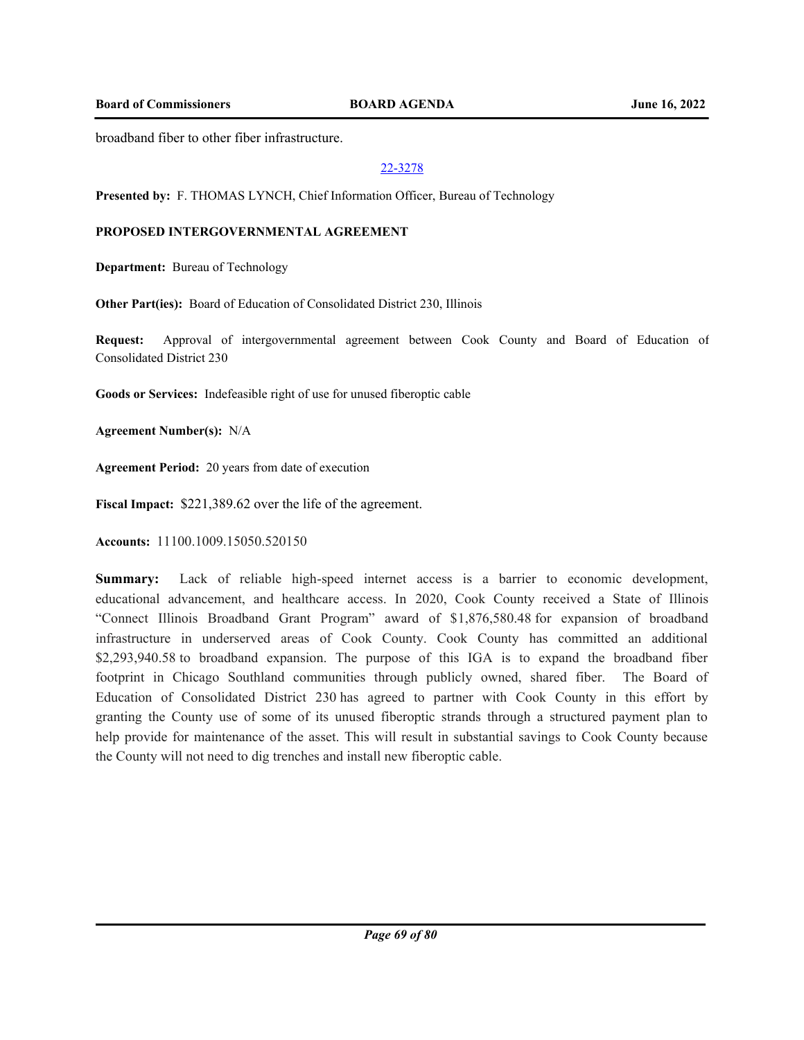**Board of Commissioners BOARD AGENDA June 16, 2022**

broadband fiber to other fiber infrastructure.

## 22-3278

**Presented by:** F. THOMAS LYNCH, Chief Information Officer, Bureau of Technology

# **PROPOSED INTERGOVERNMENTAL AGREEMENT**

**Department:** Bureau of Technology

**Other Part(ies):** Board of Education of Consolidated District 230, Illinois

**Request:** Approval of intergovernmental agreement between Cook County and Board of Education of Consolidated District 230

**Goods or Services:** Indefeasible right of use for unused fiberoptic cable

**Agreement Number(s):** N/A

**Agreement Period:** 20 years from date of execution

**Fiscal Impact:** \$221,389.62 over the life of the agreement.

**Accounts:** 11100.1009.15050.520150

**Summary:** Lack of reliable high-speed internet access is a barrier to economic development, educational advancement, and healthcare access. In 2020, Cook County received a State of Illinois "Connect Illinois Broadband Grant Program" award of \$1,876,580.48 for expansion of broadband infrastructure in underserved areas of Cook County. Cook County has committed an additional \$2,293,940.58 to broadband expansion. The purpose of this IGA is to expand the broadband fiber footprint in Chicago Southland communities through publicly owned, shared fiber. The Board of Education of Consolidated District 230 has agreed to partner with Cook County in this effort by granting the County use of some of its unused fiberoptic strands through a structured payment plan to help provide for maintenance of the asset. This will result in substantial savings to Cook County because the County will not need to dig trenches and install new fiberoptic cable.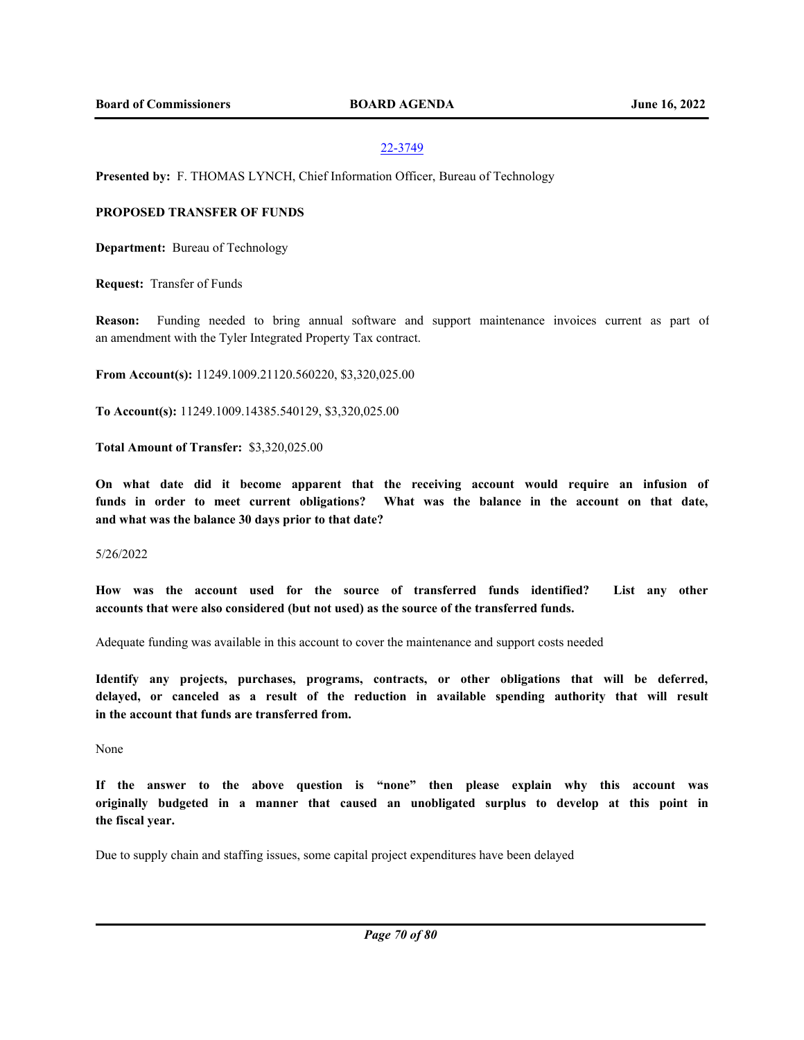## 22-3749

**Presented by:** F. THOMAS LYNCH, Chief Information Officer, Bureau of Technology

## **PROPOSED TRANSFER OF FUNDS**

**Department:** Bureau of Technology

**Request:** Transfer of Funds

**Reason:** Funding needed to bring annual software and support maintenance invoices current as part of an amendment with the Tyler Integrated Property Tax contract.

**From Account(s):** 11249.1009.21120.560220, \$3,320,025.00

**To Account(s):** 11249.1009.14385.540129, \$3,320,025.00

**Total Amount of Transfer:** \$3,320,025.00

**On what date did it become apparent that the receiving account would require an infusion of funds in order to meet current obligations? What was the balance in the account on that date, and what was the balance 30 days prior to that date?**

5/26/2022

**How was the account used for the source of transferred funds identified? List any other accounts that were also considered (but not used) as the source of the transferred funds.** 

Adequate funding was available in this account to cover the maintenance and support costs needed

**Identify any projects, purchases, programs, contracts, or other obligations that will be deferred, delayed, or canceled as a result of the reduction in available spending authority that will result in the account that funds are transferred from.**

None

**If the answer to the above question is "none" then please explain why this account was originally budgeted in a manner that caused an unobligated surplus to develop at this point in the fiscal year.**

Due to supply chain and staffing issues, some capital project expenditures have been delayed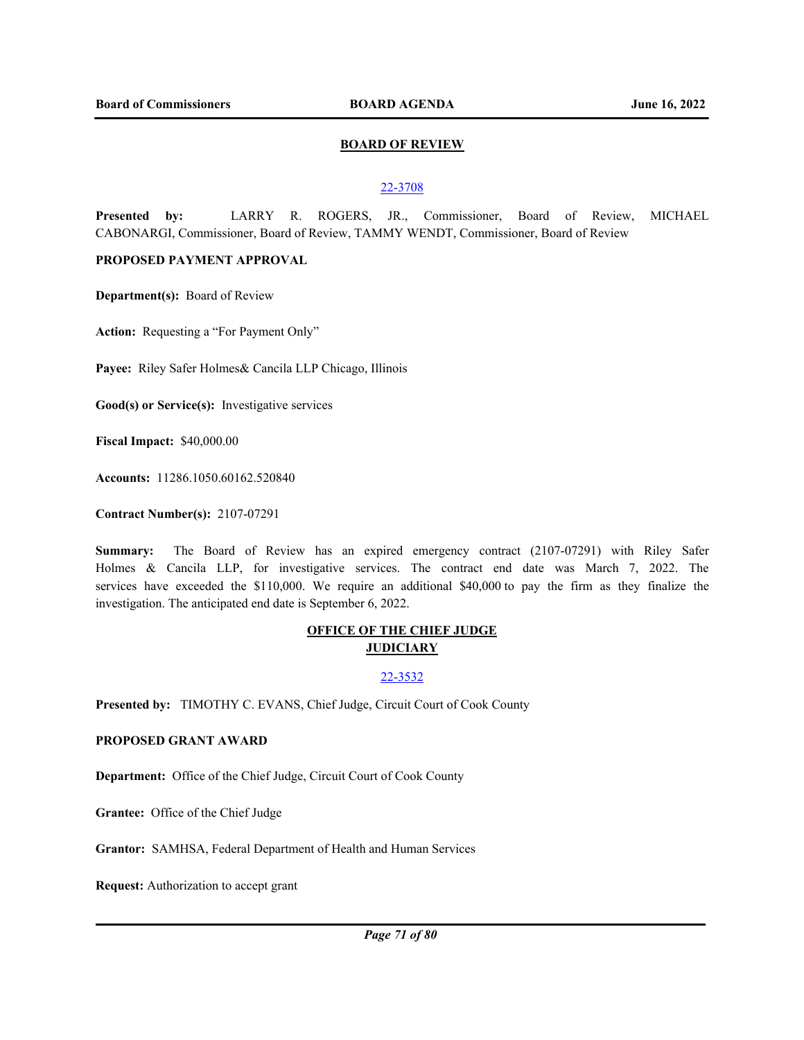## **BOARD OF REVIEW**

#### 22-3708

**Presented by:** LARRY R. ROGERS, JR., Commissioner, Board of Review, MICHAEL CABONARGI, Commissioner, Board of Review, TAMMY WENDT, Commissioner, Board of Review

# **PROPOSED PAYMENT APPROVAL**

**Department(s):** Board of Review

Action: Requesting a "For Payment Only"

**Payee:** Riley Safer Holmes& Cancila LLP Chicago, Illinois

**Good(s) or Service(s):** Investigative services

**Fiscal Impact:** \$40,000.00

**Accounts:** 11286.1050.60162.520840

**Contract Number(s):** 2107-07291

**Summary:** The Board of Review has an expired emergency contract (2107-07291) with Riley Safer Holmes & Cancila LLP, for investigative services. The contract end date was March 7, 2022. The services have exceeded the \$110,000. We require an additional \$40,000 to pay the firm as they finalize the investigation. The anticipated end date is September 6, 2022.

# **OFFICE OF THE CHIEF JUDGE JUDICIARY**

22-3532

**Presented by:** TIMOTHY C. EVANS, Chief Judge, Circuit Court of Cook County

## **PROPOSED GRANT AWARD**

**Department:** Office of the Chief Judge, Circuit Court of Cook County

**Grantee:** Office of the Chief Judge

**Grantor:** SAMHSA, Federal Department of Health and Human Services

**Request:** Authorization to accept grant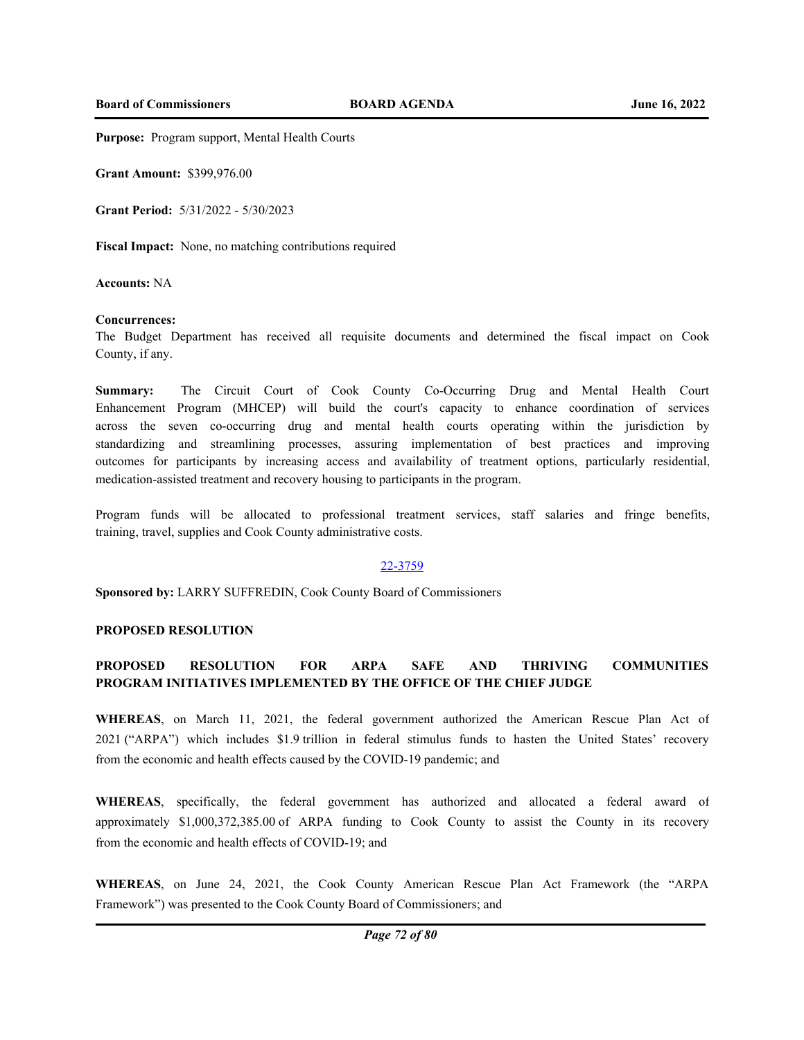**Purpose:** Program support, Mental Health Courts

**Grant Amount:** \$399,976.00

**Grant Period:** 5/31/2022 - 5/30/2023

**Fiscal Impact:** None, no matching contributions required

**Accounts:** NA

## **Concurrences:**

The Budget Department has received all requisite documents and determined the fiscal impact on Cook County, if any.

**Summary:** The Circuit Court of Cook County Co-Occurring Drug and Mental Health Court Enhancement Program (MHCEP) will build the court's capacity to enhance coordination of services across the seven co-occurring drug and mental health courts operating within the jurisdiction by standardizing and streamlining processes, assuring implementation of best practices and improving outcomes for participants by increasing access and availability of treatment options, particularly residential, medication-assisted treatment and recovery housing to participants in the program.

Program funds will be allocated to professional treatment services, staff salaries and fringe benefits, training, travel, supplies and Cook County administrative costs.

## 22-3759

**Sponsored by:** LARRY SUFFREDIN, Cook County Board of Commissioners

## **PROPOSED RESOLUTION**

# **PROPOSED RESOLUTION FOR ARPA SAFE AND THRIVING COMMUNITIES PROGRAM INITIATIVES IMPLEMENTED BY THE OFFICE OF THE CHIEF JUDGE**

**WHEREAS**, on March 11, 2021, the federal government authorized the American Rescue Plan Act of 2021 ("ARPA") which includes \$1.9 trillion in federal stimulus funds to hasten the United States' recovery from the economic and health effects caused by the COVID-19 pandemic; and

**WHEREAS**, specifically, the federal government has authorized and allocated a federal award of approximately \$1,000,372,385.00 of ARPA funding to Cook County to assist the County in its recovery from the economic and health effects of COVID-19; and

**WHEREAS**, on June 24, 2021, the Cook County American Rescue Plan Act Framework (the "ARPA Framework") was presented to the Cook County Board of Commissioners; and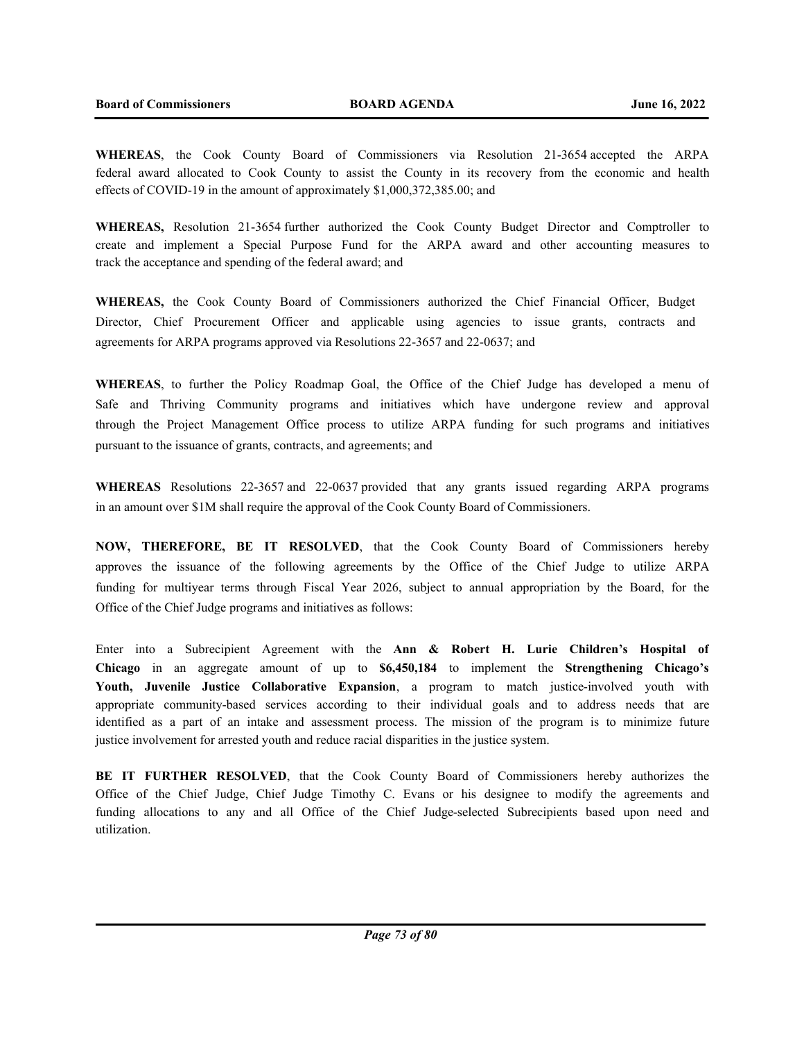**WHEREAS**, the Cook County Board of Commissioners via Resolution 21-3654 accepted the ARPA federal award allocated to Cook County to assist the County in its recovery from the economic and health effects of COVID-19 in the amount of approximately \$1,000,372,385.00; and

**WHEREAS,** Resolution 21-3654 further authorized the Cook County Budget Director and Comptroller to create and implement a Special Purpose Fund for the ARPA award and other accounting measures to track the acceptance and spending of the federal award; and

**WHEREAS,** the Cook County Board of Commissioners authorized the Chief Financial Officer, Budget Director, Chief Procurement Officer and applicable using agencies to issue grants, contracts and agreements for ARPA programs approved via Resolutions 22-3657 and 22-0637; and

**WHEREAS**, to further the Policy Roadmap Goal, the Office of the Chief Judge has developed a menu of Safe and Thriving Community programs and initiatives which have undergone review and approval through the Project Management Office process to utilize ARPA funding for such programs and initiatives pursuant to the issuance of grants, contracts, and agreements; and

**WHEREAS** Resolutions 22-3657 and 22-0637 provided that any grants issued regarding ARPA programs in an amount over \$1M shall require the approval of the Cook County Board of Commissioners.

**NOW, THEREFORE, BE IT RESOLVED**, that the Cook County Board of Commissioners hereby approves the issuance of the following agreements by the Office of the Chief Judge to utilize ARPA funding for multiyear terms through Fiscal Year 2026, subject to annual appropriation by the Board, for the Office of the Chief Judge programs and initiatives as follows:

Enter into a Subrecipient Agreement with the **Ann & Robert H. Lurie Children's Hospital of Chicago** in an aggregate amount of up to **\$6,450,184** to implement the **Strengthening Chicago's Youth, Juvenile Justice Collaborative Expansion**, a program to match justice-involved youth with appropriate community-based services according to their individual goals and to address needs that are identified as a part of an intake and assessment process. The mission of the program is to minimize future justice involvement for arrested youth and reduce racial disparities in the justice system.

**BE IT FURTHER RESOLVED**, that the Cook County Board of Commissioners hereby authorizes the Office of the Chief Judge, Chief Judge Timothy C. Evans or his designee to modify the agreements and funding allocations to any and all Office of the Chief Judge-selected Subrecipients based upon need and utilization.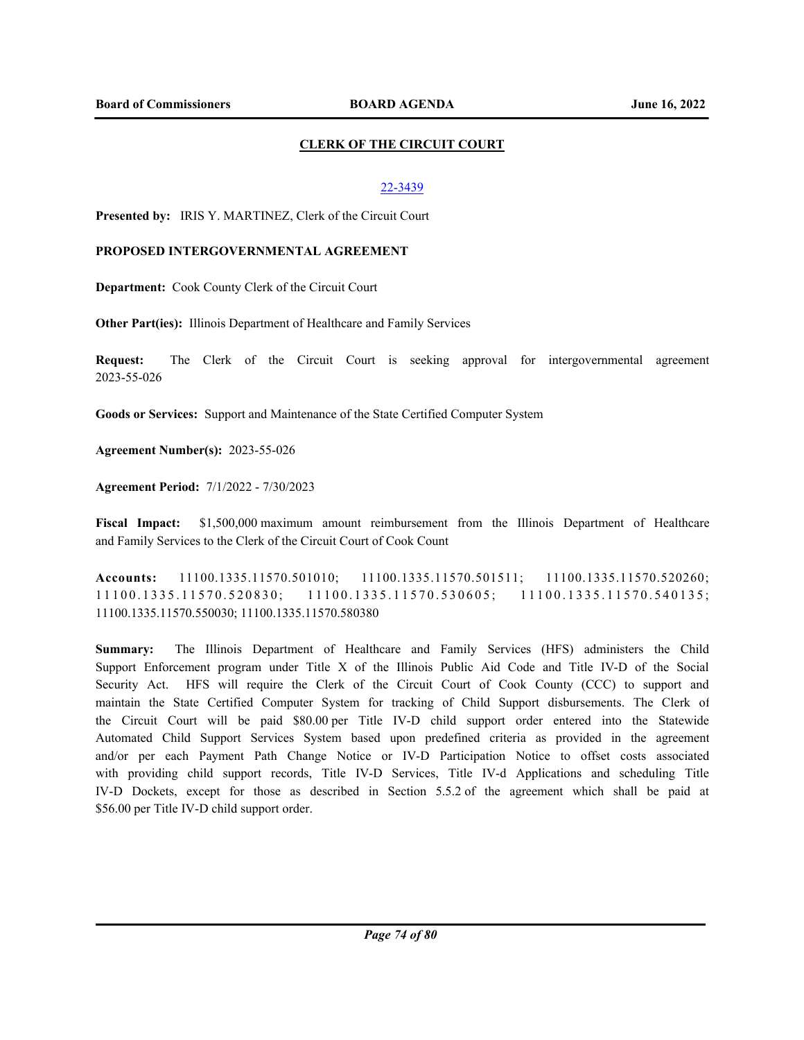## **CLERK OF THE CIRCUIT COURT**

## 22-3439

**Presented by:** IRIS Y. MARTINEZ, Clerk of the Circuit Court

## **PROPOSED INTERGOVERNMENTAL AGREEMENT**

**Department:** Cook County Clerk of the Circuit Court

**Other Part(ies):** Illinois Department of Healthcare and Family Services

**Request:** The Clerk of the Circuit Court is seeking approval for intergovernmental agreement 2023-55-026

**Goods or Services:** Support and Maintenance of the State Certified Computer System

**Agreement Number(s):** 2023-55-026

**Agreement Period:** 7/1/2022 - 7/30/2023

**Fiscal Impact:** \$1,500,000 maximum amount reimbursement from the Illinois Department of Healthcare and Family Services to the Clerk of the Circuit Court of Cook Count

**Accounts:** 11100.1335.11570.501010; 11100.1335.11570.501511; 11100.1335.11570.520260;  $11100.1335.11570.520830; 11100.1335.11570.530605; 11100.1335.11570.540135;$ 11100.1335.11570.550030; 11100.1335.11570.580380

**Summary:** The Illinois Department of Healthcare and Family Services (HFS) administers the Child Support Enforcement program under Title X of the Illinois Public Aid Code and Title IV-D of the Social Security Act. HFS will require the Clerk of the Circuit Court of Cook County (CCC) to support and maintain the State Certified Computer System for tracking of Child Support disbursements. The Clerk of the Circuit Court will be paid \$80.00 per Title IV-D child support order entered into the Statewide Automated Child Support Services System based upon predefined criteria as provided in the agreement and/or per each Payment Path Change Notice or IV-D Participation Notice to offset costs associated with providing child support records, Title IV-D Services, Title IV-d Applications and scheduling Title IV-D Dockets, except for those as described in Section 5.5.2 of the agreement which shall be paid at \$56.00 per Title IV-D child support order.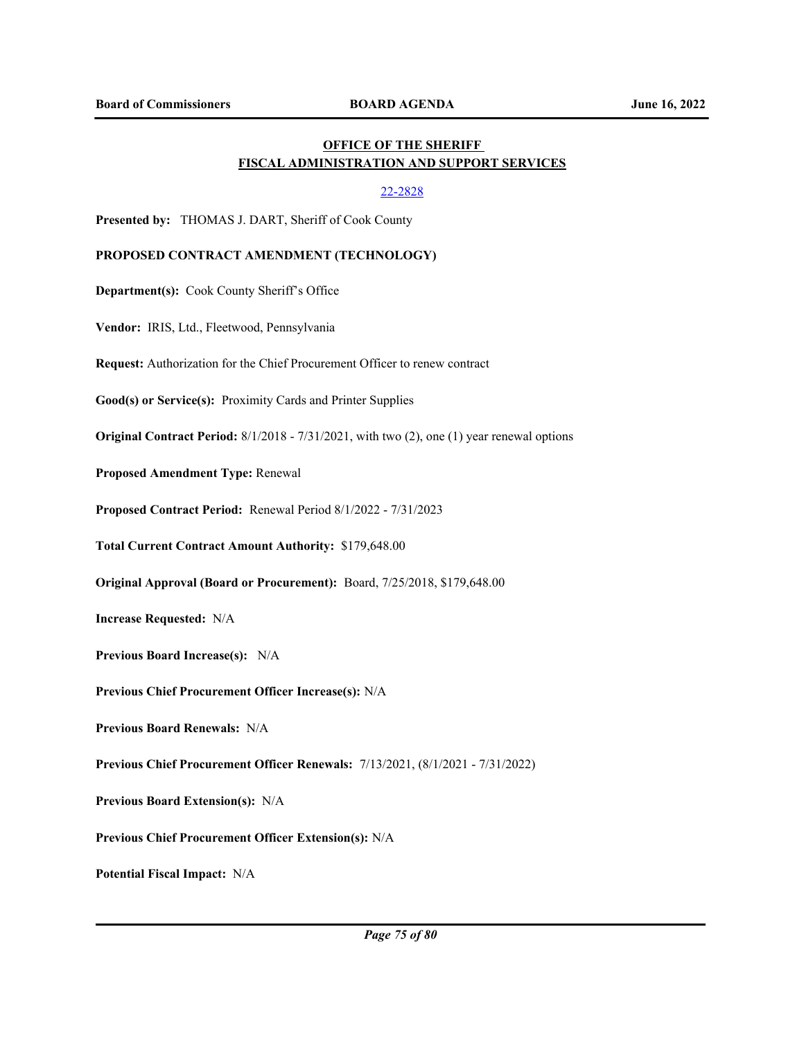## **OFFICE OF THE SHERIFF FISCAL ADMINISTRATION AND SUPPORT SERVICES**

## 22-2828

**Presented by:** THOMAS J. DART, Sheriff of Cook County

## **PROPOSED CONTRACT AMENDMENT (TECHNOLOGY)**

**Department(s):** Cook County Sheriff's Office

**Vendor:** IRIS, Ltd., Fleetwood, Pennsylvania

**Request:** Authorization for the Chief Procurement Officer to renew contract

**Good(s) or Service(s):** Proximity Cards and Printer Supplies

**Original Contract Period:** 8/1/2018 - 7/31/2021, with two (2), one (1) year renewal options

**Proposed Amendment Type:** Renewal

**Proposed Contract Period:** Renewal Period 8/1/2022 - 7/31/2023

**Total Current Contract Amount Authority:** \$179,648.00

**Original Approval (Board or Procurement):** Board, 7/25/2018, \$179,648.00

**Increase Requested:** N/A

**Previous Board Increase(s):** N/A

**Previous Chief Procurement Officer Increase(s):** N/A

**Previous Board Renewals:** N/A

**Previous Chief Procurement Officer Renewals:** 7/13/2021, (8/1/2021 - 7/31/2022)

**Previous Board Extension(s):** N/A

**Previous Chief Procurement Officer Extension(s):** N/A

**Potential Fiscal Impact:** N/A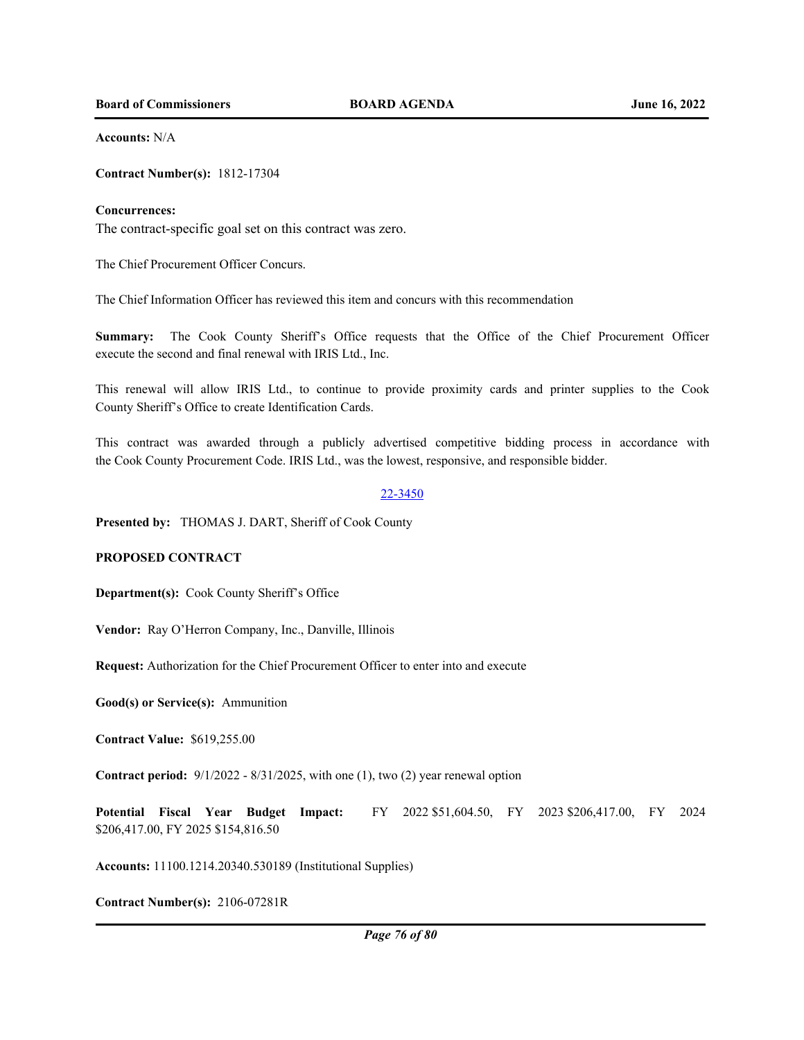**Board of Commissioners BOARD AGENDA June 16, 2022**

**Accounts:** N/A

**Contract Number(s):** 1812-17304

#### **Concurrences:**

The contract-specific goal set on this contract was zero.

The Chief Procurement Officer Concurs.

The Chief Information Officer has reviewed this item and concurs with this recommendation

**Summary:** The Cook County Sheriff's Office requests that the Office of the Chief Procurement Officer execute the second and final renewal with IRIS Ltd., Inc.

This renewal will allow IRIS Ltd., to continue to provide proximity cards and printer supplies to the Cook County Sheriff's Office to create Identification Cards.

This contract was awarded through a publicly advertised competitive bidding process in accordance with the Cook County Procurement Code. IRIS Ltd., was the lowest, responsive, and responsible bidder.

#### 22-3450

**Presented by:** THOMAS J. DART, Sheriff of Cook County

## **PROPOSED CONTRACT**

**Department(s):** Cook County Sheriff's Office

**Vendor:** Ray O'Herron Company, Inc., Danville, Illinois

**Request:** Authorization for the Chief Procurement Officer to enter into and execute

**Good(s) or Service(s):** Ammunition

**Contract Value:** \$619,255.00

**Contract period:** 9/1/2022 - 8/31/2025, with one (1), two (2) year renewal option

**Potential Fiscal Year Budget Impact:** FY 2022 \$51,604.50, FY 2023 \$206,417.00, FY 2024 \$206,417.00, FY 2025 \$154,816.50

**Accounts:** 11100.1214.20340.530189 (Institutional Supplies)

**Contract Number(s):** 2106-07281R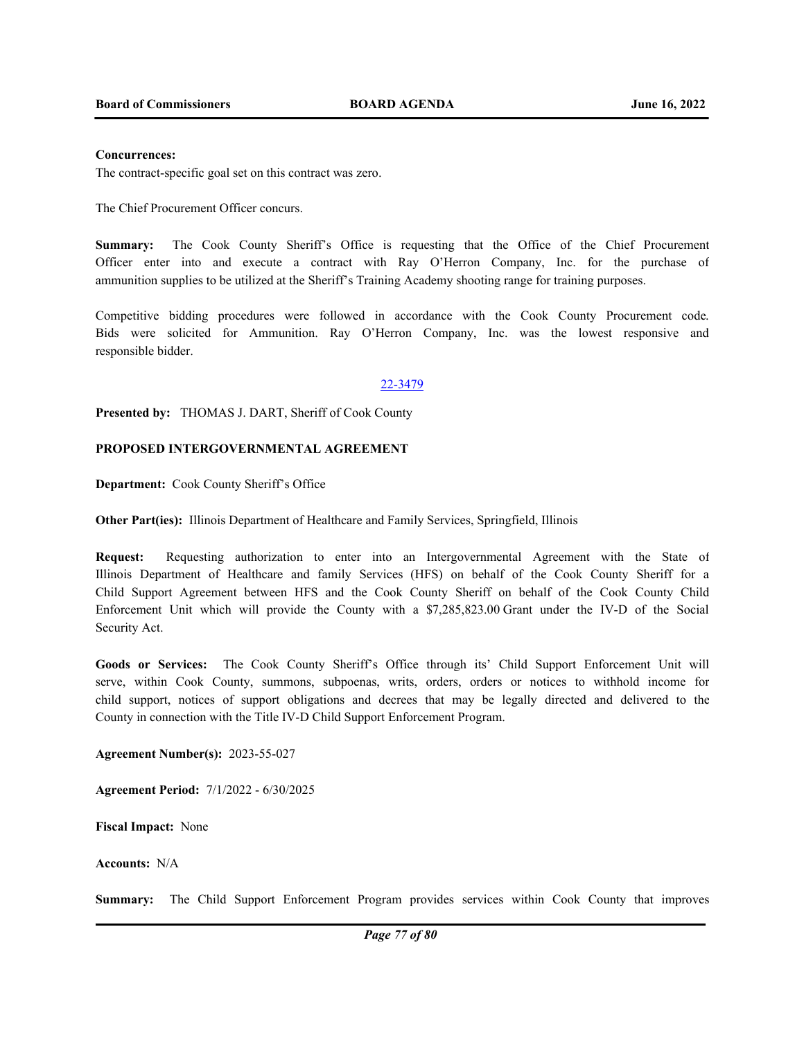#### **Concurrences:**

The contract-specific goal set on this contract was zero.

The Chief Procurement Officer concurs.

**Summary:** The Cook County Sheriff's Office is requesting that the Office of the Chief Procurement Officer enter into and execute a contract with Ray O'Herron Company, Inc. for the purchase of ammunition supplies to be utilized at the Sheriff's Training Academy shooting range for training purposes.

Competitive bidding procedures were followed in accordance with the Cook County Procurement code. Bids were solicited for Ammunition. Ray O'Herron Company, Inc. was the lowest responsive and responsible bidder.

#### 22-3479

**Presented by:** THOMAS J. DART, Sheriff of Cook County

## **PROPOSED INTERGOVERNMENTAL AGREEMENT**

**Department:** Cook County Sheriff's Office

**Other Part(ies):** Illinois Department of Healthcare and Family Services, Springfield, Illinois

**Request:** Requesting authorization to enter into an Intergovernmental Agreement with the State of Illinois Department of Healthcare and family Services (HFS) on behalf of the Cook County Sheriff for a Child Support Agreement between HFS and the Cook County Sheriff on behalf of the Cook County Child Enforcement Unit which will provide the County with a \$7,285,823.00 Grant under the IV-D of the Social Security Act.

**Goods or Services:** The Cook County Sheriff's Office through its' Child Support Enforcement Unit will serve, within Cook County, summons, subpoenas, writs, orders, orders or notices to withhold income for child support, notices of support obligations and decrees that may be legally directed and delivered to the County in connection with the Title IV-D Child Support Enforcement Program.

**Agreement Number(s):** 2023-55-027

**Agreement Period:** 7/1/2022 - 6/30/2025

**Fiscal Impact:** None

**Accounts:** N/A

**Summary:** The Child Support Enforcement Program provides services within Cook County that improves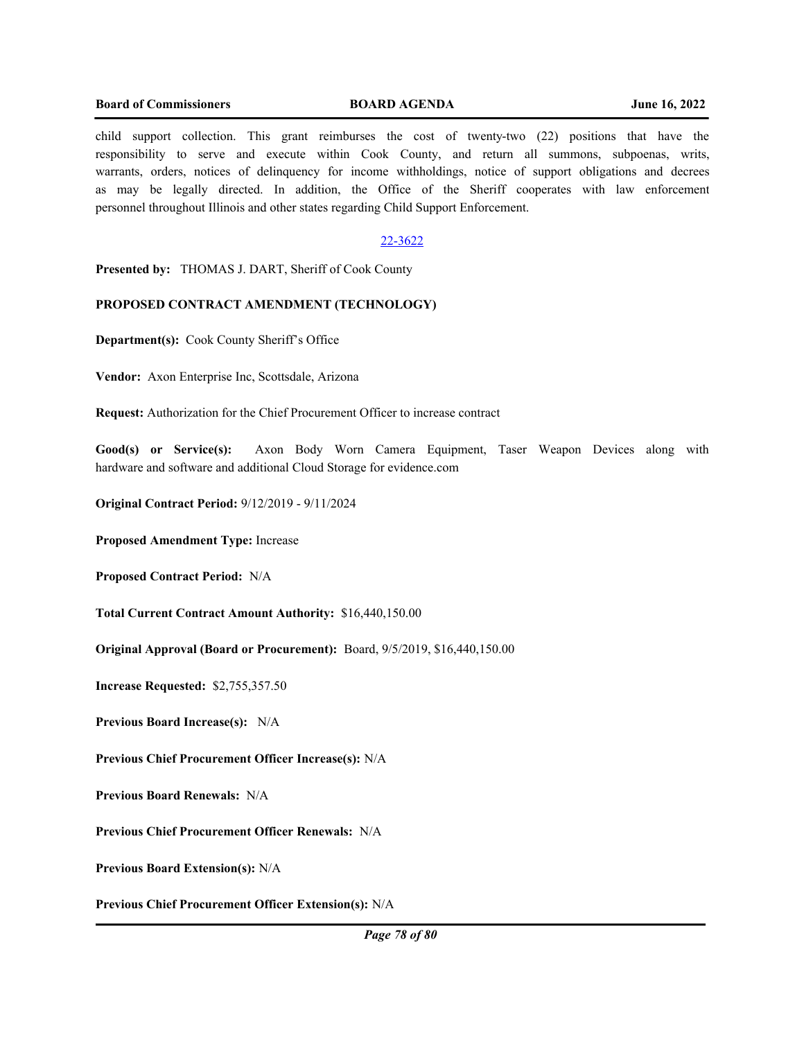#### **Board of Commissioners BOARD AGENDA June 16, 2022**

child support collection. This grant reimburses the cost of twenty-two (22) positions that have the responsibility to serve and execute within Cook County, and return all summons, subpoenas, writs, warrants, orders, notices of delinquency for income withholdings, notice of support obligations and decrees as may be legally directed. In addition, the Office of the Sheriff cooperates with law enforcement personnel throughout Illinois and other states regarding Child Support Enforcement.

## 22-3622

**Presented by:** THOMAS J. DART, Sheriff of Cook County

## **PROPOSED CONTRACT AMENDMENT (TECHNOLOGY)**

**Department(s):** Cook County Sheriff's Office

**Vendor:** Axon Enterprise Inc, Scottsdale, Arizona

**Request:** Authorization for the Chief Procurement Officer to increase contract

**Good(s) or Service(s):** Axon Body Worn Camera Equipment, Taser Weapon Devices along with hardware and software and additional Cloud Storage for evidence.com

**Original Contract Period:** 9/12/2019 - 9/11/2024

**Proposed Amendment Type:** Increase

**Proposed Contract Period:** N/A

**Total Current Contract Amount Authority:** \$16,440,150.00

**Original Approval (Board or Procurement):** Board, 9/5/2019, \$16,440,150.00

**Increase Requested:** \$2,755,357.50

**Previous Board Increase(s):** N/A

**Previous Chief Procurement Officer Increase(s):** N/A

**Previous Board Renewals:** N/A

**Previous Chief Procurement Officer Renewals:** N/A

**Previous Board Extension(s):** N/A

**Previous Chief Procurement Officer Extension(s):** N/A

*Page 78 of 80*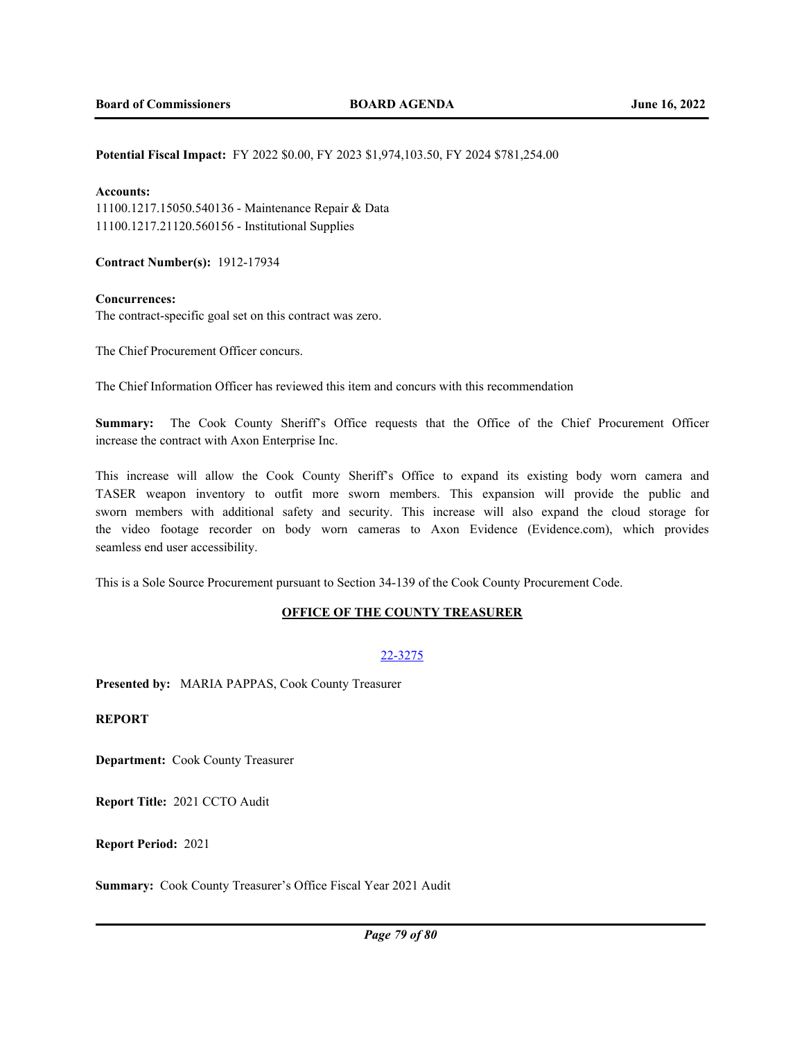#### **Potential Fiscal Impact:** FY 2022 \$0.00, FY 2023 \$1,974,103.50, FY 2024 \$781,254.00

### **Accounts:**

11100.1217.15050.540136 - Maintenance Repair & Data 11100.1217.21120.560156 - Institutional Supplies

**Contract Number(s):** 1912-17934

#### **Concurrences:**

The contract-specific goal set on this contract was zero.

The Chief Procurement Officer concurs.

The Chief Information Officer has reviewed this item and concurs with this recommendation

**Summary:** The Cook County Sheriff's Office requests that the Office of the Chief Procurement Officer increase the contract with Axon Enterprise Inc.

This increase will allow the Cook County Sheriff's Office to expand its existing body worn camera and TASER weapon inventory to outfit more sworn members. This expansion will provide the public and sworn members with additional safety and security. This increase will also expand the cloud storage for the video footage recorder on body worn cameras to Axon Evidence (Evidence.com), which provides seamless end user accessibility.

This is a Sole Source Procurement pursuant to Section 34-139 of the Cook County Procurement Code.

## **OFFICE OF THE COUNTY TREASURER**

## 22-3275

**Presented by:** MARIA PAPPAS, Cook County Treasurer

**REPORT**

**Department:** Cook County Treasurer

**Report Title:** 2021 CCTO Audit

**Report Period:** 2021

**Summary:** Cook County Treasurer's Office Fiscal Year 2021 Audit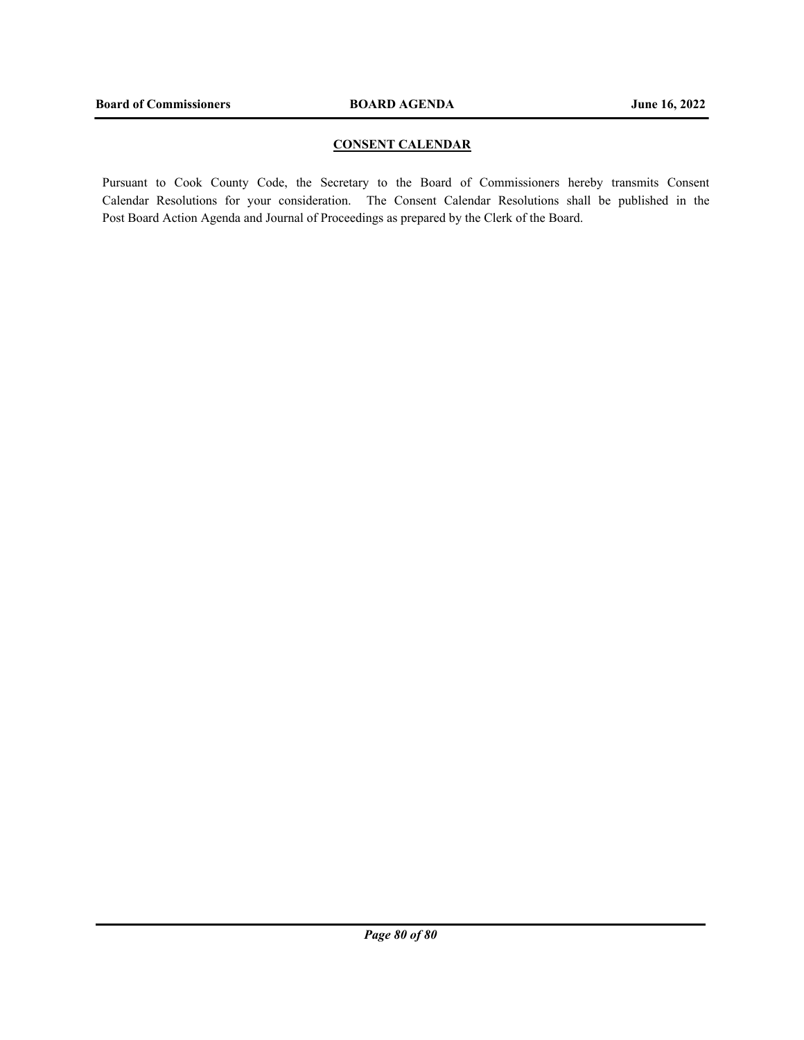## **CONSENT CALENDAR**

Pursuant to Cook County Code, the Secretary to the Board of Commissioners hereby transmits Consent Calendar Resolutions for your consideration. The Consent Calendar Resolutions shall be published in the Post Board Action Agenda and Journal of Proceedings as prepared by the Clerk of the Board.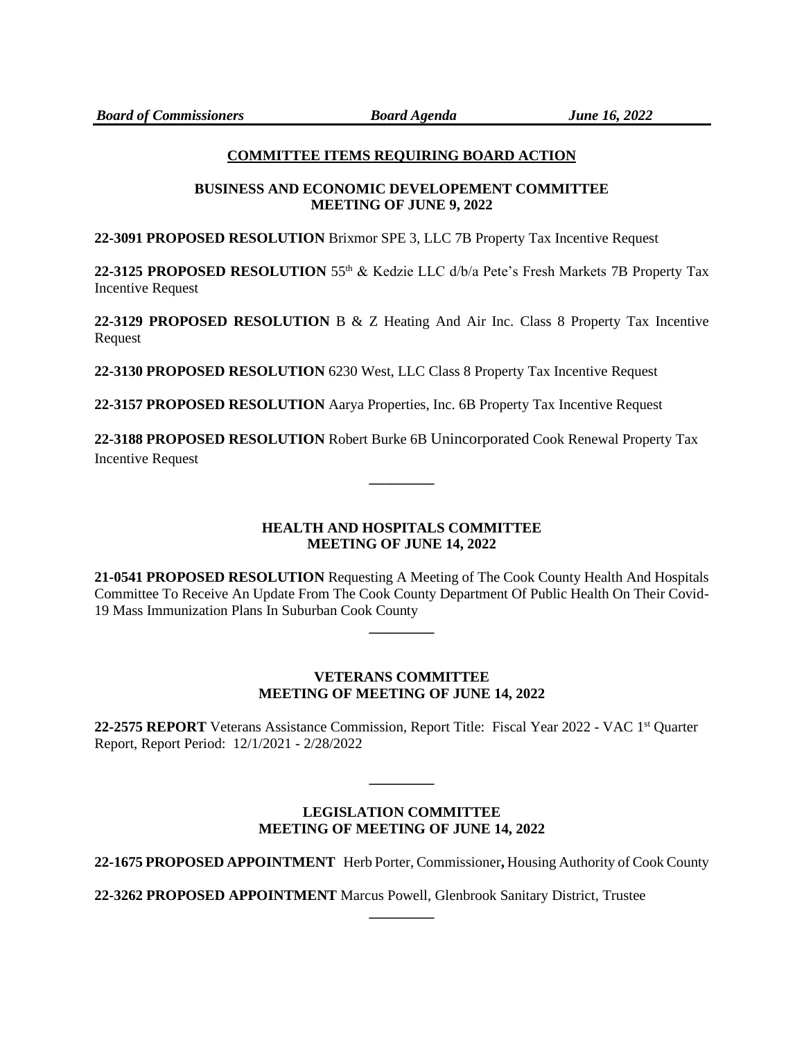# **COMMITTEE ITEMS REQUIRING BOARD ACTION**

## **BUSINESS AND ECONOMIC DEVELOPEMENT COMMITTEE MEETING OF JUNE 9, 2022**

**22-3091 PROPOSED RESOLUTION** Brixmor SPE 3, LLC 7B Property Tax Incentive Request

**22-3125 PROPOSED RESOLUTION** 55th & Kedzie LLC d/b/a Pete's Fresh Markets 7B Property Tax Incentive Request

**22-3129 PROPOSED RESOLUTION** B & Z Heating And Air Inc. Class 8 Property Tax Incentive Request

**22-3130 PROPOSED RESOLUTION** 6230 West, LLC Class 8 Property Tax Incentive Request

**22-3157 PROPOSED RESOLUTION** Aarya Properties, Inc. 6B Property Tax Incentive Request

**22-3188 PROPOSED RESOLUTION** Robert Burke 6B Unincorporated Cook Renewal Property Tax Incentive Request

**\_\_\_\_\_\_\_\_\_**

# **HEALTH AND HOSPITALS COMMITTEE MEETING OF JUNE 14, 2022**

**21-0541 PROPOSED RESOLUTION** Requesting A Meeting of The Cook County Health And Hospitals Committee To Receive An Update From The Cook County Department Of Public Health On Their Covid-19 Mass Immunization Plans In Suburban Cook County

**\_\_\_\_\_\_\_\_\_**

# **VETERANS COMMITTEE MEETING OF MEETING OF JUNE 14, 2022**

**22-2575 REPORT** Veterans Assistance Commission, Report Title: Fiscal Year 2022 - VAC 1st Quarter Report, Report Period: 12/1/2021 - 2/28/2022

## **LEGISLATION COMMITTEE MEETING OF MEETING OF JUNE 14, 2022**

**\_\_\_\_\_\_\_\_\_**

**22-1675 PROPOSED APPOINTMENT** Herb Porter, Commissioner**,** Housing Authority of Cook County

**\_\_\_\_\_\_\_\_\_**

**22-3262 PROPOSED APPOINTMENT** Marcus Powell, Glenbrook Sanitary District, Trustee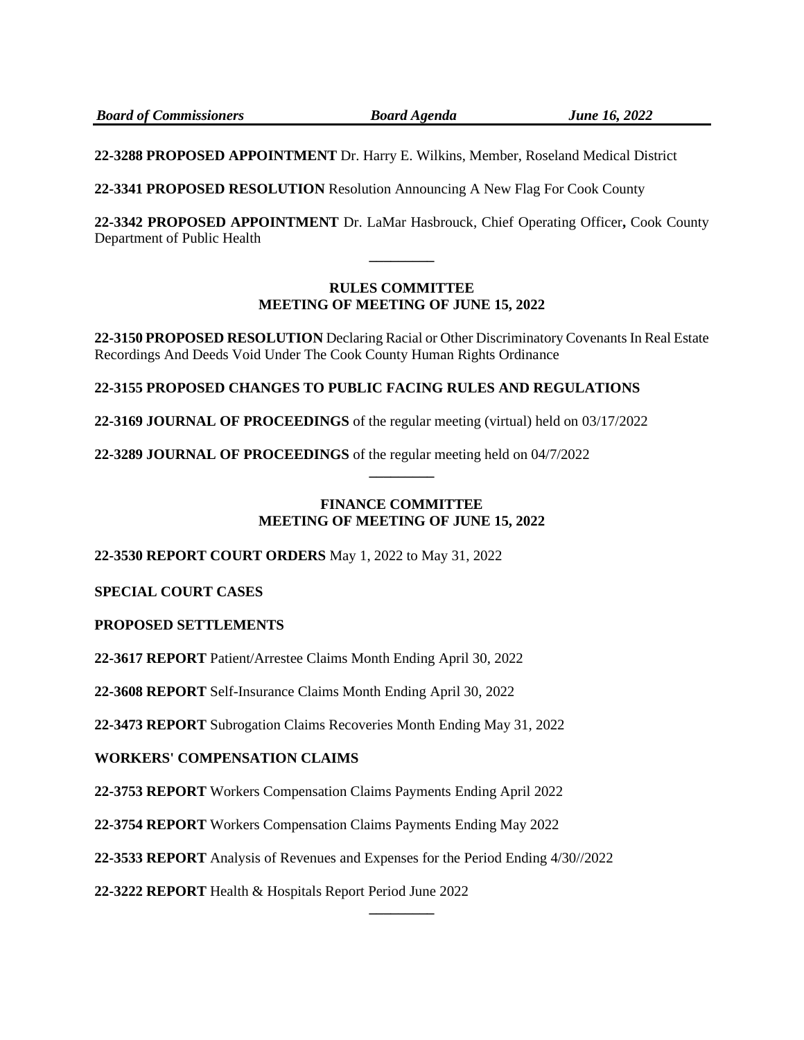**22-3288 PROPOSED APPOINTMENT** Dr. Harry E. Wilkins, Member, Roseland Medical District

**22-3341 PROPOSED RESOLUTION** Resolution Announcing A New Flag For Cook County

**22-3342 PROPOSED APPOINTMENT** Dr. LaMar Hasbrouck, Chief Operating Officer**,** Cook County Department of Public Health **\_\_\_\_\_\_\_\_\_**

# **RULES COMMITTEE MEETING OF MEETING OF JUNE 15, 2022**

**22-3150 PROPOSED RESOLUTION** Declaring Racial or Other Discriminatory Covenants In Real Estate Recordings And Deeds Void Under The Cook County Human Rights Ordinance

**22-3155 PROPOSED CHANGES TO PUBLIC FACING RULES AND REGULATIONS**

**22-3169 JOURNAL OF PROCEEDINGS** of the regular meeting (virtual) held on 03/17/2022

**22-3289 JOURNAL OF PROCEEDINGS** of the regular meeting held on 04/7/2022

# **FINANCE COMMITTEE MEETING OF MEETING OF JUNE 15, 2022**

**\_\_\_\_\_\_\_\_\_**

**22-3530 REPORT COURT ORDERS** May 1, 2022 to May 31, 2022

**SPECIAL COURT CASES**

# **PROPOSED SETTLEMENTS**

**22-3617 REPORT** Patient/Arrestee Claims Month Ending April 30, 2022

**22-3608 REPORT** Self-Insurance Claims Month Ending April 30, 2022

**22-3473 REPORT** Subrogation Claims Recoveries Month Ending May 31, 2022

# **WORKERS' COMPENSATION CLAIMS**

**22-3753 REPORT** Workers Compensation Claims Payments Ending April 2022

**22-3754 REPORT** Workers Compensation Claims Payments Ending May 2022

**22-3533 REPORT** Analysis of Revenues and Expenses for the Period Ending 4/30//2022

**\_\_\_\_\_\_\_\_\_**

**22-3222 REPORT** Health & Hospitals Report Period June 2022